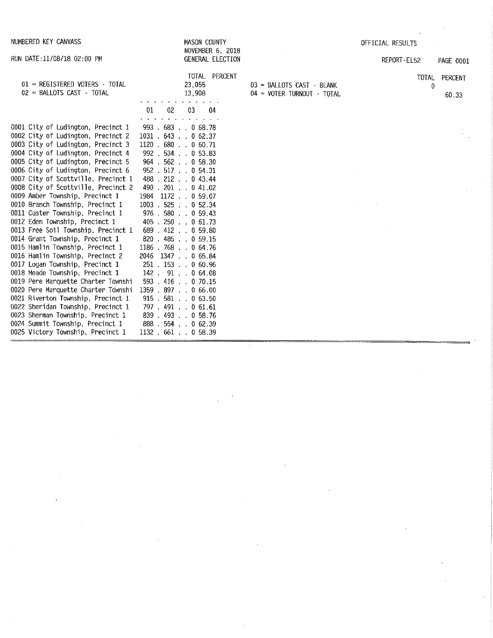| NUMBERED KEY CANVASS                                                                                                                                                                                                                                                                                                                                                                                                                                                                                                                                                                                                                                                                                                                                                                                                                                                                                                                                        | MASON COUNTY<br>NOVEMBER 6, 2018                                                                                                                                                                                                                                                                                                                                                                                                                                                                                                                                                                      |                                                         | OFFICIAL RESULTS               |
|-------------------------------------------------------------------------------------------------------------------------------------------------------------------------------------------------------------------------------------------------------------------------------------------------------------------------------------------------------------------------------------------------------------------------------------------------------------------------------------------------------------------------------------------------------------------------------------------------------------------------------------------------------------------------------------------------------------------------------------------------------------------------------------------------------------------------------------------------------------------------------------------------------------------------------------------------------------|-------------------------------------------------------------------------------------------------------------------------------------------------------------------------------------------------------------------------------------------------------------------------------------------------------------------------------------------------------------------------------------------------------------------------------------------------------------------------------------------------------------------------------------------------------------------------------------------------------|---------------------------------------------------------|--------------------------------|
| RUN DATE: 11/08/18 02:00 PM                                                                                                                                                                                                                                                                                                                                                                                                                                                                                                                                                                                                                                                                                                                                                                                                                                                                                                                                 | GENERAL ELECTION                                                                                                                                                                                                                                                                                                                                                                                                                                                                                                                                                                                      |                                                         | REPORT-EL52<br>PAGE 0001       |
| $01$ = REGISTERED VOTERS $\cdot$ TOTAL<br>02 = BALLOTS CAST · TOTAL                                                                                                                                                                                                                                                                                                                                                                                                                                                                                                                                                                                                                                                                                                                                                                                                                                                                                         | TOTAL PERCENT<br>23,055<br>13,908<br>01<br>02<br>04<br>03                                                                                                                                                                                                                                                                                                                                                                                                                                                                                                                                             | 03 = BALLOTS CAST - BLANK<br>04 = VOTER TURNOUT - TOTAL | PERCENT<br>TOTAL<br>0<br>60.33 |
| 0001 City of Ludington, Precinct 1<br>0002 City of Ludington, Precinct 2<br>0003 City of Ludington, Precinct 3<br>0004 City of Ludington, Precinct 4<br>0005 City of Ludington, Precinct 5<br>0006 City of Ludington, Precinct 6<br>0007 City of Scottville, Precinct 1<br>0008 City of Scottville, Precinct 2<br>0009 Amber Township, Precinct 1<br>0010 Branch Township, Precinct 1<br>0011 Custer Township, Precinct 1<br>0012 Eden Township, Precinct 1<br>0013 Free Soil Township, Precinct 1<br>0014 Grant Township, Precinct 1<br>0015 Hamlin Township, Precinct 1<br>0016 Hamlin Township, Precinct 2<br>0017 Logan Township, Precinct 1<br>0018 Meade Township, Precinct 1<br>0019 Pere Marquette Charter Townshi<br>0020 Pere Marquette Charter Townshi<br>0021 Riverton Township, Precinct 1<br>0022 Sheridan Township, Precinct 1<br>0023 Sherman Township, Precinct 1<br>0024 Summit Township, Precinct 1<br>0025 Victory Township, Precinct 1 | 993.683.068.78<br>$1031 + 643 + 062.37$<br>1120.680.0060.71<br>992 . 534 0 53.83<br>964 . 562 0 58.30<br>952 . 517 0 54.31<br>488 . 212 0 43.44<br>490 . 201 0 41.02<br>1984<br>$1172$ 0 59.07<br>1003 . 525 0 52.34<br>976 . 580 0 59.43<br>$.250$ $.061.73$<br>405.<br>$689$ $.412$ $.059.80$<br>$820$ $485$ $\ldots$ 0 59.15<br>1186 . 768 0 64.76<br>$1347$ . 0 65.84<br>2046<br>251 . 153 0 60.96<br>$142$ , $91$ , , 0 64.08<br>$593$ , $416$ , $070.15$<br>1359.897.066.00<br>915 . 581 0 63.50<br>797 . 491 0 61.61<br>$839$ $.493$ $.058$ , 76<br>888 . 554 0 62.39<br>$1132 + 661 + 058.39$ |                                                         |                                |

 $\langle\sigma_{\rm{eff}}\rangle$ 

 $\sim$ 

 $\label{eq:2.1} \frac{1}{\sqrt{2}}\int_{\mathbb{R}^3}\frac{1}{\sqrt{2}}\left(\frac{1}{\sqrt{2}}\right)^2\frac{1}{\sqrt{2}}\left(\frac{1}{\sqrt{2}}\right)^2\frac{1}{\sqrt{2}}\left(\frac{1}{\sqrt{2}}\right)^2\frac{1}{\sqrt{2}}\left(\frac{1}{\sqrt{2}}\right)^2.$ 

 $\mathcal{L}^{\text{max}}_{\text{max}}$ 

 $\frac{1}{2}$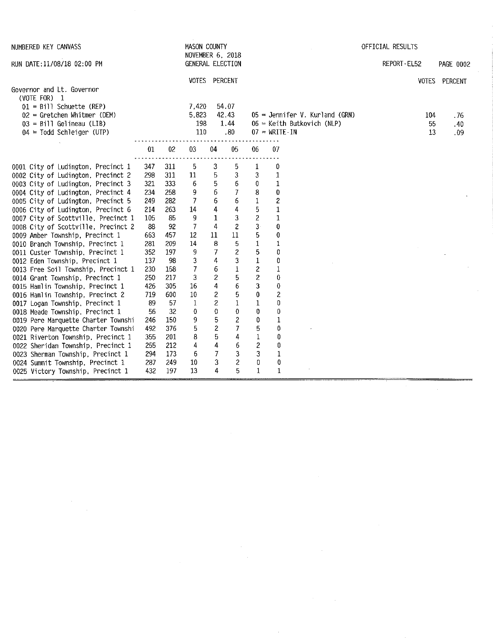| NUMBERED KEY CANVASS                                                    |     |     | <b>MASON COUNTY</b><br><b>NOVEMBER 6, 2018</b> |                         |                          |                         |                         |                                  | OFFICIAL RESULTS |     |               |
|-------------------------------------------------------------------------|-----|-----|------------------------------------------------|-------------------------|--------------------------|-------------------------|-------------------------|----------------------------------|------------------|-----|---------------|
| RUN DATE:11/08/18 02:00 PM                                              |     |     | GENERAL ELECTION                               |                         |                          |                         |                         |                                  | REPORT-EL52      |     | PAGE 0002     |
|                                                                         |     |     | VOTES PERCENT                                  |                         |                          |                         |                         |                                  |                  |     | VOTES PERCENT |
| Governor and Lt. Governor<br>(VOTE FOR) 1<br>$01 = Bi11$ Schuette (REP) |     |     | 7,420                                          |                         | 54.07                    |                         |                         |                                  |                  |     |               |
| 02 = Gretchen Whitmer (DEM)                                             |     |     | 5,823                                          |                         | 42.43                    |                         |                         | $05 =$ Jennifer V. Kurland (GRN) |                  | 104 | . 76          |
| $03 = Bi11$ Gelineau (LIB)                                              |     |     | 198                                            |                         | 1.44                     |                         |                         | $06$ = Keith Butkovich (NLP)     |                  | 55  | .40           |
| $04$ = Todd Schleiger (UTP)                                             |     |     | 110                                            |                         | .80                      |                         | $07 - WRTTE - IN$       |                                  |                  | 13  | .09           |
|                                                                         | 01  | 02  | 03                                             | 04                      | 05                       | 06                      | 07                      |                                  |                  |     |               |
| 0001 City of Ludington, Precinct 1                                      | 347 | 311 | 5                                              | 3                       | 5                        | 1                       | 0                       |                                  |                  |     |               |
| 0002 City of Ludington, Precinct 2                                      | 298 | 311 | 11                                             | 5                       | 3                        | 3                       | 1                       |                                  |                  |     |               |
| 0003 City of Ludington, Precinct 3                                      | 321 | 333 | 6                                              | 5                       | 6                        | 0                       | 1                       |                                  |                  |     |               |
| 0004 City of Ludington, Precinct 4                                      | 234 | 258 | 9                                              | $\boldsymbol{6}$        | 7                        | 8                       | 0                       |                                  |                  |     |               |
| 0005 City of Ludington, Precinct 5                                      | 249 | 282 | 7                                              | 6                       | 6                        | $\mathbf{1}$            | $\overline{\mathbf{c}}$ |                                  |                  |     |               |
| 0006 City of Ludington, Precinct 6                                      | 214 | 263 | 14                                             | 4                       | 4                        | 5                       | $\mathbf 1$             |                                  |                  |     |               |
| 0007 City of Scottville, Precinct 1                                     | 105 | 85  | 9                                              | 1                       | 3                        | $\overline{\mathbf{c}}$ | $\mathbf 1$             |                                  |                  |     |               |
| 0008 City of Scottville, Precinct 2                                     | 83  | 92  | 7                                              | 4                       | $\overline{\mathcal{L}}$ | $3 -$                   | 0                       |                                  |                  |     |               |
| 0009 Amber Township, Precinct 1                                         | 663 | 457 | 12                                             | 11                      | 11                       | 5                       | 0                       |                                  |                  |     |               |
| 0010 Branch Township, Precinct 1                                        | 281 | 209 | 14                                             | 8                       | 5                        | $\mathbf 1$             | 1                       |                                  |                  |     |               |
| 0011 Custer Township, Precinct 1                                        | 352 | 197 | 9                                              | 7                       | $\boldsymbol{2}$         | 5                       | 0                       |                                  |                  |     |               |
| 0012 Eden Township, Precinct 1                                          | 137 | 98  | 3                                              | 4                       | 3                        | $\,1\,$                 | 0                       |                                  |                  |     |               |
| 0013 Free Soil Township, Precinct 1                                     | 230 | 158 | 7                                              | 6                       | $\mathbf{1}$             | 2                       | 1                       |                                  |                  |     |               |
| 0014 Grant Township, Precinct 1                                         | 250 | 217 | 3                                              | $\overline{c}$          | 5                        | $\overline{c}$          | 0                       |                                  |                  |     |               |
| 0015 Hamlin Township, Precinct 1                                        | 426 | 305 | 16                                             | 4                       | 6                        | 3                       | 0                       |                                  |                  |     |               |
| 0016 Hamlin Township, Precinct 2                                        | 719 | 600 | $10\,$                                         | 2                       | 5                        | 0                       | 2                       |                                  |                  |     |               |
| 0017 Logan Township, Precinct 1                                         | 89  | 57  | 1                                              | 2                       | 1                        | 1                       | 0                       |                                  |                  |     |               |
| 0018 Meade Township, Precinct 1                                         | 56  | 32  | 0                                              | 0                       | 0                        | 0                       | 0                       |                                  |                  |     |               |
| 0019 Pere Marquette Charter Townshi                                     | 246 | 150 | 9                                              | 5                       | $\overline{c}$           | 0                       | 1                       |                                  |                  |     |               |
| 0020 Pere Marquette Charter Townshi                                     | 492 | 376 | 5                                              | $\overline{\mathbf{c}}$ | $\overline{7}$           | 5                       | 0                       |                                  |                  |     |               |
| 0021 Riverton Township, Precinct 1                                      | 355 | 201 | 8                                              | 5                       | 4                        | $\mathbf 1$             | 0                       |                                  |                  |     |               |
| 0022 Sheridan Township, Precinct 1                                      | 255 | 212 | 4                                              | 4                       | 6                        | $\boldsymbol{2}$        | 0                       |                                  |                  |     |               |
| 0023 Sherman Township, Precinct 1                                       | 294 | 173 | 6                                              | 7                       | 3                        | 3                       | $\mathbf 1$             |                                  |                  |     |               |
| 0024 Summit Township, Precinct 1                                        | 287 | 249 | 10                                             | 3                       | $\overline{c}$           | $\pmb{0}$               | 0                       |                                  |                  |     |               |
| 0025 Victory Township, Precinct 1                                       | 432 | 197 | 13                                             | 4                       | 5                        | $\mathbf{1}$            | $\mathbf{1}$            |                                  |                  |     |               |

 $\label{eq:2.1} \frac{1}{\sqrt{2\pi}}\int_{\mathbb{R}^3}\frac{1}{\sqrt{2\pi}}\int_{\mathbb{R}^3}\frac{1}{\sqrt{2\pi}}\int_{\mathbb{R}^3}\frac{1}{\sqrt{2\pi}}\int_{\mathbb{R}^3}\frac{1}{\sqrt{2\pi}}\int_{\mathbb{R}^3}\frac{1}{\sqrt{2\pi}}\int_{\mathbb{R}^3}\frac{1}{\sqrt{2\pi}}\int_{\mathbb{R}^3}\frac{1}{\sqrt{2\pi}}\int_{\mathbb{R}^3}\frac{1}{\sqrt{2\pi}}\int_{\mathbb{R}^3}\frac{1$ 

 $\label{eq:2.1} \mathcal{L}(\mathcal{L}^{\text{max}}_{\mathcal{L}}(\mathcal{L}^{\text{max}}_{\mathcal{L}}),\mathcal{L}^{\text{max}}_{\mathcal{L}}(\mathcal{L}^{\text{max}}_{\mathcal{L}}))$ 

 $\sim$ 

 $\label{eq:2} \frac{1}{\sqrt{2}}\int_0^1\frac{1}{\sqrt{2}}\left(\frac{1}{\sqrt{2}}\right)^2\frac{1}{2}d\mu\,d\mu$ 

 $\label{eq:2} \frac{1}{\sqrt{2}}\sum_{i=1}^n\frac{1}{\sqrt{2\pi}}\sum_{i=1}^n\frac{1}{\sqrt{2\pi}}\sum_{i=1}^n\frac{1}{\sqrt{2\pi}}\sum_{i=1}^n\frac{1}{\sqrt{2\pi}}\sum_{i=1}^n\frac{1}{\sqrt{2\pi}}\sum_{i=1}^n\frac{1}{\sqrt{2\pi}}\sum_{i=1}^n\frac{1}{\sqrt{2\pi}}\sum_{i=1}^n\frac{1}{\sqrt{2\pi}}\sum_{i=1}^n\frac{1}{\sqrt{2\pi}}\sum_{i=1}^n\frac{1}{$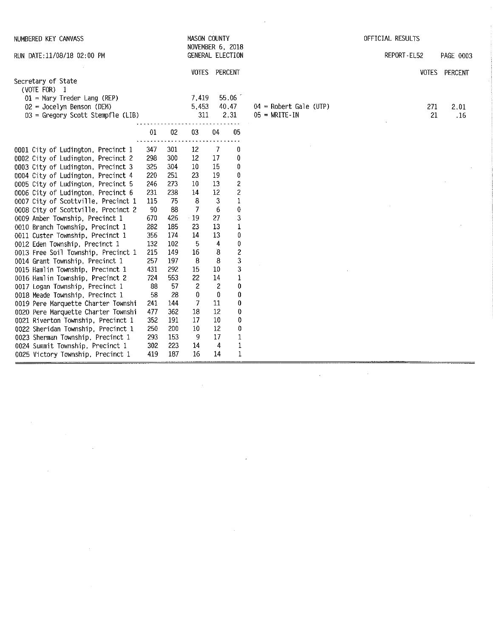| NUMBERED KEY CANVASS                                                   |            |                 | MASON COUNTY<br>NOVEMBER 6, 2018 |                           |                              |                          | OFFICIAL RESULTS |               |
|------------------------------------------------------------------------|------------|-----------------|----------------------------------|---------------------------|------------------------------|--------------------------|------------------|---------------|
| RUN DATE:11/08/18 02:00 PM                                             |            |                 | GENERAL ELECTION                 |                           |                              |                          | REPORT-EL52      | PAGE 0003     |
|                                                                        |            |                 | VOTES PERCENT                    |                           |                              |                          |                  | VOTES PERCENT |
| Secretary of State<br>(VOTE FOR) 1                                     |            |                 |                                  |                           |                              |                          |                  |               |
| $01$ = Mary Treder Lang (REP)                                          |            |                 | 7.419                            |                           | 55.06                        |                          |                  |               |
| $02$ = Jocelyn Benson (DEM)                                            |            |                 | 5.453                            |                           | 40.47                        | $04$ = Robert Gale (UTP) | 271              | 2.01          |
| $03 = Gregory$ Scott Stempfle (LIB)                                    |            |                 | 311                              |                           | 2.31                         | $05 = \text{WRTTE}$ -IN  | 21               | .16           |
|                                                                        | 01         | 02 <sub>2</sub> | $03\,$                           | 04                        | 05                           |                          |                  |               |
|                                                                        |            |                 |                                  |                           |                              |                          |                  |               |
| 0001 City of Ludington, Precinct 1                                     | 347        | 301             | 12                               | 7                         | 0                            |                          |                  |               |
| 0002 City of Ludington, Precinct 2                                     | 298        | 300             | 12                               | 17                        | 0                            |                          |                  |               |
| 0003 City of Ludington, Precinct 3                                     | 325        | 304             | 10                               | 15                        | 0                            |                          |                  |               |
| 0004 City of Ludington, Precinct 4                                     | 220        | 251             | 23                               | 19                        | $\pmb{0}$                    |                          |                  |               |
| 0005 City of Ludington, Precinct 5                                     | 246        | 273             | 10                               | 13                        | $\overline{\mathbf{c}}$      |                          |                  |               |
| 0006 City of Ludington, Precinct 6                                     | 231        | 238             | 14                               | 12                        | $\overline{\mathbf{c}}$      |                          |                  |               |
| 0007 City of Scottville, Precinct 1                                    | 115        | 75              | 8                                | $\ensuremath{\mathsf{3}}$ | $\mathbf{1}$                 |                          |                  |               |
| 0008 City of Scottville, Precinct 2                                    | 90         | 88              | $\overline{7}$                   | 6                         | $\bf{0}$                     |                          |                  |               |
| 0009 Amber Township, Precinct 1                                        | 670        | 426             | $-19$                            | 27                        | 3                            |                          |                  |               |
| 0010 Branch Township, Precinct 1                                       | 282        | 185             | 23                               | 13<br>13                  | $\mathbf{1}$                 |                          |                  |               |
| 0011 Custer Township, Precinct 1                                       | 356        | 174             | 14                               |                           | 0                            |                          |                  |               |
| 0012 Eden Township, Precinct 1                                         | 132<br>215 | 102<br>149      | 5<br>16                          | 4<br>8                    | 0<br>$\overline{\mathbf{c}}$ |                          |                  |               |
| 0013 Free Soil Township, Precinct 1<br>0014 Grant Township, Precinct 1 | 257        | 197             | 8                                | 8                         | 3                            |                          |                  |               |
| 0015 Hamlin Township, Precinct 1                                       | 431        | 292             | 15                               | $10\,$                    | 3                            |                          |                  |               |
| 0016 Hamlin Township, Precinct 2                                       | 724        | 553             | 22                               | 14                        | $\mathbf 1$                  |                          |                  |               |
| 0017 Logan Township, Precinct 1                                        | 88         | 57              | $\mathbf{2}$                     | $\mathbf{z}$              | 0                            |                          |                  |               |
| 0018 Meade Township, Precinct 1                                        | 58         | 28              | 0                                | 0                         | 0                            |                          |                  |               |
| 0019 Pere Marquette Charter Townshi                                    | 241        | 144             | $\mathcal{I}$                    | 11                        | 0                            |                          |                  |               |
| 0020 Pere Marquette Charter Townshi                                    | 477        | 362             | 18                               | 12                        | $\boldsymbol{0}$             |                          |                  |               |
| 0021 Riverton Township, Precinct 1                                     | 352        | 191             | 17                               | 10                        | $\mathbf 0$                  |                          |                  |               |
| 0022 Sheridan Township, Precinct 1                                     | 250        | 200             | 10                               | 12                        | 0                            |                          |                  |               |
| 0023 Sherman Township, Precinct 1                                      | 293        | 153             | 9                                | 17                        | $\mathbf{1}$                 |                          |                  |               |
| 0024 Summit Township, Precinct 1                                       | 302        | 223             | 14                               | 4                         | $\mathbf{1}$                 |                          |                  |               |
| 0025 Victory Township, Precinct 1                                      | 419        | 187             | 16                               | 14                        | 1                            |                          |                  |               |

 $\mathcal{L}(\mathcal{L}^{\text{max}}_{\mathcal{L}}(\mathcal{L}^{\text{max}}_{\mathcal{L}}))$ 

 $\label{eq:2.1} \frac{1}{2} \int_{\mathbb{R}^3} \frac{1}{\sqrt{2}} \, \frac{1}{\sqrt{2}} \, \frac{1}{\sqrt{2}} \, \frac{1}{\sqrt{2}} \, \frac{1}{\sqrt{2}} \, \frac{1}{\sqrt{2}} \, \frac{1}{\sqrt{2}} \, \frac{1}{\sqrt{2}} \, \frac{1}{\sqrt{2}} \, \frac{1}{\sqrt{2}} \, \frac{1}{\sqrt{2}} \, \frac{1}{\sqrt{2}} \, \frac{1}{\sqrt{2}} \, \frac{1}{\sqrt{2}} \, \frac{1}{\sqrt{2}} \, \frac{1}{\sqrt{2}} \,$ 

 $\label{eq:2.1} \frac{1}{\sqrt{2}}\left(\frac{1}{\sqrt{2}}\right)^{2} \left(\frac{1}{\sqrt{2}}\right)^{2} \left(\frac{1}{\sqrt{2}}\right)^{2} \left(\frac{1}{\sqrt{2}}\right)^{2} \left(\frac{1}{\sqrt{2}}\right)^{2} \left(\frac{1}{\sqrt{2}}\right)^{2} \left(\frac{1}{\sqrt{2}}\right)^{2} \left(\frac{1}{\sqrt{2}}\right)^{2} \left(\frac{1}{\sqrt{2}}\right)^{2} \left(\frac{1}{\sqrt{2}}\right)^{2} \left(\frac{1}{\sqrt{2}}\right)^{2} \left(\$ 

 $\label{eq:2.1} \frac{1}{\sqrt{2}}\int_{\mathbb{R}^3}\frac{1}{\sqrt{2}}\left(\frac{1}{\sqrt{2}}\right)^2\frac{1}{\sqrt{2}}\left(\frac{1}{\sqrt{2}}\right)^2\frac{1}{\sqrt{2}}\left(\frac{1}{\sqrt{2}}\right)^2.$ 

 $\sim$  10  $^{\circ}$ 

 $\sim 10^7$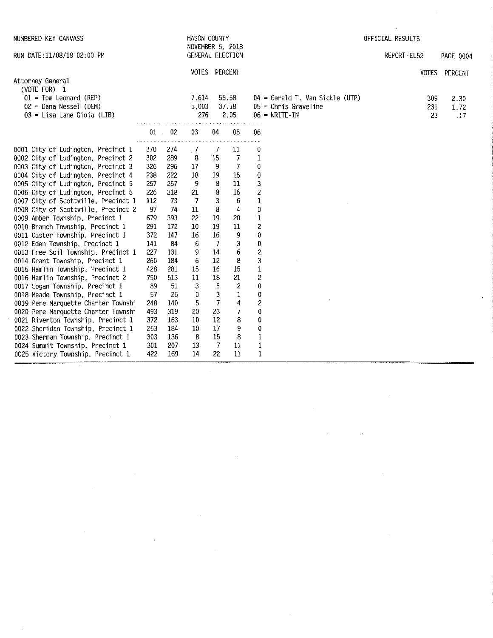| NUMBERED KEY CANVASS                                                 |            |            | <b>MASON COUNTY</b>                  |                |                           |                                                    |                                          | OFFICIAL RESULTS |           |
|----------------------------------------------------------------------|------------|------------|--------------------------------------|----------------|---------------------------|----------------------------------------------------|------------------------------------------|------------------|-----------|
| RUN DATE:11/08/18 02:00 PM                                           |            |            | NOVEMBER 6, 2018<br>GENERAL ELECTION |                |                           |                                                    |                                          | REPORT-EL52      | PAGE 0004 |
|                                                                      |            |            | VOTES PERCENT                        |                |                           |                                                    |                                          | <b>VOTES</b>     | PERCENT   |
| Attorney General                                                     |            |            |                                      |                |                           |                                                    |                                          |                  |           |
| (VOTE FOR) 1<br>$01 =$ Tom Leonard (REP)                             |            |            | 7.614                                |                | 56.58                     |                                                    | $04 = \text{Gerald T. Van Sickle (UTP)}$ | 309              | 2.30      |
| $02$ = Dana Nessel (DEM)                                             |            |            | 5.003                                |                | 37.18                     |                                                    | $05$ = Chris Graveline                   | 231              | 1.72      |
| $03 =$ Lisa Lane Gioia (LIB)                                         |            |            | 276                                  |                | 2.05                      |                                                    | $06 = \text{WRITE} \cdot \text{IN}$      |                  | 23<br>.17 |
|                                                                      |            | $01$ 02    | 03                                   | 04             | 05                        | 06                                                 |                                          |                  |           |
| 0001 City of Ludington, Precinct 1                                   | 370        | 274        | $\cdot$ 7                            | 7              | 11                        | 0                                                  |                                          |                  |           |
| 0002 City of Ludington, Precinct 2                                   | 302        | 289        | 8                                    | 15             | $\overline{7}$            | $\mathbf 1$                                        |                                          |                  |           |
| 0003 City of Ludington, Precinct 3                                   | 326        | 296        | 17                                   | 9              | $\overline{7}$            | 0                                                  |                                          |                  |           |
| 0004 City of Ludington, Precinct 4                                   | 238        | 222        | 18                                   | 19             | 15                        | 0                                                  |                                          |                  |           |
| 0005 City of Ludington, Precinct 5                                   | 257        | 257        | $\overline{9}$                       | 8              | 11                        | 3                                                  |                                          |                  |           |
| 0006 City of Ludington, Precinct 6                                   | 226        | 218        | 21                                   | 8              | $16\,$                    | $\overline{\mathbf{c}}$                            |                                          |                  |           |
| 0007 City of Scottville, Precinct 1                                  | 112        | 73         | $\overline{7}$                       | 3              | 6                         | $\mathbf{1}$                                       |                                          |                  |           |
| 0008 City of Scottville, Precinct 2                                  | 97         | 74         | $11\,$                               | 8              | 4                         | $\begin{smallmatrix} 0\\[-1mm] 1\end{smallmatrix}$ |                                          |                  |           |
| 0009 Amber Township, Precinct 1                                      | 679        | 393        | 22                                   | 19             | 20                        |                                                    |                                          |                  |           |
| 0010 Branch Township, Precinct 1                                     | 291        | 172        | $10\,$                               | 19             | $11\,$                    | $\overline{\mathbf{c}}$                            |                                          |                  |           |
| 0011 Custer Township, Precinct 1                                     | 372        | 147        | 16                                   | 16             | $\boldsymbol{9}$          | 0                                                  |                                          |                  |           |
| 0012 Eden Township, Precinct 1                                       | 141        | 84         | 6                                    | $\overline{7}$ | $\ensuremath{\mathsf{3}}$ | 0                                                  |                                          |                  |           |
| 0013 Free Soil Township, Precinct 1                                  | 227        | 131        | 9                                    | 14             | 6                         | $\overline{\mathbf{c}}$                            |                                          |                  |           |
| 0014 Grant Township, Precinct 1                                      | 260<br>428 | 184<br>281 | 6<br>15                              | 12<br>16       | 8<br>15                   | 3<br>$\mathbf{1}$                                  |                                          |                  |           |
| 0015 Hamlin Township, Precinct 1<br>0016 Hamlin Township, Precinct 2 | 750        | 513        | 11                                   | 18             | 21                        | $\overline{\mathbf{c}}$                            |                                          |                  |           |
| 0017 Logan Township, Precinct 1                                      | 89         | 51         | 3                                    | 5              | $\overline{c}$            | 0                                                  |                                          |                  |           |
| 0018 Meade Township, Precinct 1                                      | 57         | 26         | 0                                    | $\mathbf{3}$   | $\mathbf 1$               | $\pmb{0}$                                          |                                          |                  |           |
| 0019 Pere Marquette Charter Townshi                                  | 248        | 140        | 5                                    | $\overline{I}$ | 4                         | $\overline{\mathbf{c}}$                            |                                          |                  |           |
| 0020 Pere Marquette Charter Townshi                                  | 493        | 319        | 20                                   | 23             | $\overline{7}$            | 0                                                  |                                          |                  |           |
| 0021 Riverton Township, Precinct 1                                   | 372        | 163        | 10                                   | 12             | 8                         | 0                                                  |                                          |                  |           |
| 0022 Sheridan Township, Precinct 1                                   | 253        | 184        | 10                                   | 17             | 9                         | $\pmb{0}$                                          |                                          |                  |           |
| 0023 Sherman Township, Precinct 1                                    | 303        | 136        | 8                                    | 15             | 8                         | $\mathbf 1$                                        |                                          |                  |           |
| 0024 Summit Township, Precinct 1                                     | 301        | 207        | 13                                   | $\overline{7}$ | 11                        | 1                                                  |                                          |                  |           |
| 0025 Victory Township, Precinct 1                                    | 422        | 169        | 14                                   | 22             | 11                        | 1                                                  |                                          |                  |           |

 $\mathcal{L}^{\text{max}}_{\text{max}}$  and  $\mathcal{L}^{\text{max}}_{\text{max}}$ 

 $\sim 50$ 

 $\label{eq:2.1} \mathcal{L}(\mathcal{L}^{\text{max}}_{\mathcal{L}}(\mathcal{L}^{\text{max}}_{\mathcal{L}})) \leq \mathcal{L}(\mathcal{L}^{\text{max}}_{\mathcal{L}}(\mathcal{L}^{\text{max}}_{\mathcal{L}}))$ 

 $\sim 10^{-1}$ 

 $\mathcal{L}^{\text{max}}_{\text{max}}$ 

 $\mathcal{L}^{\text{max}}_{\text{max}}$ 

 $\mathcal{L}^{\text{max}}_{\text{max}}$ 

 $\mathcal{L}^{\mathcal{L}}(\mathcal{L}^{\mathcal{L}})$  and  $\mathcal{L}^{\mathcal{L}}(\mathcal{L}^{\mathcal{L}})$  and  $\mathcal{L}^{\mathcal{L}}(\mathcal{L}^{\mathcal{L}})$  and  $\mathcal{L}^{\mathcal{L}}(\mathcal{L}^{\mathcal{L}})$ 

 $\mathcal{L}^{\text{max}}_{\text{max}}$ 

 $\mathcal{A}^{\mathcal{A}}$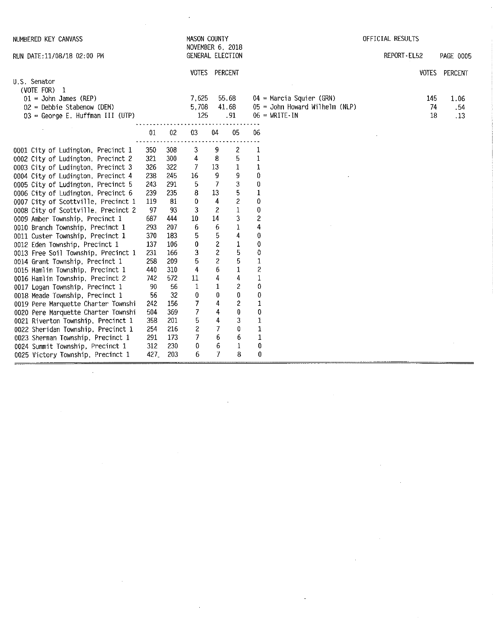| NUMBERED KEY CANVASS                      |      |                 | <b>MASON COUNTY</b>                  |                |                  |                         |                                     | OFFICIAL RESULTS |                 |
|-------------------------------------------|------|-----------------|--------------------------------------|----------------|------------------|-------------------------|-------------------------------------|------------------|-----------------|
| RUN DATE: 11/08/18 02:00 PM               |      |                 | NOVEMBER 6. 2018<br>GENERAL ELECTION |                |                  |                         |                                     | REPORT-EL52      | PAGE 0005       |
|                                           |      |                 | VOTES PERCENT                        |                |                  |                         |                                     |                  | VOTES PERCENT   |
| U.S. Senator                              |      |                 |                                      |                |                  |                         |                                     |                  |                 |
| $(VOTE FOR)$ 1<br>$01 =$ John James (REP) |      |                 | 7.625                                |                | 55.68            |                         | 04 = Marcia Squier (GRN)            | 145              | 1.06            |
| 02 = Debbie Stabenow (DEM)                |      |                 | 5.708                                |                | 41.68            |                         | 05 = John Howard Wilhelm (NLP)      | 74               | .54             |
| 03 = George E. Huffman III (UTP)          |      |                 | 125                                  |                | .91              |                         | $06 = \text{WRITE} \cdot \text{IN}$ | 18               | $\overline{13}$ |
|                                           | 01   | 02 <sub>2</sub> | 03                                   | 04             | 05               | 06                      |                                     |                  |                 |
| 0001 City of Ludington, Precinct 1        | 350  | 308             | 3                                    | 9              | $\boldsymbol{z}$ | 1                       |                                     |                  |                 |
| 0002 City of Ludington, Precinct 2        | 321  | 300             | 4                                    | 8              | 5                | $\mathbf{1}$            |                                     |                  |                 |
| 0003 City of Ludington, Precinct 3        | 326  | 322             | 7                                    | 13             | $\mathbf{1}$     | $\mathbf{1}$            |                                     |                  |                 |
| 0004 City of Ludington, Precinct 4        | 238  | 245             | 16                                   | 9              | 9                | 0                       |                                     |                  |                 |
| 0005 City of Ludington, Precinct 5        | 243  | 291             | 5                                    | $\overline{I}$ | 3                | 0                       |                                     |                  |                 |
| 0006 City of Ludington, Precinct 6        | 239  | 235             | 8                                    | 13             | 5                | $\mathbf{1}$            |                                     |                  |                 |
| 0007 City of Scottville, Precinct 1       | 119  | 81              | 0                                    | 4              | $\overline{c}$   | $\theta$                |                                     |                  |                 |
| 0008 City of Scottville, Precinct 2       | 97   | 93              | 3                                    | $\overline{c}$ | $\mathbf{1}$     | $\theta$                |                                     |                  |                 |
| 0009 Amber Township, Precinct 1           | 687  | 444             | 10                                   | 14             | 3                | $\overline{\mathbf{c}}$ |                                     |                  |                 |
| 0010 Branch Township, Precinct 1          | 293  | 207             | 6                                    | 6              | 1                | 4                       |                                     |                  |                 |
| 0011 Custer Township, Precinct 1          | 370  | 183             | 5                                    | 5              | 4                | $\bf{0}$                |                                     |                  |                 |
| 0012 Eden Township, Precinct 1            | 137  | 106             | 0                                    | $\overline{c}$ | 1                | 0                       |                                     |                  |                 |
| 0013 Free Soil Township, Precinct 1       | 231  | 166             | 3                                    | $\overline{2}$ | 5                | 0                       |                                     |                  |                 |
| 0014 Grant Township, Precinct 1           | 258  | 209             | 5                                    | $\overline{c}$ | 5                | $1\,$                   |                                     |                  |                 |
| 0015 Hamlin Township, Precinct 1          | 440  | 310             | 4                                    | 6              | $\bf{1}$         | $\overline{c}$          |                                     |                  |                 |
| 0016 Hamlin Township, Precinct 2          | 742  | 572             | 11                                   | 4              | 4                | 1                       |                                     |                  |                 |
| 0017 Logan Township, Precinct 1           | 90   | 56              | $\mathbf{1}$                         | $\mathbf{1}$   | $\overline{c}$   | 0                       |                                     |                  |                 |
| 0018 Meade Township, Precinct 1           | 56   | 32              | 0                                    | $\bf{0}$       | $\bf{0}$         | 0                       |                                     |                  |                 |
| 0019 Pere Marquette Charter Townshi       | 242  | 156             | 7                                    | 4              | $\overline{c}$   | $\mathbf 1$             |                                     |                  |                 |
| 0020 Pere Marquette Charter Townshi       | 504  | 369             | 7                                    | 4              | $\bf{0}$         | $\bf{0}$                |                                     |                  |                 |
| 0021 Riverton Township, Precinct 1        | 358  | 201             | 5                                    | 4              | 3                | 1                       |                                     |                  |                 |
| 0022 Sheridan Township, Precinct 1        | 254  | 216             | $\overline{\mathbf{c}}$              | $\overline{7}$ | 0                | $\mathbf 1$             |                                     |                  |                 |
| 0023 Sherman Township, Precinct 1         | 291  | 173             | 7                                    | 6              | 6                | $\mathbf{1}$            |                                     |                  |                 |
| 0024 Summit Township, Precinct 1          | 312  | 230             | 0                                    | 6              | 1                | 0                       |                                     |                  |                 |
| 0025 Victory Township, Precinct 1         | 427. | 203             | 6                                    | $\overline{7}$ | 8                | $\bf{0}$                |                                     |                  |                 |

 $\label{eq:2.1} \frac{1}{\sqrt{2}}\left(\frac{1}{\sqrt{2}}\right)^{2} \left(\frac{1}{\sqrt{2}}\right)^{2} \left(\frac{1}{\sqrt{2}}\right)^{2} \left(\frac{1}{\sqrt{2}}\right)^{2} \left(\frac{1}{\sqrt{2}}\right)^{2} \left(\frac{1}{\sqrt{2}}\right)^{2} \left(\frac{1}{\sqrt{2}}\right)^{2} \left(\frac{1}{\sqrt{2}}\right)^{2} \left(\frac{1}{\sqrt{2}}\right)^{2} \left(\frac{1}{\sqrt{2}}\right)^{2} \left(\frac{1}{\sqrt{2}}\right)^{2} \left(\$ 

 $\label{eq:2.1} \mathcal{L}_{\mathcal{A}}(x) = \mathcal{L}_{\mathcal{A}}(x) \mathcal{L}_{\mathcal{A}}(x) = \mathcal{L}_{\mathcal{A}}(x)$ 

 $\label{eq:2.1} \mathcal{L}(\mathcal{L}^{\mathcal{L}}_{\mathcal{L}}(\mathcal{L}^{\mathcal{L}}_{\mathcal{L}})) \leq \mathcal{L}(\mathcal{L}^{\mathcal{L}}_{\mathcal{L}}(\mathcal{L}^{\mathcal{L}}_{\mathcal{L}})) \leq \mathcal{L}(\mathcal{L}^{\mathcal{L}}_{\mathcal{L}}(\mathcal{L}^{\mathcal{L}}_{\mathcal{L}}))$ 

 $\mathcal{L}^{\text{max}}_{\text{max}}$  and  $\mathcal{L}^{\text{max}}_{\text{max}}$ 

 $\label{eq:2.1} \frac{1}{\sqrt{2}}\int_{\mathbb{R}^3}\frac{1}{\sqrt{2}}\left(\frac{1}{\sqrt{2}}\right)^2\frac{1}{\sqrt{2}}\left(\frac{1}{\sqrt{2}}\right)^2\frac{1}{\sqrt{2}}\left(\frac{1}{\sqrt{2}}\right)^2\frac{1}{\sqrt{2}}\left(\frac{1}{\sqrt{2}}\right)^2.$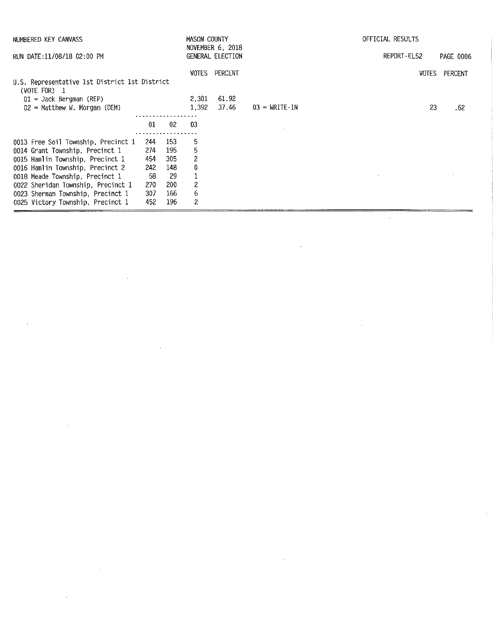| NUMBERED KEY CANVASS                                          |      |            | MASON COUNTY   |                                      |                                     | OFFICIAL RESULTS |              |           |
|---------------------------------------------------------------|------|------------|----------------|--------------------------------------|-------------------------------------|------------------|--------------|-----------|
| RUN DATE:11/08/18 02:00 PM                                    |      |            |                | NOVEMBER 6, 2018<br>GENERAL ELECTION |                                     | REPORT EL52      |              | PAGE 0006 |
|                                                               |      |            | VOTES          | PERCENT                              |                                     |                  | <b>VOTES</b> | PERCENT   |
| U.S. Representative 1st District 1st District<br>(VOTE FOR) 1 |      |            |                |                                      |                                     |                  |              |           |
| $01 =$ Jack Bergman (REP)                                     |      |            | 2.301          | 61.92                                |                                     |                  |              |           |
| $02$ = Matthew W. Morgan (DEM)                                |      |            | 1.392          | 37.46                                | $03 = \text{WRITE} \cdot \text{IN}$ |                  | 23           | .62       |
|                                                               |      |            |                |                                      |                                     |                  |              |           |
|                                                               | 01   | -02        | -03            |                                      |                                     |                  |              |           |
|                                                               |      |            |                |                                      |                                     |                  |              |           |
| 0013 Free Soil Township, Precinct 1                           | -244 | 153        | 5              |                                      |                                     |                  |              |           |
| 0014 Grant Township, Precinct 1                               | 274  | 195        | 5              |                                      |                                     |                  |              |           |
| 0015 Hamlin Township, Precinct 1                              | 454  | 305        | $\overline{c}$ |                                      |                                     |                  |              |           |
| 0016 Hamlin Township, Precinct 2                              | 242  | 148        | 0              |                                      |                                     |                  |              |           |
| 0018 Meade Township, Precinct 1                               | -58  | 29         |                |                                      |                                     |                  |              |           |
| 0022 Sheridan Township, Precinct 1                            | 270  | <b>200</b> | 2              |                                      |                                     |                  |              |           |
| 0023 Sherman Township, Precinct 1                             | 307  | 166        | 6              |                                      |                                     |                  |              |           |
| 0025 Victory Township, Precinct 1                             | 452  | 196        | 2              |                                      |                                     |                  |              |           |

 $\mathcal{L}^{\text{max}}_{\text{max}}$ 

 $\label{eq:2.1} \frac{1}{\sqrt{2}}\int_{\mathbb{R}^3}\frac{1}{\sqrt{2}}\left(\frac{1}{\sqrt{2}}\right)^2\frac{1}{\sqrt{2}}\left(\frac{1}{\sqrt{2}}\right)^2\frac{1}{\sqrt{2}}\left(\frac{1}{\sqrt{2}}\right)^2\frac{1}{\sqrt{2}}\left(\frac{1}{\sqrt{2}}\right)^2\frac{1}{\sqrt{2}}\left(\frac{1}{\sqrt{2}}\right)^2\frac{1}{\sqrt{2}}\left(\frac{1}{\sqrt{2}}\right)^2\frac{1}{\sqrt{2}}\left(\frac{1}{\sqrt{2}}\right)^2\frac{1}{\sqrt{$ 

 $\label{eq:2.1} \frac{1}{2} \sum_{i=1}^n \frac{1}{2} \sum_{j=1}^n \frac{1}{2} \sum_{j=1}^n \frac{1}{2} \sum_{j=1}^n \frac{1}{2} \sum_{j=1}^n \frac{1}{2} \sum_{j=1}^n \frac{1}{2} \sum_{j=1}^n \frac{1}{2} \sum_{j=1}^n \frac{1}{2} \sum_{j=1}^n \frac{1}{2} \sum_{j=1}^n \frac{1}{2} \sum_{j=1}^n \frac{1}{2} \sum_{j=1}^n \frac{1}{2} \sum_{j=1}^n \frac{$ 

 $\frac{1}{2}$ 

 $\frac{1}{\sqrt{2}}$ 

 $\sim 10^6$ 

 $\sim$  4  $^{\circ}$ 

 $\sim 10^{-1}$ 

 $\label{eq:2.1} \begin{split} \mathcal{L}_{\text{max}}(\mathbf{r}) = \mathcal{L}_{\text{max}}(\mathbf{r}) \,, \end{split}$ 

 $\mathcal{L}^{\text{max}}_{\text{max}}$ 

 $\mathcal{L}^{\text{max}}_{\text{max}}$  and  $\mathcal{L}^{\text{max}}_{\text{max}}$ 

 $\label{eq:2.1} \frac{1}{\sqrt{2}}\int_{\mathbb{R}^3}\frac{1}{\sqrt{2}}\left(\frac{1}{\sqrt{2}}\right)^2\frac{1}{\sqrt{2}}\left(\frac{1}{\sqrt{2}}\right)^2\frac{1}{\sqrt{2}}\left(\frac{1}{\sqrt{2}}\right)^2\frac{1}{\sqrt{2}}\left(\frac{1}{\sqrt{2}}\right)^2.$ 

 $\label{eq:2.1} \frac{1}{\sqrt{2}}\int_{\mathbb{R}^3}\frac{1}{\sqrt{2}}\left(\frac{1}{\sqrt{2}}\right)^2\frac{1}{\sqrt{2}}\left(\frac{1}{\sqrt{2}}\right)^2\frac{1}{\sqrt{2}}\left(\frac{1}{\sqrt{2}}\right)^2\frac{1}{\sqrt{2}}\left(\frac{1}{\sqrt{2}}\right)^2.$ 

 $\sim$ 

 $\frac{1}{\sqrt{2}}$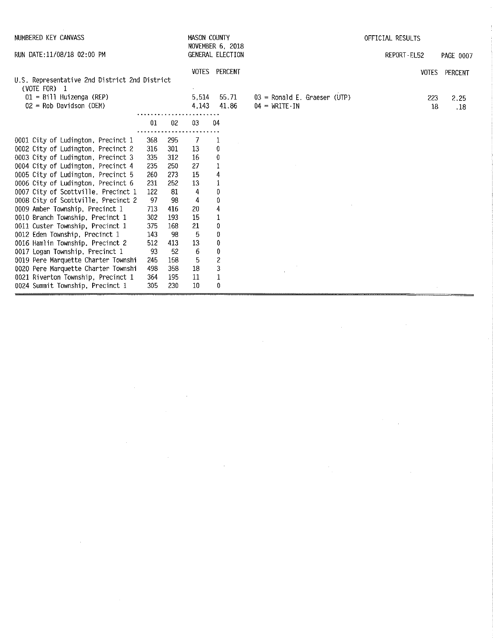| NUMBERED KEY CANVASS                                                                                                     |                          |                          | MASON COUNTY         | <b>NOVEMBER 6, 2018</b>                |                                                                       | OFFICIAL RESULTS |                                           |  |  |
|--------------------------------------------------------------------------------------------------------------------------|--------------------------|--------------------------|----------------------|----------------------------------------|-----------------------------------------------------------------------|------------------|-------------------------------------------|--|--|
| RUN DATE: 11/08/18 02:00 PM                                                                                              |                          |                          |                      | GENERAL ELECTION                       |                                                                       | REPORT-EL52      | <b>PAGE 0007</b>                          |  |  |
| U.S. Representative 2nd District 2nd District<br>(VOTE FOR) 1<br>$01 = 8111$ Huizenga (REP)<br>$02$ = Rob Davidson (DEM) |                          |                          | 5.514<br>4.143       | <b>VOTES PERCENT</b><br>55.71<br>41.86 | $03$ = Ronald E. Graeser (UTP)<br>$04 = \text{WRITE} \cdot \text{IN}$ |                  | VOTES PERCENT<br>223<br>2.25<br>18<br>.18 |  |  |
|                                                                                                                          | 01                       | 02                       | 03                   | 04                                     |                                                                       |                  |                                           |  |  |
| 0001 City of Ludington, Precinct 1<br>0002 City of Ludington, Precinct 2<br>0003 City of Ludington, Precinct 3           | 368<br>316<br>335<br>235 | 295<br>301<br>312<br>250 | -7<br>13<br>16<br>27 | 1<br>0<br>$\bf{0}$<br>$\mathbf 1$      |                                                                       |                  |                                           |  |  |
| 0004 City of Ludington, Precinct 4<br>0005 City of Ludington, Precinct 5<br>0006 City of Ludington, Precinct 6           | 260<br>231               | 273<br>252               | 15<br>13             | 4<br>1                                 |                                                                       |                  |                                           |  |  |
| 0007 City of Scottville, Precinct 1<br>0008 City of Scottville, Precinct 2                                               | 122<br>97                | 81<br>98                 | 4<br>4               | 0<br>0                                 |                                                                       |                  |                                           |  |  |
| 0009 Amber Township, Precinct 1<br>0010 Branch Township, Precinct 1<br>0011 Custer Township, Precinct 1                  | 713<br>302<br>375        | 416<br>193<br>168        | 20<br>15<br>21       | 4<br>1<br>0                            |                                                                       |                  |                                           |  |  |
| 0012 Eden Township, Precinct 1<br>0016 Hamlin Township, Precinct 2                                                       | 143<br>512               | 98<br>413                | 5<br>13              | $\pmb{0}$<br>$\pmb{0}$                 |                                                                       |                  |                                           |  |  |
| 0017 Logan Township, Precinct 1<br>0019 Pere Marquette Charter Townshi<br>0020 Pere Marquette Charter Townshi            | 93<br>245<br>498         | 52<br>158<br>358         | 6<br>5<br>18         | $\pmb{0}$<br>$\overline{c}$<br>3       |                                                                       |                  |                                           |  |  |
| 0021 Riverton Township, Precinct 1<br>0024 Summit Township, Precinct 1                                                   | 364<br>305               | 195<br>230               | 11<br>10             | $\mathbf 1$<br>0                       |                                                                       |                  |                                           |  |  |

 $\label{eq:2.1} \mathcal{L}(\mathcal{L}^{\mathcal{L}}_{\mathcal{L}}(\mathcal{L}^{\mathcal{L}}_{\mathcal{L}})) = \mathcal{L}(\mathcal{L}^{\mathcal{L}}_{\mathcal{L}}(\mathcal{L}^{\mathcal{L}}_{\mathcal{L}}))$ 

 $\label{eq:2.1} \frac{1}{\sqrt{2}}\int_{\mathbb{R}^3}\frac{1}{\sqrt{2}}\left(\frac{1}{\sqrt{2}}\int_{\mathbb{R}^3}\frac{1}{\sqrt{2}}\left(\frac{1}{\sqrt{2}}\int_{\mathbb{R}^3}\frac{1}{\sqrt{2}}\right)\frac{1}{\sqrt{2}}\right)\frac{1}{\sqrt{2}}\,d\mu$ 

 $\label{eq:2.1} \frac{1}{\sqrt{2\pi}}\int_{0}^{\infty}\frac{1}{\sqrt{2\pi}}\int_{0}^{\infty}\frac{1}{\sqrt{2\pi}}\int_{0}^{\infty}\frac{1}{\sqrt{2\pi}}\int_{0}^{\infty}\frac{1}{\sqrt{2\pi}}\int_{0}^{\infty}\frac{1}{\sqrt{2\pi}}\int_{0}^{\infty}\frac{1}{\sqrt{2\pi}}\int_{0}^{\infty}\frac{1}{\sqrt{2\pi}}\int_{0}^{\infty}\frac{1}{\sqrt{2\pi}}\int_{0}^{\infty}\frac{1}{\sqrt{2\pi}}\int_{0}^{\infty}\$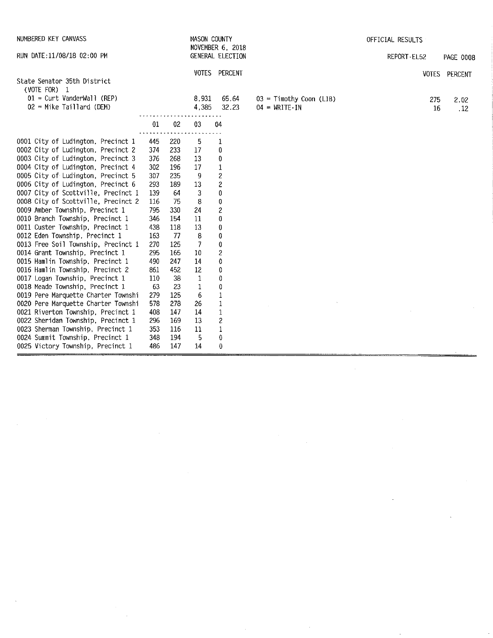| NUMBERED KEY CANVASS                                                       |            |            | MASON COUNTY   | NOVEMBER 6, 2018           |                                                                  | OFFICIAL RESULTS |                  |
|----------------------------------------------------------------------------|------------|------------|----------------|----------------------------|------------------------------------------------------------------|------------------|------------------|
| RUN DATE: 11/08/18 02:00 PM                                                |            |            |                | GENERAL ELECTION           |                                                                  | REPORT-EL52      | <b>PAGE 0008</b> |
|                                                                            |            |            |                | VOTES PERCENT              |                                                                  |                  | VOTES PERCENT    |
| State Senator 35th District                                                |            |            |                |                            |                                                                  |                  |                  |
| (VOTE FOR) 1<br>$01 =$ Curt VanderWall (REP)                               |            |            |                |                            |                                                                  |                  |                  |
| $02$ = Mike Taillard (DEM)                                                 |            |            | 8,931<br>4,385 | 65.64<br>32.23             | $03 =$ Timothy Coon (LIB)<br>$04 = \text{WRITE} \cdot \text{IN}$ | 275              | 2.02             |
|                                                                            |            |            |                |                            |                                                                  | 16               | .12              |
|                                                                            | 01         | 02         | 03             | 04                         |                                                                  |                  |                  |
| 0001 City of Ludington, Precinct 1                                         | 445        | 220        | 5              | 1                          |                                                                  |                  |                  |
| 0002 City of Ludington, Precinct 2                                         | 374        | 233        | 17             | 0                          |                                                                  |                  |                  |
| 0003 City of Ludington, Precinct 3                                         | 376        | 268        | 13             | 0                          |                                                                  |                  |                  |
| 0004 City of Ludington, Precinct 4                                         | 302        | 196        | 17             | $\mathbf 1$                |                                                                  |                  |                  |
| 0005 City of Ludington, Precinct 5                                         | 307        | 235        | 9              | $\overline{\mathbf{c}}$    |                                                                  |                  |                  |
| 0006 City of Ludington, Precinct 6                                         | 293        | 189        | 13             | $\overline{c}$             |                                                                  |                  |                  |
| 0007 City of Scottville, Precinct 1                                        | 139        | -64        | 3              | $\pmb{0}$                  |                                                                  |                  |                  |
| 0008 City of Scottville, Precinct 2                                        | 116        | 75         | 8              | 0                          |                                                                  |                  |                  |
| 0009 Amber Township, Precinct 1                                            | 795        | 330        | 24             | $\overline{\mathbf{c}}$    |                                                                  |                  |                  |
| 0010 Branch Township, Precinct 1                                           | 346        | 154        | 11             | 0                          |                                                                  |                  |                  |
| 0011 Custer Township, Precinct 1                                           | 438        | 118        | 13             | 0                          |                                                                  |                  |                  |
| 0012 Eden Township, Precinct 1                                             | 163        | -77        | 8              | 0                          |                                                                  |                  |                  |
| 0013 Free Soil Township, Precinct 1                                        | 270        | 125        | 7              | $\pmb{0}$                  |                                                                  |                  |                  |
| 0014 Grant Township, Precinct 1                                            | 295        | 165        | 10             | $\overline{\mathbf{c}}$    |                                                                  |                  |                  |
| 0015 Hamlin Township, Precinct 1                                           | 490        | 247        | 14             | $\pmb{0}$                  |                                                                  |                  |                  |
| 0016 Hamlin Township, Precinct 2                                           | 861        | 452        | 12             | $\pmb{0}$                  |                                                                  |                  |                  |
| 0017 Logan Township, Precinct 1                                            | 110        | 38         | $\mathbf{1}$   | 0                          |                                                                  |                  |                  |
| 0018 Meade Township, Precinct 1                                            | 63         | 23         | 1              | 0                          |                                                                  |                  |                  |
| 0019 Pere Marquette Charter Townshi<br>0020 Pere Marquette Charter Townshi | 279<br>578 | 125<br>278 | 6<br>26        | $\mathbf 1$<br>$\mathbf 1$ |                                                                  |                  |                  |
| 0021 Riverton Township, Precinct 1                                         | 408        | 147        | 14             | $\,1$                      |                                                                  |                  |                  |
| 0022 Sheridan Township, Precinct 1                                         | 296        | 169        | 13             | $\overline{\mathbf{c}}$    |                                                                  |                  |                  |
| 0023 Sherman Township, Precinct 1                                          | 353        | 116        | 11             | $\mathbf{1}$               |                                                                  |                  |                  |
| 0024 Summit Township, Precinct 1                                           | 348        | 194        | 5              | $\pmb{0}$                  |                                                                  |                  |                  |
| 0025 Victory Township, Precinct 1                                          | 486        | 147        | 14             | 0                          |                                                                  |                  |                  |
|                                                                            |            |            |                |                            |                                                                  |                  |                  |

 $\label{eq:2.1} \mathcal{L}_{\text{max}}(\mathcal{L}_{\text{max}}) = \mathcal{L}_{\text{max}}(\mathcal{L}_{\text{max}})$ 

 $\mathcal{L}_{\text{max}}$  ,  $\mathcal{L}_{\text{max}}$ 

 $\label{eq:2.1} \frac{1}{\sqrt{2}}\left(\frac{1}{\sqrt{2}}\right)^{2} \left(\frac{1}{\sqrt{2}}\right)^{2} \left(\frac{1}{\sqrt{2}}\right)^{2} \left(\frac{1}{\sqrt{2}}\right)^{2} \left(\frac{1}{\sqrt{2}}\right)^{2} \left(\frac{1}{\sqrt{2}}\right)^{2} \left(\frac{1}{\sqrt{2}}\right)^{2} \left(\frac{1}{\sqrt{2}}\right)^{2} \left(\frac{1}{\sqrt{2}}\right)^{2} \left(\frac{1}{\sqrt{2}}\right)^{2} \left(\frac{1}{\sqrt{2}}\right)^{2} \left(\$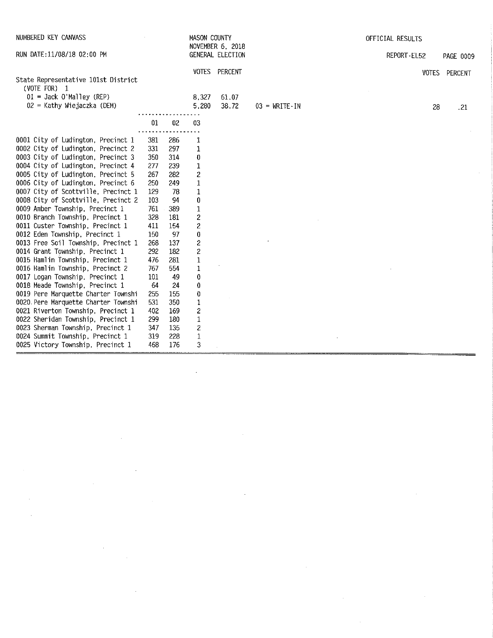| NUMBERED KEY CANVASS                                                     |            |            | MASON COUNTY              | NOVEMBER 6, 2018 |                                     | OFFICIAL RESULTS |               |
|--------------------------------------------------------------------------|------------|------------|---------------------------|------------------|-------------------------------------|------------------|---------------|
| RUN DATE: 11/08/18 02:00 PM                                              |            |            |                           | GENERAL ELECTION |                                     | REPORT-EL52      | PAGE 0009     |
| State Representative 101st District<br>(VOTE FOR) 1                      |            |            |                           | VOTES PERCENT    |                                     |                  | VOTES PERCENT |
| $01 =$ Jack O'Malley (REP)<br>02 = Kathy Wiejaczka (DEM)                 |            |            | 8,327<br>5,280            | 61.07<br>38.72   | $03 = \text{WRITE} \cdot \text{IN}$ | 28               | .21           |
|                                                                          | 01         | $02\,$     | 03                        |                  |                                     |                  |               |
| 0001 City of Ludington, Precinct 1<br>0002 City of Ludington, Precinct 2 | 381<br>331 | 286        | 1                         |                  |                                     |                  |               |
| 0003 City of Ludington, Precinct 3                                       | 350        | 297<br>314 | 1<br>0                    |                  |                                     |                  |               |
| 0004 City of Ludington, Precinct 4                                       | 277        | 239        | $\mathbf 1$               |                  |                                     |                  |               |
| 0005 City of Ludington, Precinct 5                                       | 267        | 282        | $\boldsymbol{c}$          |                  |                                     |                  |               |
| 0006 City of Ludington, Precinct 6                                       | 250        | 249        | $\mathbf{1}$              |                  |                                     |                  |               |
| 0007 City of Scottville, Precinct 1                                      | 129        | 78         | $\mathbf 1$               |                  |                                     |                  |               |
| 0008 City of Scottville, Precinct 2                                      | 103        | 94         | $\pmb{0}$                 |                  |                                     |                  |               |
| 0009 Amber Township, Precinct 1                                          | 761        | 389        | $\mathbf 1$               |                  |                                     |                  |               |
| 0010 Branch Township, Precinct 1                                         | 328        | 181        | $\overline{\mathbf{c}}$   |                  |                                     |                  |               |
| 0011 Custer Township, Precinct 1                                         | 411        | 154        | $\overline{\mathbf{c}}$   |                  |                                     |                  |               |
| 0012 Eden Township, Precinct 1                                           | 150        | 97         | 0                         |                  |                                     |                  |               |
| 0013 Free Soil Township, Precinct 1                                      | 268        | 137        | $\overline{\mathbf{c}}$   |                  |                                     |                  |               |
| 0014 Grant Township, Precinct 1                                          | 292        | 182        | $\overline{\mathbf{c}}$   |                  |                                     |                  |               |
| 0015 Hamlin Township, Precinct 1                                         | 476        | 281        | $\,1$                     |                  |                                     |                  |               |
| 0016 Hamlin Township, Precinct 2<br>0017 Logan Township, Precinct 1      | 767<br>101 | 554<br>49  | 1<br>0                    |                  |                                     |                  |               |
| 0018 Meade Township, Precinct 1                                          | 64         | 24         | 0                         |                  |                                     |                  |               |
| 0019 Pere Marquette Charter Townshi                                      | 255        | 155        | 0                         |                  |                                     |                  |               |
| 0020 Pere Marquette Charter Townshi                                      | 531        | 350        | 1                         |                  |                                     |                  |               |
| 0021 Riverton Township, Precinct 1                                       | 402        | 169        | $\overline{\mathbf{c}}$   |                  |                                     |                  |               |
| 0022 Sheridan Township. Precinct 1                                       | 299        | 180        | $\mathbf 1$               |                  |                                     |                  |               |
| 0023 Sherman Township, Precinct 1                                        | 347        | 135        | $\mathbf{Z}$              |                  |                                     |                  |               |
| 0024 Summit Township, Precinct 1                                         | 319        | 228        | $\ensuremath{\mathsf{1}}$ |                  |                                     |                  |               |
| 0025 Victory Township, Precinct 1                                        | 468        | 176        | 3                         |                  |                                     |                  |               |

 $\label{eq:2.1} \frac{1}{\sqrt{2}}\int_{\mathbb{R}^3}\frac{1}{\sqrt{2}}\left(\frac{1}{\sqrt{2}}\right)^2\frac{1}{\sqrt{2}}\left(\frac{1}{\sqrt{2}}\right)^2\frac{1}{\sqrt{2}}\left(\frac{1}{\sqrt{2}}\right)^2\frac{1}{\sqrt{2}}\left(\frac{1}{\sqrt{2}}\right)^2.$ 

 $\label{eq:2.1} \frac{1}{\sqrt{2}}\left(\frac{1}{\sqrt{2}}\right)^{2} \left(\frac{1}{\sqrt{2}}\right)^{2} \left(\frac{1}{\sqrt{2}}\right)^{2} \left(\frac{1}{\sqrt{2}}\right)^{2} \left(\frac{1}{\sqrt{2}}\right)^{2} \left(\frac{1}{\sqrt{2}}\right)^{2} \left(\frac{1}{\sqrt{2}}\right)^{2} \left(\frac{1}{\sqrt{2}}\right)^{2} \left(\frac{1}{\sqrt{2}}\right)^{2} \left(\frac{1}{\sqrt{2}}\right)^{2} \left(\frac{1}{\sqrt{2}}\right)^{2} \left(\$ 

 $\label{eq:2.1} \frac{1}{\sqrt{2}}\int_{\mathbb{R}^3}\frac{1}{\sqrt{2}}\left(\frac{1}{\sqrt{2}}\right)^2\frac{1}{\sqrt{2}}\left(\frac{1}{\sqrt{2}}\right)^2\frac{1}{\sqrt{2}}\left(\frac{1}{\sqrt{2}}\right)^2\frac{1}{\sqrt{2}}\left(\frac{1}{\sqrt{2}}\right)^2\frac{1}{\sqrt{2}}\left(\frac{1}{\sqrt{2}}\right)^2\frac{1}{\sqrt{2}}\frac{1}{\sqrt{2}}\frac{1}{\sqrt{2}}\frac{1}{\sqrt{2}}\frac{1}{\sqrt{2}}\frac{1}{\sqrt{2}}$ 

 $\mathcal{L}(\mathcal{L})$  and  $\mathcal{L}(\mathcal{L})$  and  $\mathcal{L}(\mathcal{L})$  and  $\mathcal{L}(\mathcal{L})$  and  $\mathcal{L}(\mathcal{L})$ 

 $\label{eq:2.1} \frac{1}{\sqrt{2}}\left(\frac{1}{\sqrt{2}}\right)^{2} \left(\frac{1}{\sqrt{2}}\right)^{2} \left(\frac{1}{\sqrt{2}}\right)^{2} \left(\frac{1}{\sqrt{2}}\right)^{2} \left(\frac{1}{\sqrt{2}}\right)^{2} \left(\frac{1}{\sqrt{2}}\right)^{2} \left(\frac{1}{\sqrt{2}}\right)^{2} \left(\frac{1}{\sqrt{2}}\right)^{2} \left(\frac{1}{\sqrt{2}}\right)^{2} \left(\frac{1}{\sqrt{2}}\right)^{2} \left(\frac{1}{\sqrt{2}}\right)^{2} \left(\$ 

 $\label{eq:2.1} \mathcal{L}(\mathcal{L}^{\mathcal{L}}_{\mathcal{L}}(\mathcal{L}^{\mathcal{L}}_{\mathcal{L}})) \leq \mathcal{L}(\mathcal{L}^{\mathcal{L}}_{\mathcal{L}}(\mathcal{L}^{\mathcal{L}}_{\mathcal{L}})) \leq \mathcal{L}(\mathcal{L}^{\mathcal{L}}_{\mathcal{L}}(\mathcal{L}^{\mathcal{L}}_{\mathcal{L}}))$ 

 $\label{eq:2.1} \frac{1}{\sqrt{2}}\int_{\mathbb{R}^3}\frac{1}{\sqrt{2}}\left(\frac{1}{\sqrt{2}}\right)^2\frac{1}{\sqrt{2}}\left(\frac{1}{\sqrt{2}}\right)^2\frac{1}{\sqrt{2}}\left(\frac{1}{\sqrt{2}}\right)^2\frac{1}{\sqrt{2}}\left(\frac{1}{\sqrt{2}}\right)^2\frac{1}{\sqrt{2}}\left(\frac{1}{\sqrt{2}}\right)^2\frac{1}{\sqrt{2}}\frac{1}{\sqrt{2}}\frac{1}{\sqrt{2}}\frac{1}{\sqrt{2}}\frac{1}{\sqrt{2}}\frac{1}{\sqrt{2}}$ 

 $\label{eq:2.1} \frac{1}{2} \sum_{i=1}^n \frac{1}{2} \sum_{j=1}^n \frac{1}{2} \sum_{j=1}^n \frac{1}{2} \sum_{j=1}^n \frac{1}{2} \sum_{j=1}^n \frac{1}{2} \sum_{j=1}^n \frac{1}{2} \sum_{j=1}^n \frac{1}{2} \sum_{j=1}^n \frac{1}{2} \sum_{j=1}^n \frac{1}{2} \sum_{j=1}^n \frac{1}{2} \sum_{j=1}^n \frac{1}{2} \sum_{j=1}^n \frac{1}{2} \sum_{j=1}^n \frac{$ 

 $\hat{\mathcal{A}}$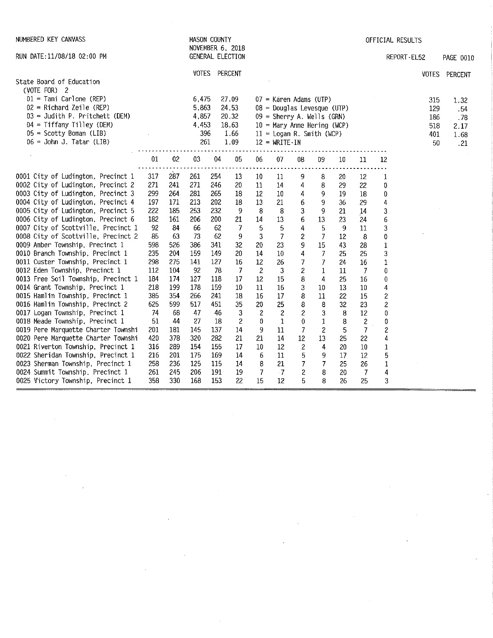| NUMBERED KEY CANVASS                                                                                                                                                                                |                          |                          |                                                | <b>MASON COUNTY</b><br>NOVEMBER 6, 2018 |                                                  |                                  |                                      |                                 |                                                                                                                                                           |                      |                               |                                       | OFFICIAL RESULTS |                                       |                                           |
|-----------------------------------------------------------------------------------------------------------------------------------------------------------------------------------------------------|--------------------------|--------------------------|------------------------------------------------|-----------------------------------------|--------------------------------------------------|----------------------------------|--------------------------------------|---------------------------------|-----------------------------------------------------------------------------------------------------------------------------------------------------------|----------------------|-------------------------------|---------------------------------------|------------------|---------------------------------------|-------------------------------------------|
| RUN DATE: 11/08/18 02:00 PM                                                                                                                                                                         |                          |                          |                                                | GENERAL ELECTION                        |                                                  |                                  |                                      |                                 |                                                                                                                                                           |                      |                               |                                       | REPORT-EL52      |                                       | PAGE 0010                                 |
| State Board of Education                                                                                                                                                                            |                          |                          | <b>VOTES</b>                                   |                                         | PERCENT                                          |                                  |                                      |                                 |                                                                                                                                                           |                      |                               |                                       |                  |                                       | VOTES PERCENT                             |
| (VOTE FOR) 2<br>$01 =$ Tami Carlone (REP)<br>$02$ = Richard Zeile (REP)<br>$03 =$ Judith P. Pritchett (DEM)<br>04 = Tiffany Tilley (DEM)<br>$05$ = Scotty Boman (LIB)<br>$06 =$ John J. Tatar (LIB) |                          |                          | 6,475<br>5,863<br>4,857<br>4,453<br>396<br>261 |                                         | 27.09<br>24.53<br>20.32<br>18.63<br>1.66<br>1.09 |                                  | $12 = \text{WRITE} \cdot \text{IN}$  |                                 | $07$ = Karen Adams (UTP)<br>$08$ = Douglas Levesque (UTP)<br>$09 =$ Sherry A. Wells (GRN)<br>$10 =$ Mary Anne Hering (WCP)<br>$11 =$ Logan R. Smith (WCP) |                      |                               |                                       |                  | 315<br>129<br>186<br>518<br>401<br>50 | 1.32<br>.54<br>.78<br>2.17<br>1.68<br>.21 |
|                                                                                                                                                                                                     | 01                       | 02                       | 03                                             | 04                                      | 05                                               | 06                               | 07                                   | 08                              | 09                                                                                                                                                        | $10\,$               | 11                            | 12                                    |                  |                                       |                                           |
| 0001 City of Ludington, Precinct 1<br>0002 City of Ludington, Precinct 2<br>0003 City of Ludington, Precinct 3<br>0004 City of Ludington, Precinct 4                                                | 317<br>271<br>299<br>197 | 287<br>241<br>264<br>171 | 261<br>271<br>281<br>213                       | 254<br>246<br>265<br>202                | -13<br>20<br>18<br>18                            | 10<br>11<br>12<br>13             | 11<br>14<br>10<br>21                 | 9<br>4<br>4<br>$\boldsymbol{6}$ | 8<br>8<br>9<br>9                                                                                                                                          | 20<br>29<br>19<br>36 | 12<br>22<br>18<br>29          | 1<br>0<br>0<br>4                      |                  |                                       |                                           |
| 0005 City of Ludington, Precinct 5<br>0006 City of Ludington, Precinct 6<br>0007 City of Scottville, Precinct 1                                                                                     | 222<br>182<br>92         | 185<br>161<br>84         | 253<br>206<br>66                               | 232<br>200<br>62                        | -9<br>21<br>-7                                   | 8<br>14<br>5                     | 8<br>13<br>5                         | 3<br>6<br>4                     | 9<br>13<br>5                                                                                                                                              | 21<br>23<br>9        | 14<br>24<br>11                | 3<br>6<br>3                           |                  |                                       |                                           |
| 0008 City of Scottville, Precinct 2<br>0009 Amber Township, Precinct 1<br>0010 Branch Township, Precinct 1                                                                                          | 85<br>598<br>235         | 63<br>526<br>204         | -73<br>386<br>159                              | 62<br>341<br>149                        | 9<br>32<br>20                                    | 3<br>20<br>14                    | $\overline{\phantom{a}}$<br>23<br>10 | $\mathbf{2}$<br>9<br>4          | $\overline{7}$<br>15<br>$\overline{7}$                                                                                                                    | 12<br>43<br>25       | 8<br>28<br>25                 | 0<br>$\mathbf 1$<br>3                 |                  |                                       |                                           |
| 0011 Custer Township, Precinct 1<br>0012 Eden Township, Precinct 1<br>0013 Free Soil Township, Precinct 1<br>0014 Grant Township, Precinct 1                                                        | 298<br>112<br>184<br>218 | 275<br>104<br>174<br>199 | 141<br>92<br>127<br>178                        | 127<br>78<br>118<br>159                 | 16<br>$\overline{7}$<br>17<br>10                 | 12<br>$\overline{c}$<br>12<br>11 | 26<br>3<br>15<br>16                  | 7<br>$\boldsymbol{2}$<br>8<br>3 | 7<br>1<br>4<br>10                                                                                                                                         | 24<br>11<br>25<br>13 | 16<br>7<br>16<br>10           | $\mathbf 1$<br>0<br>0<br>4            |                  |                                       |                                           |
| 0015 Hamlin Township, Precinct 1<br>0016 Hamlin Township, Precinct 2<br>0017 Logan Township, Precinct 1                                                                                             | 385<br>625<br>74         | 354<br>599<br>68         | 266<br>517<br>47                               | 241<br>451<br>46                        | 18<br>35<br>$\mathbf{3}$                         | 16<br>20<br>$\overline{c}$       | 17<br>25<br>$\overline{\mathbf{c}}$  | 8<br>8<br>$\overline{c}$        | 11<br>8<br>3                                                                                                                                              | 22<br>32<br>8        | 15<br>23<br>12                | $\overline{c}$<br>$\overline{c}$<br>0 |                  |                                       |                                           |
| 0018 Meade Township, Precinct 1<br>0019 Pere Marquette Charter Townshi<br>0020 Pere Marquette Charter Townshi<br>0021 Riverton Township, Precinct 1                                                 | 51<br>201<br>420<br>316  | 44<br>181<br>378<br>289  | 27<br>145<br>320<br>154                        | 18<br>137<br>282<br>155                 | 2<br>14<br>21<br>17                              | $\bf{0}$<br>9<br>21<br>10        | 1<br>11<br>14<br>12                  | 0<br>7<br>12<br>$\bar{z}$       | 1<br>2<br>13<br>4                                                                                                                                         | 8<br>5<br>25<br>20   | $\mathbf{2}$<br>7<br>22<br>10 | 0<br>2<br>4<br>1                      |                  |                                       |                                           |
| 0022 Sheridan Township, Precinct 1<br>0023 Sherman Township, Precinct 1<br>0024 Summit Township, Precinct 1<br>0025 Victory Township, Precinct 1                                                    | 216<br>258<br>261<br>358 | 201<br>236<br>245<br>330 | 175<br>125<br>206<br>168                       | 169<br>115<br>191<br>153                | 14<br>14<br>19<br>22                             | 6<br>8<br>7<br>15                | 11<br>21<br>$\cdot$ 7<br>12          | 5<br>7<br>$\overline{c}$<br>5   | 9<br>7<br>8<br>8                                                                                                                                          | 17<br>25<br>20<br>26 | 12<br>26<br>7<br>25           | 5<br>1<br>4<br>3                      |                  |                                       |                                           |

 $\label{eq:2.1} \frac{1}{2} \int_{\mathbb{R}^3} \frac{1}{\sqrt{2\pi}} \int_{\mathbb{R}^3} \frac{1}{\sqrt{2\pi}} \int_{\mathbb{R}^3} \frac{1}{\sqrt{2\pi}} \int_{\mathbb{R}^3} \frac{1}{\sqrt{2\pi}} \int_{\mathbb{R}^3} \frac{1}{\sqrt{2\pi}} \int_{\mathbb{R}^3} \frac{1}{\sqrt{2\pi}} \int_{\mathbb{R}^3} \frac{1}{\sqrt{2\pi}} \int_{\mathbb{R}^3} \frac{1}{\sqrt{2\pi}} \int_{\mathbb{R}^3}$ 

 $\label{eq:2.1} \mathcal{L}(\mathcal{L}(\mathcal{L}))=\mathcal{L}(\mathcal{L}(\mathcal{L}))=\mathcal{L}(\mathcal{L}(\mathcal{L}))=\mathcal{L}(\mathcal{L}(\mathcal{L}))=\mathcal{L}(\mathcal{L}(\mathcal{L}))=\mathcal{L}(\mathcal{L}(\mathcal{L}))=\mathcal{L}(\mathcal{L}(\mathcal{L}))=\mathcal{L}(\mathcal{L}(\mathcal{L}))=\mathcal{L}(\mathcal{L}(\mathcal{L}))=\mathcal{L}(\mathcal{L}(\mathcal{L}))=\mathcal{L}(\mathcal{L}(\mathcal{L}))=\mathcal{L}(\mathcal{L}(\$ 

 $\label{eq:2.1} \frac{1}{\sqrt{2\pi}}\int_{\mathbb{R}^3}\frac{1}{\sqrt{2\pi}}\int_{\mathbb{R}^3}\frac{1}{\sqrt{2\pi}}\int_{\mathbb{R}^3}\frac{1}{\sqrt{2\pi}}\int_{\mathbb{R}^3}\frac{1}{\sqrt{2\pi}}\int_{\mathbb{R}^3}\frac{1}{\sqrt{2\pi}}\int_{\mathbb{R}^3}\frac{1}{\sqrt{2\pi}}\int_{\mathbb{R}^3}\frac{1}{\sqrt{2\pi}}\int_{\mathbb{R}^3}\frac{1}{\sqrt{2\pi}}\int_{\mathbb{R}^3}\frac{1$ 

 $\mathcal{A}^{\mathcal{A}}$ 

 $\label{eq:2.1} \frac{1}{\sqrt{2}}\left(\frac{1}{\sqrt{2}}\right)^{2} \left(\frac{1}{\sqrt{2}}\right)^{2} \left(\frac{1}{\sqrt{2}}\right)^{2} \left(\frac{1}{\sqrt{2}}\right)^{2} \left(\frac{1}{\sqrt{2}}\right)^{2} \left(\frac{1}{\sqrt{2}}\right)^{2} \left(\frac{1}{\sqrt{2}}\right)^{2} \left(\frac{1}{\sqrt{2}}\right)^{2} \left(\frac{1}{\sqrt{2}}\right)^{2} \left(\frac{1}{\sqrt{2}}\right)^{2} \left(\frac{1}{\sqrt{2}}\right)^{2} \left(\$ 

 $\label{eq:2.1} \begin{split} \mathcal{L}_{\text{max}}(\mathbf{r}) = \mathcal{L}_{\text{max}}(\mathbf{r}) \mathcal{L}_{\text{max}}(\mathbf{r}) \,, \end{split}$ 

 $\label{eq:2.1} \mathcal{L}(\mathcal{L}) = \mathcal{L}(\mathcal{L}) \mathcal{L}(\mathcal{L}) \mathcal{L}(\mathcal{L})$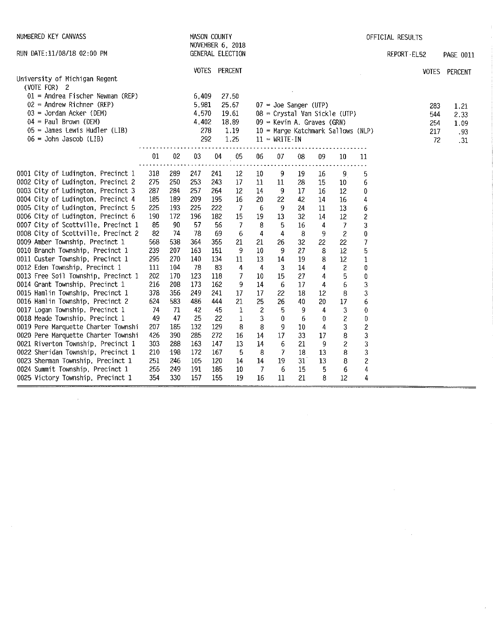| NUMBERED KEY CANVASS                                                                                                                                                                                     |            |            |                                                | <b>MASON COUNTY</b> | NOVEMBER 6, 2018                                 | OFFICIAL RESULTS |                                                                            |          |          |                                                                     |                         |                                |                                    |
|----------------------------------------------------------------------------------------------------------------------------------------------------------------------------------------------------------|------------|------------|------------------------------------------------|---------------------|--------------------------------------------------|------------------|----------------------------------------------------------------------------|----------|----------|---------------------------------------------------------------------|-------------------------|--------------------------------|------------------------------------|
| RUN DATE:11/08/18 02:00 PM                                                                                                                                                                               |            |            |                                                |                     | GENERAL ELECTION                                 |                  |                                                                            |          |          |                                                                     |                         | REPORT-EL52                    | <b>PAGE 0011</b>                   |
| University of Michigan Regent                                                                                                                                                                            |            |            |                                                | VOTES PERCENT       |                                                  |                  |                                                                            |          |          |                                                                     |                         |                                | VOTES PERCENT                      |
| (VOTE FOR) 2<br>$01$ = Andrea Fischer Newman (REP)<br>$02$ = Andrew Richner (REP)<br>$03 =$ Jordan Acker (DEM)<br>$04 = Paul Brown (DEM)$<br>$05 =$ James Lewis Hudler (LIB)<br>$06 =$ John Jascob (LIB) |            |            | 6,409<br>5,981<br>4,570<br>4,402<br>278<br>292 |                     | 27.50<br>25.67<br>19.61<br>18,89<br>1.19<br>1.25 |                  | $07 =$ Joe Sanger (UTP)<br>$09$ = Kevin A. Graves (GRN)<br>$11 = WRITE-IN$ |          |          | 08 = Crystal Van Sickle (UTP)<br>10 = Marge Katchmark Sallows (NLP) |                         | 283<br>544<br>254<br>217<br>72 | 1.21<br>2.33<br>1.09<br>.93<br>.31 |
|                                                                                                                                                                                                          | 01         | 02         | 03                                             | 04                  | 05                                               | 06               | 07                                                                         | 08       | 09       | 10                                                                  | 11                      |                                |                                    |
| 0001 City of Ludington, Precinct 1<br>0002 City of Ludington, Precinct 2                                                                                                                                 | 318<br>275 | 289<br>250 | 247<br>253                                     | 241<br>243          | 12<br>17                                         | 10<br>11         | 9<br>11                                                                    | 19<br>28 | 16<br>15 | 9<br>10                                                             | 5<br>6                  |                                |                                    |
| 0003 City of Ludington, Precinct 3                                                                                                                                                                       | 287        | 284        | 257                                            | 264                 | 12                                               | 14               | 9                                                                          | 17       | 16       | 12                                                                  | 0                       |                                |                                    |
| 0004 City of Ludington, Precinct 4                                                                                                                                                                       | 185        | 189        | 209                                            | 195                 | 16                                               | 20               | 22                                                                         | 42       | 14       | 16                                                                  | 4                       |                                |                                    |
| 0005 City of Ludington, Precinct 5                                                                                                                                                                       | 225        | 193        | 225                                            | 222                 | $\overline{7}$                                   | 6                | 9                                                                          | 24       | 11       | 13                                                                  | 6                       |                                |                                    |
| 0006 City of Ludington, Precinct 6                                                                                                                                                                       | 190        | 172        | 196                                            | 182                 | 15                                               | 19               | 13                                                                         | 32       | 14       | 12                                                                  | $\overline{c}$          |                                |                                    |
| 0007 City of Scottville, Precinct 1                                                                                                                                                                      | 85         | 90         | 57                                             | 56                  | 7                                                | 8                | 5                                                                          | 16       | 4        | 7                                                                   | 3                       |                                |                                    |
| 0008 City of Scottville, Precinct 2                                                                                                                                                                      | 82         | 74         | 78                                             | 69                  | 6                                                | 4                | 4                                                                          | 8        | 9        | $\overline{c}$                                                      | $\bf{0}$                |                                |                                    |
| 0009 Amber Township, Precinct 1                                                                                                                                                                          | 568        | 538        | 364                                            | 355                 | 21                                               | 21               | 26                                                                         | 32       | 22       | 22                                                                  | 7                       |                                |                                    |
| 0010 Branch Township, Precinct 1                                                                                                                                                                         | 239        | 207        | 163                                            | 151                 | 9                                                | 10               | 9                                                                          | 27       | 8        | 12                                                                  | 5                       |                                |                                    |
| 0011 Custer Township, Precinct 1                                                                                                                                                                         | 295        | 270        | 140                                            | 134                 | 11                                               | 13               | 14                                                                         | 19       | 8        | 12                                                                  | 1                       |                                |                                    |
| 0012 Eden Township, Precinct 1                                                                                                                                                                           | 111        | 104        | 78                                             | 83                  | 4                                                | $\overline{4}$   | 3                                                                          | 14       | 4        | 2                                                                   | 0                       |                                |                                    |
| 0013 Free Soil Township, Precinct 1                                                                                                                                                                      | 202        | 170        | 123                                            | 118                 | 7                                                | 10               | 15                                                                         | 27       | 4        | 5                                                                   | 0                       |                                |                                    |
| 0014 Grant Township, Precinct 1                                                                                                                                                                          | 216        | 208        | 173                                            | 162                 | 9                                                | 14               | 6                                                                          | 17       | 4        | 6                                                                   | 3                       |                                |                                    |
| 0015 Hamlin Township, Precinct 1                                                                                                                                                                         | 378        | 356        | 249                                            | 241                 | 17                                               | 17               | 22                                                                         | 18       | 12       | 8                                                                   | 3                       |                                |                                    |
| 0016 Hamlin Township, Precinct 2                                                                                                                                                                         | 624        | 583        | 486                                            | 444                 | 21                                               | 25               | 26                                                                         | 40       | 20       | 17                                                                  | 6                       |                                |                                    |
| 0017 Logan Township, Precinct 1                                                                                                                                                                          | 74         | 71         | 42                                             | 45                  | $\mathbf{1}$                                     | $\overline{2}$   | 5                                                                          | 9        | 4        | 3                                                                   | 0                       |                                |                                    |
| 0018 Meade Township, Precinct 1                                                                                                                                                                          | 49         | 47         | 25                                             | 22                  | $\mathbf{1}$                                     | 3                | $\bf{0}$                                                                   | 6        | 0        | 2                                                                   | 0                       |                                |                                    |
| 0019 Pere Marquette Charter Townshi                                                                                                                                                                      | 207        | 185        | 132                                            | 129                 | 8                                                | 8                | 9                                                                          | 10       | 4        | 3                                                                   | $\overline{\mathbf{c}}$ |                                |                                    |
| 0020 Pere Marquette Charter Townshi                                                                                                                                                                      | 426        | 390        | 285                                            | 272                 | 16                                               | 14               | 17                                                                         | 33       | 17       | 8                                                                   | 3                       |                                |                                    |
| 0021 Riverton Township, Precinct 1                                                                                                                                                                       | 303        | 238        | 163                                            | 147                 | 13                                               | 14               | 6                                                                          | 21       | 9        | $\overline{c}$                                                      | 3                       |                                |                                    |
| 0022 Sheridan Township, Precinct 1                                                                                                                                                                       | 210        | 198        | 172                                            | 167                 | -5                                               | 8                | 7                                                                          | 18       | 13       | 8                                                                   | 3                       |                                |                                    |
| 0023 Sherman Township, Precinct 1                                                                                                                                                                        | 251        | 246        | 105                                            | 120                 | 14                                               | 14               | 19                                                                         | 31       | 13       | 8                                                                   | $\overline{\mathbf{c}}$ |                                |                                    |
| 0024 Summit Township, Precinct 1                                                                                                                                                                         | 255        | 249        | 191                                            | 185                 | 10                                               | $\overline{7}$   | 6                                                                          | 15       | 5        | 6                                                                   | 4                       |                                |                                    |
| 0025 Victory Township, Precinct 1                                                                                                                                                                        | 354        | 330        | 157                                            | 155                 | 19                                               | 16               | 11                                                                         | 21       | 8        | 12                                                                  | 4                       |                                |                                    |

 $\label{eq:2} \frac{1}{\sqrt{2}}\int_{0}^{\infty}\frac{1}{\sqrt{2\pi}}\left(\frac{1}{\sqrt{2\pi}}\right)^{2}d\mu_{\rm{eff}}$ 

 $\label{eq:2.1} \frac{1}{\sqrt{2}}\int_{\mathbb{R}^3}\frac{1}{\sqrt{2}}\left(\frac{1}{\sqrt{2}}\right)^2\frac{1}{\sqrt{2}}\left(\frac{1}{\sqrt{2}}\right)^2\frac{1}{\sqrt{2}}\left(\frac{1}{\sqrt{2}}\right)^2\frac{1}{\sqrt{2}}\left(\frac{1}{\sqrt{2}}\right)^2.$ 

 $\frac{1}{2}$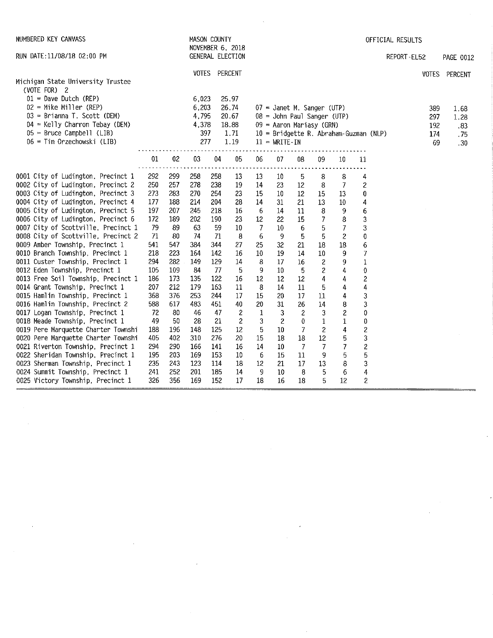| NUMBERED KEY CANVASS                                                     |            |            |              | MASON COUNTY | NOVEMBER 6, 2018 |          |                                        |                |                |                          |                         | OFFICIAL RESULTS |     |               |
|--------------------------------------------------------------------------|------------|------------|--------------|--------------|------------------|----------|----------------------------------------|----------------|----------------|--------------------------|-------------------------|------------------|-----|---------------|
| RUN DATE: 11/08/18 02:00 PM                                              |            |            |              |              | GENERAL ELECTION |          |                                        |                |                |                          |                         | REPORT-EL52      |     | PAGE 0012     |
|                                                                          |            |            | <b>VOTES</b> |              | PERCENT          |          |                                        |                |                |                          |                         |                  |     | VOTES PERCENT |
| Michigan State University Trustee<br>(VOTE FOR) 2                        |            |            |              |              |                  |          |                                        |                |                |                          |                         |                  |     |               |
| $01 =$ Dave Dutch (REP)                                                  |            |            | 6,023        |              | 25.97            |          |                                        |                |                |                          |                         |                  |     |               |
| $02$ = Mike Miller (REP)                                                 |            |            | 6,203        |              | 26.74            |          | $07$ = Janet M. Sanger (UTP)           |                |                |                          |                         |                  | 389 | 1.68          |
| 03 = Brianna T. Scott (DEM)                                              |            |            | 4,795        |              | 20.67            |          | 08 = John Paul Sanger (UTP)            |                |                |                          |                         |                  | 297 | 1.28          |
| $04 =$ Kelly Charron Tebay (DEM)                                         |            |            | 4,378        |              | 18.88            |          | 09 = Aaron Mariasy (GRN)               |                |                |                          |                         |                  | 192 | .83           |
| $05$ = Bruce Campbell (LIB)                                              |            |            | 397          |              | 1.71             |          | 10 = Bridgette R. Abraham-Guzman (NLP) |                |                |                          |                         |                  | 1/4 | .75           |
| 06 = Tim Orzechowski (LIB)                                               |            |            | 277          |              | 1.19             |          | $11 = \text{WRITE} \cdot \text{IN}$    |                |                |                          |                         |                  | 69  | .30           |
|                                                                          | 01         | 02         | 03           | 04           | 05               | 06       | 07                                     | 08             | 09             | 10                       | 11                      |                  |     |               |
|                                                                          |            |            |              |              |                  |          |                                        |                |                | .                        |                         |                  |     |               |
| 0001 City of Ludington, Precinct 1<br>0002 City of Ludington, Precinct 2 | 292<br>250 | 299<br>257 | 258<br>278   | 258<br>238   | 13<br>19         | 13<br>14 | 10                                     | 5<br>$12 \,$   | 8              | 8<br>$\overline{7}$      | 4<br>$\overline{c}$     |                  |     |               |
| 0003 City of Ludington, Precinct 3                                       | 273        | 283        | 270          | 254          | 23               | 15       | 23<br>10                               | $12 \,$        | 8<br>15        | 13                       | 0                       |                  |     |               |
| 0004 City of Ludington, Precinct 4                                       | 177        | 188        | 214          | 204          | 28               | 14       | 31                                     | 21             | 13             | $10\,$                   | 4                       |                  |     |               |
| 0005 City of Ludington, Precinct 5                                       | 197        | 207        | 245          | 218          | 16               | 6        | 14                                     | 11             | 8              | 9                        | 6                       |                  |     |               |
| 0006 City of Ludington, Precinct 6                                       | 172        | 189        | 202          | 190          | 23               | 12       | 22                                     | 15             | 7              | 8                        | 3                       |                  |     |               |
| 0007 City of Scottville, Precinct 1                                      | 79         | 89         | 63           | 59           | 10               | 7        | 10                                     | 6              | 5              | $\overline{\prime}$      | 3                       |                  |     |               |
| 0008 City of Scottville, Precinct 2                                      | 71         | 80         | 74           | 71           | 8                | 6        | 9                                      | 5              | 5              | $\overline{\mathcal{L}}$ | 0                       |                  |     |               |
| 0009 Amber Township, Precinct 1                                          | 541        | 547        | 384          | 344          | 27               | 25       | 32                                     | 21             | 18             | 18                       | 6                       |                  |     |               |
| 0010 Branch Township, Precinct 1                                         | 218        | 223        | 164          | 142          | 16               | 10       | 19                                     | 14             | 10             | 9                        | 7                       |                  |     |               |
| 0011 Custer Township, Precinct 1                                         | 294        | 282        | 149          | 129          | 14               | 8        | 17                                     | 16             | 2              | 9                        | $\mathbf 1$             |                  |     |               |
| 0012 Eden Township, Precinct 1                                           | 105        | 109        | 84           | 77           | 5                | 9        | 10                                     | $\overline{5}$ | $\overline{c}$ | 4                        | 0                       |                  |     |               |
| 0013 Free Soil Township, Precinct 1                                      | 186        | 173        | 135          | 122          | 16               | 12       | 12                                     | 12             | 4              | 4                        | 2                       |                  |     |               |
| 0014 Grant Township, Precinct 1                                          | 207        | 212        | 179          | 163          | 11               | 8        | 14                                     | 11             | 5              | 4                        | 4                       |                  |     |               |
| 0015 Hamlin Township, Precinct 1                                         | 368        | 376        | 253          | 244          | 17               | 15       | 20                                     | 17             | 11             | 4                        | 3                       |                  |     |               |
| 0016 Hamlin Township, Precinct 2                                         | 588        | 617        | 483          | 451          | 40               | 20       | 31                                     | 26             | 14             | 8                        | 3                       |                  |     |               |
| 0017 Logan Township, Precinct 1                                          | 72         | 80         | 46           | 47           | $\overline{c}$   | 1        | 3                                      | $\sqrt{2}$     | 3              | $\overline{\mathbf{c}}$  | 0                       |                  |     |               |
| 0018 Meade Township, Precinct 1                                          | 49         | 50         | 28           | 21           | $\overline{c}$   | 3        | 2                                      | 0              | 1              | 1                        | 0                       |                  |     |               |
| 0019 Pere Marquette Charter Townshi                                      | 188        | 196        | 148          | 125          | 12               | 5        | 10                                     | 7              | $\overline{c}$ | 4                        | $\overline{\mathbf{c}}$ |                  |     |               |
| 0020 Pere Marquette Charter Townshi                                      | 405        | 402        | 310          | 276          | 20               | 15       | 18                                     | $18\,$         | 12             | 5                        | $\mathbf 3$             |                  |     |               |
| 0021 Riverton Township, Precinct 1                                       | 294        | 290        | 166          | 141          | 16               | 14       | 10                                     | $\overline{7}$ | 7              | 7                        | $\overline{\mathbf{c}}$ |                  |     |               |
| 0022 Sheridan Township, Precinct 1                                       | 195        | 203        | 169          | 153          | 10               | 6        | 15                                     | 11             | 9              | 5                        | 5                       |                  |     |               |
| 0023 Sherman Township, Precinct 1                                        | 235        | 243        | 123          | 114          | 18               | 12       | 21                                     | 17             | 13             | 8                        | 3                       |                  |     |               |
| 0024 Summit Township, Precinct 1                                         | 241        | 252        | 201          | 185          | 14               | 9        | 10                                     | 8              | 5              | 6                        | $\overline{4}$          |                  |     |               |
| 0025 Victory Township, Precinct 1                                        | 326        | 356        | 169          | 152          | 17               | 18       | 16                                     | 18             | 5              | 12                       | $\mathbf{2}$            |                  |     |               |

 $\sim$   $\epsilon$ 

 $\label{eq:2} \frac{1}{\sqrt{2}}\sum_{i=1}^n\frac{1}{\sqrt{2}}\sum_{i=1}^n\frac{1}{\sqrt{2}}\sum_{i=1}^n\frac{1}{\sqrt{2}}\sum_{i=1}^n\frac{1}{\sqrt{2}}\sum_{i=1}^n\frac{1}{\sqrt{2}}\sum_{i=1}^n\frac{1}{\sqrt{2}}\sum_{i=1}^n\frac{1}{\sqrt{2}}\sum_{i=1}^n\frac{1}{\sqrt{2}}\sum_{i=1}^n\frac{1}{\sqrt{2}}\sum_{i=1}^n\frac{1}{\sqrt{2}}\sum_{i=1}^n\frac{1$ 

 $\sim 400$ 

 $\sim$ 

 $\begin{aligned} \frac{1}{\sqrt{2}}\mathbf{1}_{\mathbf{1}}\mathbf{1}_{\mathbf{1}}\mathbf{1}_{\mathbf{1}}\mathbf{1}_{\mathbf{1}}\mathbf{1}_{\mathbf{1}}\mathbf{1}_{\mathbf{1}}\mathbf{1}_{\mathbf{1}}\mathbf{1}_{\mathbf{1}}\mathbf{1}_{\mathbf{1}}\mathbf{1}_{\mathbf{1}}\mathbf{1}_{\mathbf{1}}\mathbf{1}_{\mathbf{1}}\mathbf{1}_{\mathbf{1}}\mathbf{1}_{\mathbf{1}}\mathbf{1}_{\mathbf{1}}\mathbf{1}_{\mathbf{1}}\mathbf{1}_{\mathbf{1}}\$ 

 $\sim$ 

 $\mathcal{L}^{\text{max}}_{\text{max}}$ 

 $\frac{1}{\sqrt{2}}\sum_{i=1}^{n} \frac{1}{\sqrt{2}}\left(\frac{1}{\sqrt{2}}\right)^2\left(\frac{1}{\sqrt{2}}\right)^2.$ 

 $\frac{1}{\sqrt{2}}\int_{0}^{\pi}\frac{1}{\sqrt{2}}\left( \frac{1}{\sqrt{2}}\right) \left( \frac{1}{\sqrt{2}}\right) \frac{1}{\sqrt{2}}\left( \frac{1}{\sqrt{2}}\right) \left( \frac{1}{\sqrt{2}}\right) \frac{1}{\sqrt{2}}\left( \frac{1}{\sqrt{2}}\right) \frac{1}{\sqrt{2}}\left( \frac{1}{\sqrt{2}}\right) \frac{1}{\sqrt{2}}\left( \frac{1}{\sqrt{2}}\right) \frac{1}{\sqrt{2}}\left( \frac{1}{\sqrt{2}}\right) \frac{1}{\sqrt{2}}\left( \$ 

 $\mathcal{L}_{\text{max}}$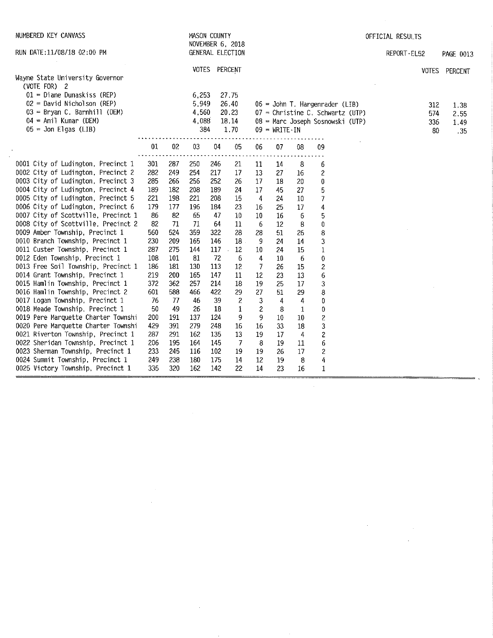| NUMBERED KEY CANVASS                                               |          |            |          | MASON COUNTY<br>NOVEMBER 6, 2018 |                 |                   |                                     |                |                                    | OFFICIAL RESULTS |               |
|--------------------------------------------------------------------|----------|------------|----------|----------------------------------|-----------------|-------------------|-------------------------------------|----------------|------------------------------------|------------------|---------------|
| RUN DATE: 11/08/18 02:00 PM                                        |          |            |          | GENERAL ELECTION                 |                 |                   |                                     |                |                                    | REPORT-EL52      | PAGE 0013     |
|                                                                    |          |            |          | VOTES PERCENT                    |                 |                   |                                     |                |                                    |                  | VOTES PERCENT |
| Wayne State University Governor<br>(VOTE FOR) 2                    |          |            |          |                                  |                 |                   |                                     |                |                                    |                  |               |
| $01$ = Diane Dunaskiss (REP)                                       |          |            | 6,253    | 27.75                            |                 |                   |                                     |                |                                    |                  |               |
| 02 = David Nicholson (REP)                                         |          |            | 5,949    | 26.40                            |                 |                   |                                     |                | $06 =$ John T. Hargenrader (LIB)   | 312              | 1.38          |
| $03 =$ Bryan C. Barnhill (DEM)                                     |          |            | 4,560    | 20.23                            |                 |                   |                                     |                | $07$ = Christine C. Schwartz (UTP) | 574              | 2.55          |
| 04 = Anil Kumar (DEM)                                              |          |            | 4,088    | 18.14                            |                 |                   |                                     |                | 08 = Marc Joseph Sosnowski (UTP)   | 336              | 1.49          |
| $05 =$ Jon Elgas (LIB)                                             |          |            | 384      |                                  | 1.70            |                   | $09 = \text{WRITE} \cdot \text{IN}$ |                |                                    | 80               | .35           |
|                                                                    | 01       | 02         | $03\,$   | 04                               | 05              | 06                | 07                                  | 08             | 09                                 |                  |               |
|                                                                    |          |            |          |                                  |                 |                   |                                     |                |                                    |                  |               |
| 0001 City of Ludington, Precinct 1                                 | 301      | 287        | 250      | 246                              | 21              | 11                | 14                                  | 8              | 6                                  |                  |               |
| 0002 City of Ludington, Precinct 2                                 | 282      | 249        | 254      | 217                              | 17              | 13                | 27                                  | 16             | 2                                  |                  |               |
| 0003 City of Ludington, Precinct 3                                 | 285      | 266        | 256      | 252                              | 26              | 17                | 18                                  | 20             | 0                                  |                  |               |
| 0004 City of Ludington, Precinct 4                                 | 189      | 182        | 208      | 189                              | 24              | 17                | 45                                  | 27             | 5                                  |                  |               |
| 0005 City of Ludington, Precinct 5                                 | 221      | 198        | 221      | 203                              | 15              | 4                 | 24                                  | 10             | $\overline{7}$                     |                  |               |
| 0006 City of Ludington, Precinct 6                                 | 179      | 177        | 196      | 184                              | 23              | 16                | 25                                  | 17             | 4                                  |                  |               |
| 0007 City of Scottville, Precinct 1                                | 86       | 82         | 65       | 47                               | 10              | 10                | 16                                  | 6              | 5                                  |                  |               |
| 0008 City of Scottville, Precinct 2                                | 82       | 71         | 71       | 64                               | 11              | 6                 | 12                                  | 8              | 0                                  |                  |               |
| 0009 Amber Township, Precinct 1                                    | 560      | 524        | 359      | 322                              | 28              | 28                | 51                                  | 26             | 8                                  |                  |               |
| 0010 Branch Township, Precinct 1                                   | 230      | 209        | 165      | 146                              | 18 <sup>1</sup> | 9                 | 24                                  | 14             | 3                                  |                  |               |
| 0011 Custer Township, Precinct 1                                   | 287      | 275        | 144      | 117                              | 12              | 10                | 24                                  | 15             | 1                                  |                  |               |
| 0012 Eden Township, Precinct 1                                     | 108      | 101        | 81       | 72                               | 6               | 4                 | 10                                  | -6             | 0                                  |                  |               |
| 0013 Free Soil Township, Precinct 1                                | 186      | 181        | 130      | 113                              | 12              | $\overline{7}$    | 26                                  | 15             | 2                                  |                  |               |
| 0014 Grant Township, Precinct 1                                    | 219      | 200        | 165      | 147                              | 11              | 12                | 23                                  | 13             | 6                                  |                  |               |
| 0015 Hamlin Township, Precinct 1                                   | 372      | 362        | 257      | 214                              | 18              | 19                | 25                                  | 17             | 3                                  |                  |               |
| 0016 Hamlin Township, Precinct 2                                   | 601      | 588<br>-77 | 466      | 422                              | 29              | 27                | 51                                  | 29             | 8                                  |                  |               |
| 0017 Logan Township, Precinct 1<br>0018 Meade Township, Precinct 1 | 76<br>50 | 49         | 46<br>26 | 39<br>18                         | $\mathbf{z}$    | 3                 | 4                                   | 4              | 0                                  |                  |               |
| 0019 Pere Marquette Charter Townshi                                | 200      | 191        | 137      | 124                              | 1<br>9.         | $\mathbf{Z}$<br>9 | 8<br>10                             | 1<br>10        | 0<br>$\overline{c}$                |                  |               |
| 0020 Pere Marquette Charter Townshi                                | 429      | 391        | 279      | 248                              | 16              | 16                | 33                                  | 18             | 3                                  |                  |               |
| 0021 Riverton Township, Precinct 1                                 | 287      | 291        | 162      | 135                              | 13              | 19                | 17                                  | $\overline{4}$ | 2                                  |                  |               |
| 0022 Sheridan Township, Precinct 1                                 | 206      | 195        | 164      | 145                              | $\overline{7}$  | -8                | 19                                  | 11             | 6                                  |                  |               |
| 0023 Sherman Township, Precinct 1                                  | 233      | 245        | 116      | 102                              | 19              | 19                | 26                                  | 17             | 2                                  |                  |               |
| 0024 Summit Township, Precinct 1                                   | 249      | 238        | 180      | 175                              | 14              | 12                | 19                                  | 8              | 4                                  |                  |               |
| 0025 Victory Township, Precinct 1                                  | 335      | 320        | 162      | 142                              | 22              | 14                | 23                                  | 16             | $\mathbf{1}$                       |                  |               |

 $\label{eq:2.1} \begin{split} \mathcal{L}_{\text{max}}(\mathcal{L}_{\text{max}}) = \mathcal{L}_{\text{max}}(\mathcal{L}_{\text{max}}) \,, \end{split}$ 

 $\sim$   $\sim$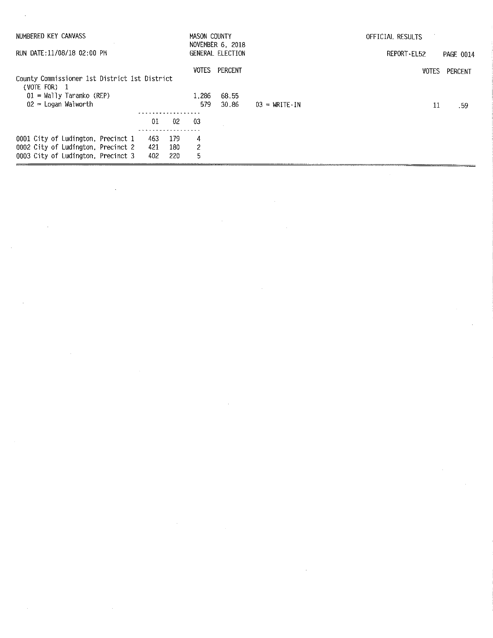| NUMBERED KEY CANVASS                                                                                           |                   |                   | MASON COUNTY | NOVEMBER 6, 2018 |                                     | OFFICIAL RESULTS |           |
|----------------------------------------------------------------------------------------------------------------|-------------------|-------------------|--------------|------------------|-------------------------------------|------------------|-----------|
| RUN DATE:11/08/18 02:00 PM                                                                                     |                   |                   |              | GENERAL ELECTION |                                     | REPORT-EL52      | PAGE 0014 |
| County Commissioner 1st District 1st District<br>(VOTE FOR)<br>$\mathbf{1}$                                    |                   |                   | VOTES        | PERCENT          |                                     | <b>VOTES</b>     | PERCENT   |
| $01 =$ Wally Taranko (REP)<br>$02$ = Logan Walworth                                                            |                   |                   | 1.286<br>579 | 68.55<br>30.86   | $03 = \text{WRITE} \cdot \text{IN}$ | 11               | .59       |
|                                                                                                                | 01                | 02 <sub>2</sub>   | -03          |                  |                                     |                  |           |
| 0001 City of Ludington, Precinct 1<br>0002 City of Ludington, Precinct 2<br>0003 City of Ludington, Precinct 3 | 463<br>421<br>402 | 179<br>180<br>220 | 4<br>2<br>5  |                  |                                     |                  |           |

 $\label{eq:2.1} \frac{1}{\sqrt{2}}\int_{\mathbb{R}^3}\frac{1}{\sqrt{2}}\left(\frac{1}{\sqrt{2}}\right)^2\frac{1}{\sqrt{2}}\left(\frac{1}{\sqrt{2}}\right)^2\frac{1}{\sqrt{2}}\left(\frac{1}{\sqrt{2}}\right)^2\frac{1}{\sqrt{2}}\left(\frac{1}{\sqrt{2}}\right)^2.$ 

 $\label{eq:2.1} \mathcal{L}(\mathcal{L}^{\text{max}}_{\mathcal{L}}(\mathcal{L}^{\text{max}}_{\mathcal{L}}),\mathcal{L}^{\text{max}}_{\mathcal{L}}(\mathcal{L}^{\text{max}}_{\mathcal{L}}))$ 

 $\label{eq:2.1} \frac{1}{\sqrt{2}}\left(\frac{1}{\sqrt{2}}\right)^{2} \left(\frac{1}{\sqrt{2}}\right)^{2} \left(\frac{1}{\sqrt{2}}\right)^{2} \left(\frac{1}{\sqrt{2}}\right)^{2} \left(\frac{1}{\sqrt{2}}\right)^{2} \left(\frac{1}{\sqrt{2}}\right)^{2} \left(\frac{1}{\sqrt{2}}\right)^{2} \left(\frac{1}{\sqrt{2}}\right)^{2} \left(\frac{1}{\sqrt{2}}\right)^{2} \left(\frac{1}{\sqrt{2}}\right)^{2} \left(\frac{1}{\sqrt{2}}\right)^{2} \left(\$ 

 $\label{eq:2.1} \frac{1}{\sqrt{2}}\int_{\mathbb{R}^3}\frac{1}{\sqrt{2}}\left(\frac{1}{\sqrt{2}}\right)^2\frac{1}{\sqrt{2}}\left(\frac{1}{\sqrt{2}}\right)^2\frac{1}{\sqrt{2}}\left(\frac{1}{\sqrt{2}}\right)^2.$ 

 $\label{eq:2.1} \frac{1}{\sqrt{2}}\int_{0}^{\infty}\frac{1}{\sqrt{2\pi}}\left(\frac{1}{\sqrt{2\pi}}\right)^{2}d\mu_{\rm{eff}}\,d\mu_{\rm{eff}}$ 

 $\mathcal{A}^{\mathcal{A}}$ 

 $\hat{\mathcal{L}}$ 

 $\mathcal{A}$ 

 $\label{eq:2.1} \frac{1}{\sqrt{2}}\left(\frac{1}{\sqrt{2}}\right)^{2} \left(\frac{1}{\sqrt{2}}\right)^{2} \left(\frac{1}{\sqrt{2}}\right)^{2} \left(\frac{1}{\sqrt{2}}\right)^{2} \left(\frac{1}{\sqrt{2}}\right)^{2} \left(\frac{1}{\sqrt{2}}\right)^{2} \left(\frac{1}{\sqrt{2}}\right)^{2} \left(\frac{1}{\sqrt{2}}\right)^{2} \left(\frac{1}{\sqrt{2}}\right)^{2} \left(\frac{1}{\sqrt{2}}\right)^{2} \left(\frac{1}{\sqrt{2}}\right)^{2} \left(\$ 

 $\label{eq:2.1} \frac{1}{\sqrt{2}}\left(\frac{1}{\sqrt{2}}\right)^{2} \left(\frac{1}{\sqrt{2}}\right)^{2} \left(\frac{1}{\sqrt{2}}\right)^{2} \left(\frac{1}{\sqrt{2}}\right)^{2} \left(\frac{1}{\sqrt{2}}\right)^{2} \left(\frac{1}{\sqrt{2}}\right)^{2} \left(\frac{1}{\sqrt{2}}\right)^{2} \left(\frac{1}{\sqrt{2}}\right)^{2} \left(\frac{1}{\sqrt{2}}\right)^{2} \left(\frac{1}{\sqrt{2}}\right)^{2} \left(\frac{1}{\sqrt{2}}\right)^{2} \left(\$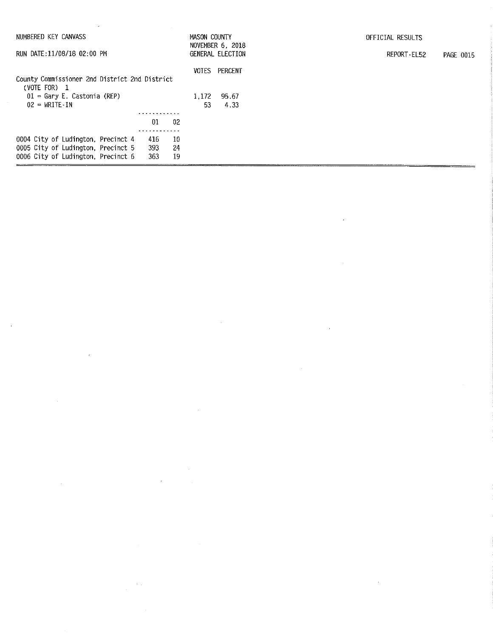| NUMBERED KEY CANVASS                                                                                                                                        | MASON COUNTY          | NOVEMBER 6, 2018         | OFFICIAL RESULTS         |
|-------------------------------------------------------------------------------------------------------------------------------------------------------------|-----------------------|--------------------------|--------------------------|
| RUN DATE:11/08/18 02:00 PM                                                                                                                                  |                       | GENERAL ELECTION         | REPORT-EL52<br>PAGE 0015 |
| County Commissioner 2nd District 2nd District<br>(VOTE FOR) 1<br>$01 - Gary E$ . Castonia (REP)<br>$02 = \text{WRITE} \cdot \text{IN}$                      | VOTES<br>1.172<br>53. | PERCENT<br>95.67<br>4.33 |                          |
| .                                                                                                                                                           |                       |                          |                          |
| 01<br>-02                                                                                                                                                   |                       |                          |                          |
| .<br>0004 City of Ludington, Precinct 4<br>10<br>416<br>0005 City of Ludington, Precinct 5<br>393<br>-24<br>363<br>0006 City of Ludington, Precinct 6<br>19 |                       |                          |                          |

 $\label{eq:2.1} \mathcal{L}(\mathcal{L}^{\text{max}}_{\text{max}}(\mathcal{L}^{\text{max}}_{\text{max}}), \mathcal{L}^{\text{max}}_{\text{max}}(\mathcal{L}^{\text{max}}_{\text{max}}))$ 

 $\label{eq:2.1} \frac{1}{2}\sum_{i=1}^n\frac{1}{2}\left(\frac{1}{2}\sum_{i=1}^n\frac{1}{2}\sum_{i=1}^n\frac{1}{2}\sum_{i=1}^n\frac{1}{2}\sum_{i=1}^n\frac{1}{2}\sum_{i=1}^n\frac{1}{2}\sum_{i=1}^n\frac{1}{2}\sum_{i=1}^n\frac{1}{2}\sum_{i=1}^n\frac{1}{2}\sum_{i=1}^n\frac{1}{2}\sum_{i=1}^n\frac{1}{2}\sum_{i=1}^n\frac{1}{2}\sum_{i=1}^n\frac{1}{2}\sum$ 

 $\label{eq:2.1} \frac{1}{\sqrt{2\pi}}\sum_{i=1}^n\frac{1}{\sqrt{2\pi}}\sum_{i=1}^n\frac{1}{\sqrt{2\pi}}\sum_{i=1}^n\frac{1}{\sqrt{2\pi}}\sum_{i=1}^n\frac{1}{\sqrt{2\pi}}\sum_{i=1}^n\frac{1}{\sqrt{2\pi}}\sum_{i=1}^n\frac{1}{\sqrt{2\pi}}\sum_{i=1}^n\frac{1}{\sqrt{2\pi}}\sum_{i=1}^n\frac{1}{\sqrt{2\pi}}\sum_{i=1}^n\frac{1}{\sqrt{2\pi}}\sum_{i=1}^n\$ 

 $\mathcal{L}^{\text{max}}_{\text{max}}$  and  $\mathcal{L}^{\text{max}}_{\text{max}}$ 

 $\sim$ 

 $\label{eq:2.1} \frac{1}{2} \int_{\mathbb{R}^3} \frac{1}{\sqrt{2}} \, \frac{1}{\sqrt{2}} \, \frac{1}{\sqrt{2}} \, \frac{1}{\sqrt{2}} \, \frac{1}{\sqrt{2}} \, \frac{1}{\sqrt{2}} \, \frac{1}{\sqrt{2}} \, \frac{1}{\sqrt{2}} \, \frac{1}{\sqrt{2}} \, \frac{1}{\sqrt{2}} \, \frac{1}{\sqrt{2}} \, \frac{1}{\sqrt{2}} \, \frac{1}{\sqrt{2}} \, \frac{1}{\sqrt{2}} \, \frac{1}{\sqrt{2}} \, \frac{1}{\sqrt{2}} \,$ 

 $\label{eq:2.1} \frac{1}{\sqrt{2}}\left(\frac{1}{\sqrt{2}}\right)^{2} \left(\frac{1}{\sqrt{2}}\right)^{2} \left(\frac{1}{\sqrt{2}}\right)^{2} \left(\frac{1}{\sqrt{2}}\right)^{2} \left(\frac{1}{\sqrt{2}}\right)^{2} \left(\frac{1}{\sqrt{2}}\right)^{2} \left(\frac{1}{\sqrt{2}}\right)^{2} \left(\frac{1}{\sqrt{2}}\right)^{2} \left(\frac{1}{\sqrt{2}}\right)^{2} \left(\frac{1}{\sqrt{2}}\right)^{2} \left(\frac{1}{\sqrt{2}}\right)^{2} \left(\$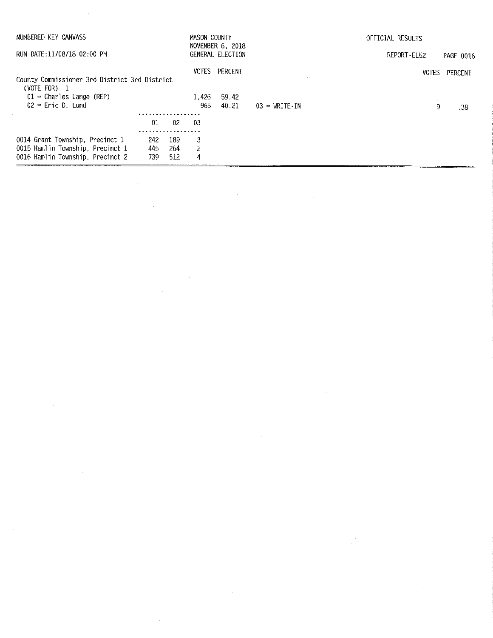| NUMBERED KEY CANVASS                                                                                    |                   |                   | MASON COUNTY | NOVEMBER 6, 2018 |                                     | OFFICIAL RESULTS |           |  |
|---------------------------------------------------------------------------------------------------------|-------------------|-------------------|--------------|------------------|-------------------------------------|------------------|-----------|--|
| RUN DATE:11/08/18 02:00 PM                                                                              |                   |                   |              | GENERAL ELECTION |                                     | REPORT-EL52      | PAGE 0016 |  |
| County Commissioner 3rd District 3rd District<br>(VOTE FOR) 1                                           |                   |                   | VOTES        | PERCENT          |                                     | <b>VOTES</b>     | PERCENT   |  |
| $01$ = Charles Lange (REP)                                                                              |                   |                   | 1.426        | 59.42            |                                     |                  |           |  |
| $02$ = Eric D. Lund                                                                                     |                   |                   | 965          | 40.21            | $03 = \text{WRITE} \cdot \text{IN}$ | 9                | .38       |  |
|                                                                                                         |                   |                   |              |                  |                                     |                  |           |  |
|                                                                                                         | 01                | 02                | -03          |                  |                                     |                  |           |  |
| 0014 Grant Township, Precinct 1<br>0015 Hamlin Township, Precinct 1<br>0016 Hamlin Township, Precinct 2 | 242<br>445<br>739 | 189<br>264<br>512 | 3<br>2<br>4  |                  |                                     |                  |           |  |

 $\label{eq:2.1} \frac{1}{\sqrt{2}}\int_{\mathbb{R}^3}\frac{1}{\sqrt{2}}\left(\frac{1}{\sqrt{2}}\int_{\mathbb{R}^3}\frac{1}{\sqrt{2}}\left(\frac{1}{\sqrt{2}}\int_{\mathbb{R}^3}\frac{1}{\sqrt{2}}\left(\frac{1}{\sqrt{2}}\int_{\mathbb{R}^3}\frac{1}{\sqrt{2}}\right)\frac{1}{\sqrt{2}}\right)\frac{1}{\sqrt{2}}\right)=\frac{1}{2}\int_{\mathbb{R}^3}\frac{1}{\sqrt{2}}\int_{\mathbb{R}^3}\frac{1}{\sqrt{2}}\frac{1}{\$ 

 $\label{eq:2.1} \mathcal{L}(\mathcal{L}) = \mathcal{L}(\mathcal{L}) = \mathcal{L}(\mathcal{L}) = \mathcal{L}(\mathcal{L}) = \mathcal{L}(\mathcal{L}) = \mathcal{L}(\mathcal{L})$ 

 $\label{eq:2.1} \mathcal{L}(\mathcal{L}^{\mathcal{L}}_{\mathcal{L}}(\mathcal{L}^{\mathcal{L}}_{\mathcal{L}})) = \mathcal{L}(\mathcal{L}^{\mathcal{L}}_{\mathcal{L}}(\mathcal{L}^{\mathcal{L}}_{\mathcal{L}})) = \mathcal{L}(\mathcal{L}^{\mathcal{L}}_{\mathcal{L}}(\mathcal{L}^{\mathcal{L}}_{\mathcal{L}}))$ 

 $\label{eq:2.1} \frac{1}{\sqrt{2}}\int_{\mathbb{R}^3}\frac{1}{\sqrt{2}}\left(\frac{1}{\sqrt{2}}\right)^2\frac{1}{\sqrt{2}}\left(\frac{1}{\sqrt{2}}\right)^2\frac{1}{\sqrt{2}}\left(\frac{1}{\sqrt{2}}\right)^2\frac{1}{\sqrt{2}}\left(\frac{1}{\sqrt{2}}\right)^2\frac{1}{\sqrt{2}}\left(\frac{1}{\sqrt{2}}\right)^2.$ 

 $\label{eq:2.1} \frac{1}{2} \sum_{i=1}^n \frac{1}{2} \sum_{j=1}^n \frac{1}{2} \sum_{j=1}^n \frac{1}{2} \sum_{j=1}^n \frac{1}{2} \sum_{j=1}^n \frac{1}{2} \sum_{j=1}^n \frac{1}{2} \sum_{j=1}^n \frac{1}{2} \sum_{j=1}^n \frac{1}{2} \sum_{j=1}^n \frac{1}{2} \sum_{j=1}^n \frac{1}{2} \sum_{j=1}^n \frac{1}{2} \sum_{j=1}^n \frac{1}{2} \sum_{j=1}^n \frac{$ 

 $\sim$   $\sim$ 

 $\label{eq:2.1} \frac{1}{\sqrt{2}}\sum_{i=1}^n\frac{1}{\sqrt{2}}\sum_{i=1}^n\frac{1}{\sqrt{2}}\sum_{i=1}^n\frac{1}{\sqrt{2}}\sum_{i=1}^n\frac{1}{\sqrt{2}}\sum_{i=1}^n\frac{1}{\sqrt{2}}\sum_{i=1}^n\frac{1}{\sqrt{2}}\sum_{i=1}^n\frac{1}{\sqrt{2}}\sum_{i=1}^n\frac{1}{\sqrt{2}}\sum_{i=1}^n\frac{1}{\sqrt{2}}\sum_{i=1}^n\frac{1}{\sqrt{2}}\sum_{i=1}^n\frac$ 

 $\label{eq:2.1} \frac{1}{\sqrt{2}}\int_{0}^{\infty}\frac{1}{\sqrt{2\pi}}\left(\frac{1}{\sqrt{2\pi}}\right)^{2\alpha} \frac{1}{\sqrt{2\pi}}\int_{0}^{\infty}\frac{1}{\sqrt{2\pi}}\left(\frac{1}{\sqrt{2\pi}}\right)^{\alpha} \frac{1}{\sqrt{2\pi}}\frac{1}{\sqrt{2\pi}}\int_{0}^{\infty}\frac{1}{\sqrt{2\pi}}\frac{1}{\sqrt{2\pi}}\frac{1}{\sqrt{2\pi}}\frac{1}{\sqrt{2\pi}}\frac{1}{\sqrt{2\pi}}\frac{1}{\sqrt{2\pi}}$ 

 $\sim$   $\sim$ 

 $\label{eq:2.1} \frac{1}{\sqrt{2}}\int_{\mathbb{R}^3}\frac{1}{\sqrt{2}}\left(\frac{1}{\sqrt{2}}\right)^2\frac{1}{\sqrt{2}}\left(\frac{1}{\sqrt{2}}\right)^2\frac{1}{\sqrt{2}}\left(\frac{1}{\sqrt{2}}\right)^2\frac{1}{\sqrt{2}}\left(\frac{1}{\sqrt{2}}\right)^2.$ 

 $\mathcal{L}^{\text{max}}_{\text{max}}$ 

 $\label{eq:2.1} \frac{1}{\sqrt{2}}\left(\frac{1}{\sqrt{2}}\right)^{2} \left(\frac{1}{\sqrt{2}}\right)^{2} \left(\frac{1}{\sqrt{2}}\right)^{2} \left(\frac{1}{\sqrt{2}}\right)^{2} \left(\frac{1}{\sqrt{2}}\right)^{2} \left(\frac{1}{\sqrt{2}}\right)^{2} \left(\frac{1}{\sqrt{2}}\right)^{2} \left(\frac{1}{\sqrt{2}}\right)^{2} \left(\frac{1}{\sqrt{2}}\right)^{2} \left(\frac{1}{\sqrt{2}}\right)^{2} \left(\frac{1}{\sqrt{2}}\right)^{2} \left(\$ 

 $\Delta \sim 10^4$ 

 $\label{eq:2.1} \frac{1}{\sqrt{2}}\left(\frac{1}{\sqrt{2}}\right)^{2} \left(\frac{1}{\sqrt{2}}\right)^{2} \left(\frac{1}{\sqrt{2}}\right)^{2} \left(\frac{1}{\sqrt{2}}\right)^{2} \left(\frac{1}{\sqrt{2}}\right)^{2} \left(\frac{1}{\sqrt{2}}\right)^{2} \left(\frac{1}{\sqrt{2}}\right)^{2} \left(\frac{1}{\sqrt{2}}\right)^{2} \left(\frac{1}{\sqrt{2}}\right)^{2} \left(\frac{1}{\sqrt{2}}\right)^{2} \left(\frac{1}{\sqrt{2}}\right)^{2} \left(\$ 

 $\frac{1}{2}$  .

 $\label{eq:2.1} \frac{1}{\sqrt{2}}\int_{0}^{\infty}\frac{1}{\sqrt{2\pi}}\left(\frac{1}{\sqrt{2\pi}}\int_{0}^{\infty}\frac{1}{\sqrt{2\pi}}\left(\frac{1}{\sqrt{2\pi}}\right)\frac{1}{\sqrt{2\pi}}\right)\frac{d\omega}{\omega}d\omega.$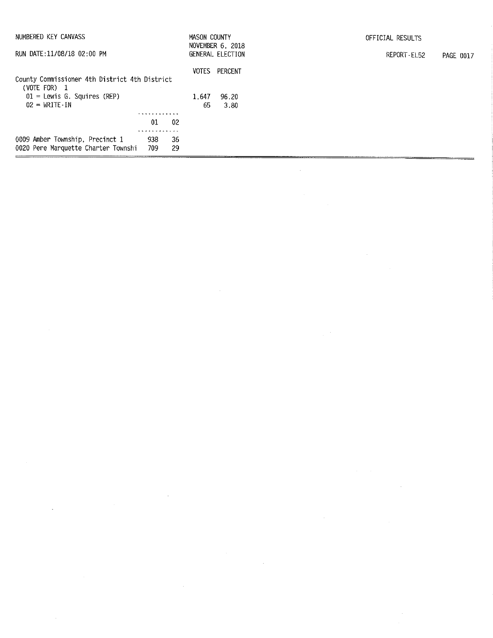| NUMBERED KEY CANVASS                                                   |                        | MASON COUNTY | NOVEMBER 6, 2018 | OFFICIAL RESULTS         |
|------------------------------------------------------------------------|------------------------|--------------|------------------|--------------------------|
| RUN DATE:11/08/18 02:00 PM                                             |                        |              | GENERAL ELECTION | REPORT-EL52<br>PAGE 0017 |
| County Commissioner 4th District 4th District<br>(VOTE FOR) 1          |                        | VOTES        | PERCENT          |                          |
| $01$ = Lewis G. Squires (REP)<br>$02 = \text{WRITE}$ -IN               |                        | 1.647<br>65  | 96.20<br>3.80    |                          |
|                                                                        |                        |              |                  |                          |
|                                                                        | 02<br>01               |              |                  |                          |
| 0009 Amber Township, Precinct 1<br>0020 Pere Marquette Charter Townshi | 938<br>36<br>29<br>709 |              |                  |                          |

 $\label{eq:2.1} \frac{1}{\sqrt{2}}\int_{\mathbb{R}^3}\frac{1}{\sqrt{2}}\left(\frac{1}{\sqrt{2}}\right)^2\frac{1}{\sqrt{2}}\left(\frac{1}{\sqrt{2}}\right)^2\frac{1}{\sqrt{2}}\left(\frac{1}{\sqrt{2}}\right)^2\frac{1}{\sqrt{2}}\left(\frac{1}{\sqrt{2}}\right)^2.$ 

 $\label{eq:2.1} \begin{split} \mathcal{L}_{\text{max}}(\mathbf{r}) & = \frac{1}{2} \mathcal{L}_{\text{max}}(\mathbf{r}) \mathcal{L}_{\text{max}}(\mathbf{r}) \\ & = \frac{1}{2} \mathcal{L}_{\text{max}}(\mathbf{r}) \mathcal{L}_{\text{max}}(\mathbf{r}) \mathcal{L}_{\text{max}}(\mathbf{r}) \mathcal{L}_{\text{max}}(\mathbf{r}) \mathcal{L}_{\text{max}}(\mathbf{r}) \mathcal{L}_{\text{max}}(\mathbf{r}) \mathcal{L}_{\text{max}}(\mathbf{r}) \mathcal{L}_{\text{max}}(\mathbf{r})$ 

 $\sim$   $\omega$ 

 $\frac{1}{2} \frac{1}{2} \frac{1}{2} \frac{1}{2} \frac{1}{2}$ 

 $\sim 10^{-11}$ 

 $\label{eq:2.1} \frac{1}{\sqrt{2}}\left(\frac{1}{\sqrt{2}}\right)^{2} \left(\frac{1}{\sqrt{2}}\right)^{2} \left(\frac{1}{\sqrt{2}}\right)^{2} \left(\frac{1}{\sqrt{2}}\right)^{2} \left(\frac{1}{\sqrt{2}}\right)^{2} \left(\frac{1}{\sqrt{2}}\right)^{2} \left(\frac{1}{\sqrt{2}}\right)^{2} \left(\frac{1}{\sqrt{2}}\right)^{2} \left(\frac{1}{\sqrt{2}}\right)^{2} \left(\frac{1}{\sqrt{2}}\right)^{2} \left(\frac{1}{\sqrt{2}}\right)^{2} \left(\$ 

 $\sim 10^{-10}$ 

 $\frac{1}{2}$ 

 $\label{eq:2.1} \frac{1}{\sqrt{2\pi}}\int_{\mathbb{R}^3} \frac{d\mu}{\sqrt{2\pi}} \left( \frac{d\mu}{\sqrt{2\pi}} \right)^2 \frac{d\mu}{\sqrt{2\pi}} \frac{d\mu}{\sqrt{2\pi}} \frac{d\mu}{\sqrt{2\pi}} \frac{d\mu}{\sqrt{2\pi}} \frac{d\mu}{\sqrt{2\pi}} \frac{d\mu}{\sqrt{2\pi}} \frac{d\mu}{\sqrt{2\pi}} \frac{d\mu}{\sqrt{2\pi}} \frac{d\mu}{\sqrt{2\pi}} \frac{d\mu}{\sqrt{2\pi}} \frac{d\mu}{\sqrt{2\$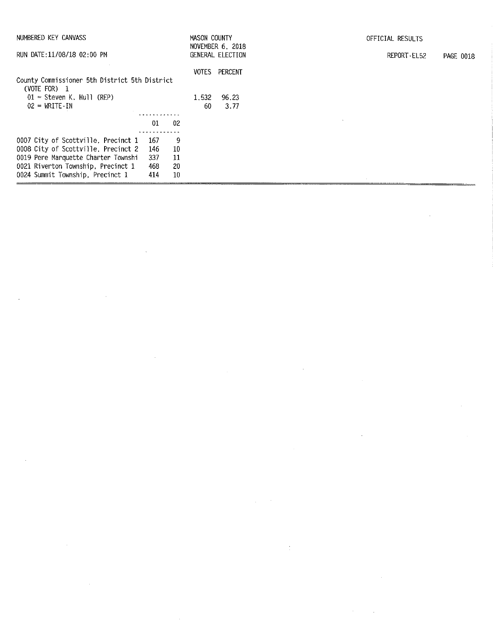| NUMBERED KEY CANVASS<br>RUN DATE: 11/08/18 02:00 PM             |       |      | MASON COUNTY | NOVEMBER 6, 2018<br>GENERAL ELECTION | OFFICIAL RESULTS<br>REPORT-EL52 | PAGE 0018 |
|-----------------------------------------------------------------|-------|------|--------------|--------------------------------------|---------------------------------|-----------|
| County Commissioner 5th District 5th District<br>(VOTE FOR) $1$ |       |      | VOTES        | PERCENT                              |                                 |           |
| $01 =$ Steven K, Hull (REP)<br>$02 = \text{WRITE-IN}$           |       |      | 1,532<br>-60 | 96.23<br>3.77                        |                                 |           |
|                                                                 |       |      |              |                                      |                                 |           |
|                                                                 | 01    | 02   |              |                                      |                                 |           |
| 0007 City of Scottville, Precinct 1                             | - 167 | 9    |              |                                      |                                 |           |
| 0008 City of Scottville, Precinct 2                             | 146   | -10  |              |                                      |                                 |           |
| 0019 Pere Marquette Charter Townshi                             | 337   | - 11 |              |                                      |                                 |           |
| 0021 Riverton Township, Precinct 1                              | 468   | -20  |              |                                      |                                 |           |
| 0024 Summit Township, Precinct 1                                | 414   | 10   |              |                                      |                                 |           |

 $\mathcal{L}(\mathcal{L}(\mathcal{L}))$  and  $\mathcal{L}(\mathcal{L}(\mathcal{L}))$  . The contribution of  $\mathcal{L}(\mathcal{L}(\mathcal{L}))$  is a set of  $\mathcal{L}(\mathcal{L})$ 

 $\mathcal{L}_{\text{max}}(\mathcal{L}_{\text{max}})$  and  $\mathcal{L}_{\text{max}}(\mathcal{L}_{\text{max}})$  and  $\mathcal{L}_{\text{max}}(\mathcal{L}_{\text{max}})$  and  $\mathcal{L}_{\text{max}}(\mathcal{L}_{\text{max}})$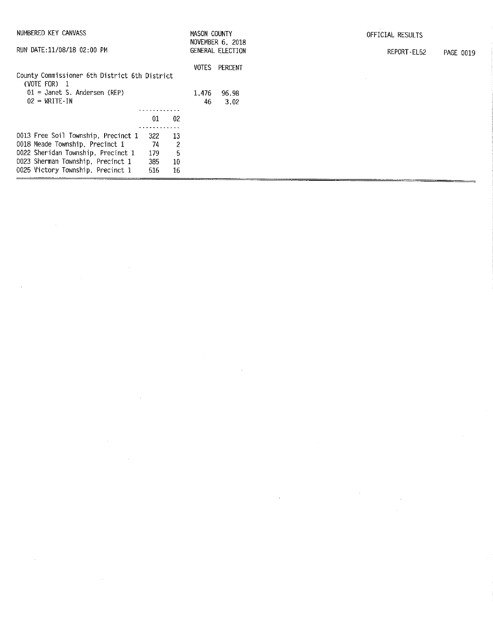| NUMBERED KEY CANVASS<br>RUN DATE:11/08/18 02:00 PM            |     |     | MASON COUNTY | NOVEMBER 6, 2018<br>GENERAL ELECTION | OFFICIAL RESULTS | REPORT-EL52 | PAGE 0019 |
|---------------------------------------------------------------|-----|-----|--------------|--------------------------------------|------------------|-------------|-----------|
| County Commissioner 6th District 6th District<br>(VOTE FOR) 1 |     |     | VOTES        | PERCENT                              |                  |             |           |
| $01 =$ Janet S. Andersen (REP)                                |     |     | 1.476        | 96.98                                |                  |             |           |
| $02 = \text{WRITE} \cdot \text{IN}$                           |     |     | 46           | 3.02                                 |                  |             |           |
|                                                               |     |     |              |                                      |                  |             |           |
|                                                               | 01  | 02  |              |                                      |                  |             |           |
|                                                               |     |     |              |                                      |                  |             |           |
| 0013 Free Soil Township, Precinct 1                           | 322 | -13 |              |                                      |                  |             |           |
| 0018 Meade Township, Precinct 1                               | 74  | 2   |              |                                      |                  |             |           |
| 0022 Sheridan Township, Precinct 1                            | 179 | 5   |              |                                      |                  |             |           |
| 0023 Sherman Township, Precinct 1                             | 385 | -10 |              |                                      |                  |             |           |
| 0025 Victory Township, Precinct 1                             | 516 | 16  |              |                                      |                  |             |           |

 $\label{eq:2.1} \frac{1}{\sqrt{2}}\int_{\mathbb{R}^3}\frac{1}{\sqrt{2}}\left(\frac{1}{\sqrt{2}}\right)^2\frac{1}{\sqrt{2}}\left(\frac{1}{\sqrt{2}}\right)^2\frac{1}{\sqrt{2}}\left(\frac{1}{\sqrt{2}}\right)^2\frac{1}{\sqrt{2}}\left(\frac{1}{\sqrt{2}}\right)^2.$ 

 $\label{eq:2.1} \frac{1}{\sqrt{2}}\int_{0}^{\infty}\frac{1}{\sqrt{2\pi}}\left(\frac{1}{\sqrt{2}}\right)^{2}d\theta.$ 

 $\label{eq:2.1} \mathcal{L}(\mathcal{L}^{\text{max}}_{\mathcal{L}}(\mathcal{L}^{\text{max}}_{\mathcal{L}})) \leq \mathcal{L}(\mathcal{L}^{\text{max}}_{\mathcal{L}}(\mathcal{L}^{\text{max}}_{\mathcal{L}}))$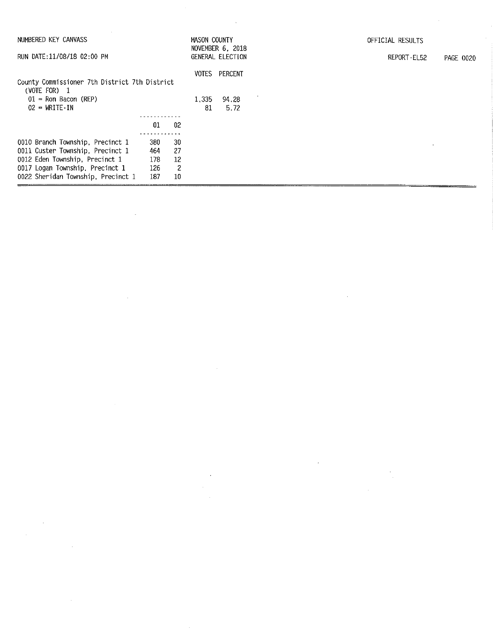| NUMBERED KEY CANVASS<br>RUN DATE:11/08/18 02:00 PM            |     | MASON COUNTY | <b>NOVEMBER 6, 2018</b><br>GENERAL ELECTION | OFFICIAL RESULTS<br>REPORT-EL52 |  |  |
|---------------------------------------------------------------|-----|--------------|---------------------------------------------|---------------------------------|--|--|
| County Commissioner 7th District 7th District<br>(VOTE FOR) 1 |     |              | VOTES                                       | PERCENT                         |  |  |
| $01 =$ Ron Bacon (REP)                                        |     |              | 1,335                                       | 94.28                           |  |  |
| $02 - WRTTE-IN$                                               |     |              | 81                                          | 5.72                            |  |  |
|                                                               |     |              |                                             |                                 |  |  |
|                                                               | 01  | 02           |                                             |                                 |  |  |
|                                                               |     |              |                                             |                                 |  |  |
| 0010 Branch Township, Precinct 1                              | 380 | 30           |                                             |                                 |  |  |
| 0011 Custer Township, Precinct 1                              | 464 | -27          |                                             |                                 |  |  |
| 0012 Eden Township, Precinct 1                                | 178 | 12           |                                             |                                 |  |  |
| 0017 Logan Township, Precinct 1                               | 126 | 2            |                                             |                                 |  |  |
| 0022 Sheridan Township, Precinct 1                            | 187 | 10           |                                             |                                 |  |  |

 $\label{eq:2.1} \frac{1}{\sqrt{2\pi}}\int_{0}^{\infty}\frac{1}{\sqrt{2\pi}}\left(\frac{1}{\sqrt{2\pi}}\right)^{2}d\mu\,d\mu\,d\mu\,.$ 

 $\frac{1}{2}$ 

 $\label{eq:2.1} \frac{1}{\sqrt{2}}\int_{\mathbb{R}^3}\frac{1}{\sqrt{2}}\left(\frac{1}{\sqrt{2}}\right)^2\frac{1}{\sqrt{2}}\left(\frac{1}{\sqrt{2}}\right)^2\frac{1}{\sqrt{2}}\left(\frac{1}{\sqrt{2}}\right)^2.$ 

 $\mathcal{L}^{\mathcal{L}}(\mathcal{L}^{\mathcal{L}})$  and  $\mathcal{L}^{\mathcal{L}}(\mathcal{L}^{\mathcal{L}})$  and  $\mathcal{L}^{\mathcal{L}}(\mathcal{L}^{\mathcal{L}})$ 

 $\mathcal{L}^{\text{max}}_{\text{max}}$ 

 $\hat{p}$  and  $\hat{p}$  and  $\hat{p}$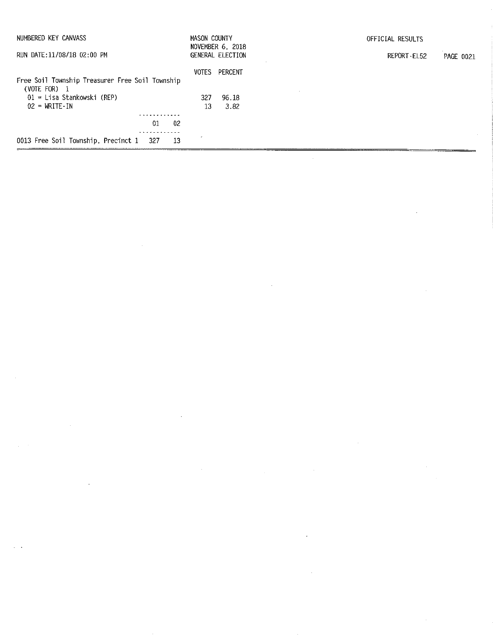| NUMBERED KEY CANVASS                                                                                                                   | MASON COUNTY       | NOVEMBER 6, 2018         | OFFICIAL RESULTS                |
|----------------------------------------------------------------------------------------------------------------------------------------|--------------------|--------------------------|---------------------------------|
| RUN DATE: 11/08/18 02:00 PM                                                                                                            |                    | GENERAL ELECTION         | REPORT-EL52<br><b>PAGE 0021</b> |
| Free Soil Township Treasurer Free Soil Township<br>(VOTE FOR) 1<br>$01 =$ Lisa Stankowski (REP)<br>$02 = \text{WRITE} \cdot \text{IN}$ | VOTES<br>327<br>13 | PERCENT<br>96.18<br>3.82 |                                 |
|                                                                                                                                        |                    |                          |                                 |
| 02<br>01                                                                                                                               |                    |                          |                                 |
| 0013 Free Soil Township, Precinct 1<br>13<br>327                                                                                       |                    |                          |                                 |
|                                                                                                                                        |                    |                          |                                 |

 $\label{eq:2.1} \frac{1}{\sqrt{2}}\left(\frac{1}{\sqrt{2}}\right)^{2} \left(\frac{1}{\sqrt{2}}\right)^{2} \left(\frac{1}{\sqrt{2}}\right)^{2} \left(\frac{1}{\sqrt{2}}\right)^{2} \left(\frac{1}{\sqrt{2}}\right)^{2} \left(\frac{1}{\sqrt{2}}\right)^{2} \left(\frac{1}{\sqrt{2}}\right)^{2} \left(\frac{1}{\sqrt{2}}\right)^{2} \left(\frac{1}{\sqrt{2}}\right)^{2} \left(\frac{1}{\sqrt{2}}\right)^{2} \left(\frac{1}{\sqrt{2}}\right)^{2} \left(\$ 

 $\mathcal{L}_{\text{max}}$  ,  $\mathcal{L}_{\text{max}}$ 

 $\label{eq:2.1} \mathcal{L} = \mathcal{H}^{\text{max}}_{\text{max}} \left( \mathcal{L} \right)$ 

 $\label{eq:2.1} \frac{1}{\sqrt{2}}\int_{\mathbb{R}^3}\frac{1}{\sqrt{2}}\left(\frac{1}{\sqrt{2}}\right)^2\frac{1}{\sqrt{2}}\left(\frac{1}{\sqrt{2}}\right)^2\frac{1}{\sqrt{2}}\left(\frac{1}{\sqrt{2}}\right)^2\frac{1}{\sqrt{2}}\left(\frac{1}{\sqrt{2}}\right)^2.$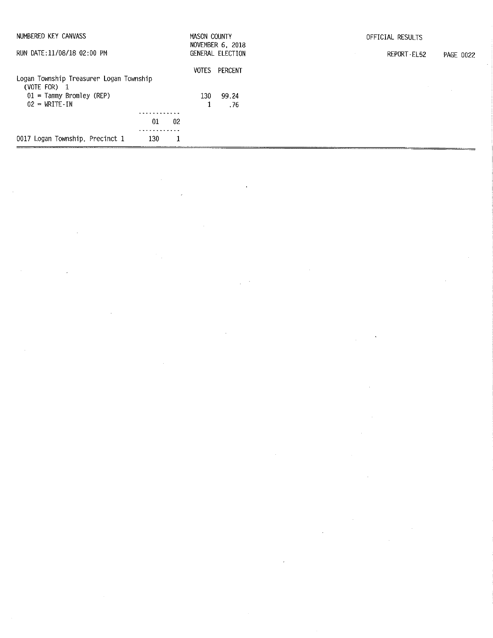| NUMBERED KEY CANVASS                                      | <b>MASON COUNTY</b> | NOVEMBER 6, 2018 | OFFICIAL RESULTS         |
|-----------------------------------------------------------|---------------------|------------------|--------------------------|
| RUN DATE:11/08/18 02:00 PM                                |                     | GENERAL ELECTION | REPORT-EL52<br>PAGE 0022 |
|                                                           | VOTES               | Percent          |                          |
| Logan Township Treasurer Logan Township<br>(VOTE FOR) $1$ |                     |                  |                          |
| $01 =$ Tammy Bromley (REP)                                | 130-                | 99.24            |                          |
| $02 = \text{WRTTE-IN}$                                    |                     | . 76             |                          |
|                                                           |                     |                  |                          |
| 01<br>-02                                                 |                     |                  |                          |
| 0017 Logan Township, Precinct 1<br>130<br>1               |                     |                  |                          |

 $\label{eq:2.1} \mathcal{L}_{\mathcal{A}}(\mathcal{A}) = \mathcal{L}_{\mathcal{A}}(\mathcal{A}) = \mathcal{L}_{\mathcal{A}}(\mathcal{A}) = \mathcal{L}_{\mathcal{A}}(\mathcal{A})$ 

 $\hat{\mathcal{A}}$ 

 $\label{eq:2.1} \frac{1}{2} \sum_{i=1}^n \frac{1}{2} \sum_{j=1}^n \frac{1}{2} \sum_{j=1}^n \frac{1}{2} \sum_{j=1}^n \frac{1}{2} \sum_{j=1}^n \frac{1}{2} \sum_{j=1}^n \frac{1}{2} \sum_{j=1}^n \frac{1}{2} \sum_{j=1}^n \frac{1}{2} \sum_{j=1}^n \frac{1}{2} \sum_{j=1}^n \frac{1}{2} \sum_{j=1}^n \frac{1}{2} \sum_{j=1}^n \frac{1}{2} \sum_{j=1}^n \frac{$ 

 $\frac{1}{2}$ 

 $\mathcal{L}^{\text{max}}_{\text{max}}$ 

 $\mathcal{L}^{\text{max}}_{\text{max}}$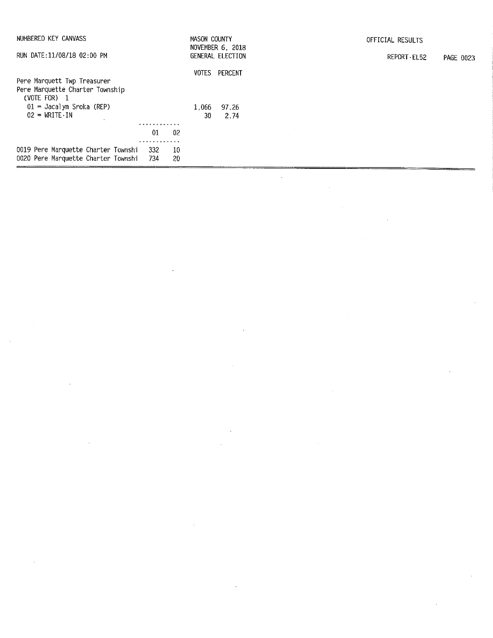| NUMBERED KEY CANVASS                                                           |                |           | MASON COUNTY | NOVEMBER 6, 2018     | OFFICIAL RESULTS                |
|--------------------------------------------------------------------------------|----------------|-----------|--------------|----------------------|---------------------------------|
| RUN DATE:11/08/18 02:00 PM                                                     |                |           |              | GENERAL ELECTION     | REPORT-EL52<br><b>PAGE 0023</b> |
|                                                                                |                |           |              | <b>VOTES PERCENT</b> |                                 |
| Pere Marquett Twp Treasurer<br>Pere Marquette Charter Township<br>(VOTE FOR) 1 |                |           |              |                      |                                 |
| $01 =$ Jacalyn Sroka (REP)<br>$02 = WRITE \cdot IN$                            |                |           | 1,066<br>30  | 97.26<br>2.74        |                                 |
|                                                                                | 01             | -02       |              |                      |                                 |
| 0019 Pere Marquette Charter Townshi<br>0020 Pere Marquette Charter Townshi     | - 332<br>- 734 | -10<br>20 |              |                      |                                 |

 $\mathcal{L}(\mathcal{L})$ 

 $\sim$ 

 $\sim 400$ 

 $\label{eq:R1} \mathcal{L} = \mathcal{L} \left( \mathcal{L} \right) \left( \mathcal{L} \right) \left( \mathcal{L} \right) \left( \mathcal{L} \right) \left( \mathcal{L} \right)$ 

 $\sim 10^{11}$ 

 $\sim$ 

 $\hat{\mathcal{A}}$ 

 $\mathcal{A}^{\text{max}}_{\text{max}}$ 

 $\sim 10^6$ 

 $\sim 10^{-1}$ 

 $\sim 10^{-1}$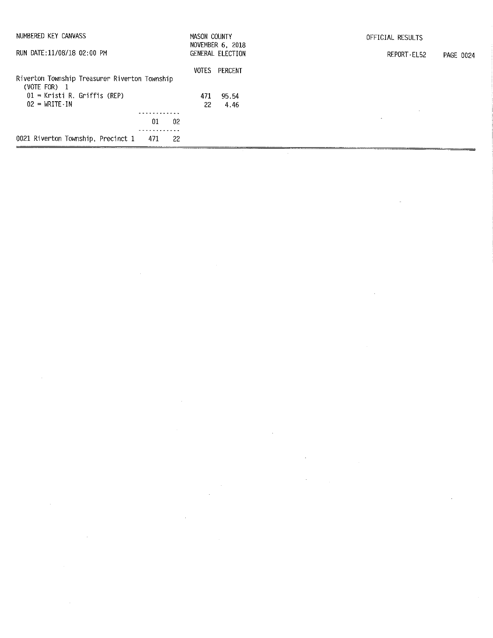| NUMBERED KEY CANVASS                                  | <b>MASON COUNTY</b> | NOVEMBER 6, 2018 | OFFICIAL RESULTS         |
|-------------------------------------------------------|---------------------|------------------|--------------------------|
| RUN DATE:11/08/18 02:00 PM                            |                     | GENERAL ELECTION | REPORT-EL52<br>PAGE 0024 |
| Riverton Township Treasurer Riverton Township         | VOTES               | PERCENT          |                          |
| $(VOTE FOR)$ 1<br>$01$ = Kristi R. Griffis (REP)      | 471                 | 95.54            |                          |
| $02 = \text{WRTTE} \cdot \text{IN}$<br>02<br>01       | 22                  | 4.46             | $\Delta$                 |
| .<br>0021 Riverton Township, Precinct 1<br>-22<br>471 |                     |                  |                          |

 $\label{eq:2.1} \frac{1}{\sqrt{2}}\left(\frac{1}{\sqrt{2}}\right)^{2} \left(\frac{1}{\sqrt{2}}\right)^{2} \left(\frac{1}{\sqrt{2}}\right)^{2} \left(\frac{1}{\sqrt{2}}\right)^{2} \left(\frac{1}{\sqrt{2}}\right)^{2} \left(\frac{1}{\sqrt{2}}\right)^{2} \left(\frac{1}{\sqrt{2}}\right)^{2} \left(\frac{1}{\sqrt{2}}\right)^{2} \left(\frac{1}{\sqrt{2}}\right)^{2} \left(\frac{1}{\sqrt{2}}\right)^{2} \left(\frac{1}{\sqrt{2}}\right)^{2} \left(\$ 

 $\mathcal{L}_{\text{max}}$  and  $\mathcal{L}_{\text{max}}$ 

 $\label{eq:2.1} \frac{1}{\sqrt{2}}\int_{\mathbb{R}^3}\frac{1}{\sqrt{2}}\left(\frac{1}{\sqrt{2}}\right)^2\frac{1}{\sqrt{2}}\left(\frac{1}{\sqrt{2}}\right)^2\frac{1}{\sqrt{2}}\left(\frac{1}{\sqrt{2}}\right)^2\frac{1}{\sqrt{2}}\left(\frac{1}{\sqrt{2}}\right)^2.$ 

 $\label{eq:2.1} \frac{1}{\sqrt{2\pi}}\int_{\mathbb{R}^3}\frac{1}{\sqrt{2\pi}}\int_{\mathbb{R}^3}\frac{1}{\sqrt{2\pi}}\int_{\mathbb{R}^3}\frac{1}{\sqrt{2\pi}}\int_{\mathbb{R}^3}\frac{1}{\sqrt{2\pi}}\int_{\mathbb{R}^3}\frac{1}{\sqrt{2\pi}}\int_{\mathbb{R}^3}\frac{1}{\sqrt{2\pi}}\int_{\mathbb{R}^3}\frac{1}{\sqrt{2\pi}}\int_{\mathbb{R}^3}\frac{1}{\sqrt{2\pi}}\int_{\mathbb{R}^3}\frac{1$ 

 $\label{eq:2.1} \frac{1}{2} \sum_{i=1}^n \frac{1}{2} \sum_{j=1}^n \frac{1}{2} \sum_{j=1}^n \frac{1}{2} \sum_{j=1}^n \frac{1}{2} \sum_{j=1}^n \frac{1}{2} \sum_{j=1}^n \frac{1}{2} \sum_{j=1}^n \frac{1}{2} \sum_{j=1}^n \frac{1}{2} \sum_{j=1}^n \frac{1}{2} \sum_{j=1}^n \frac{1}{2} \sum_{j=1}^n \frac{1}{2} \sum_{j=1}^n \frac{1}{2} \sum_{j=1}^n \frac{$ 

 $\mathcal{L}(\mathcal{L}^{\text{max}}_{\mathcal{L}})$  ,  $\mathcal{L}^{\text{max}}_{\mathcal{L}}$  ,  $\mathcal{L}^{\text{max}}_{\mathcal{L}}$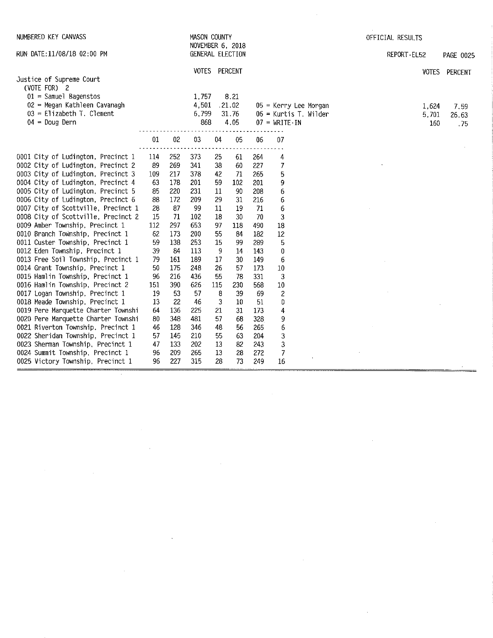| NUMBERED KEY CANVASS                                                   |          |          | <b>MASON COUNTY</b> |         | NOVEMBER 6, 2018 |            |                                     | OFFICIAL RESULTS |       |               |
|------------------------------------------------------------------------|----------|----------|---------------------|---------|------------------|------------|-------------------------------------|------------------|-------|---------------|
| RUN DATE:11/08/18 02:00 PM                                             |          |          |                     |         | GENERAL ELECTION |            |                                     | REPORT-EL52      |       | PAGE 0025     |
|                                                                        |          |          | <b>VOTES</b>        |         | PERCENT          |            |                                     |                  |       | VOTES PERCENT |
| Justice of Supreme Court<br>(VOTE FOR) 2                               |          |          |                     |         |                  |            |                                     |                  |       |               |
| $01 =$ Samuel Bagenstos                                                |          |          | 1,757               |         | 8.21             |            |                                     |                  |       |               |
| 02 = Megan Kathleen Cavanagh                                           |          |          | 4,501               |         | .21.02           |            | $05$ = Kerry Lee Morgan             |                  | 1.624 | 7.59          |
| $03$ = Elizabeth T. Clement                                            |          |          | 6,799               |         | 31.76            |            | $06$ = Kurtis T. Wilder             |                  | 5,701 | 26.63         |
| $04 = Doug$ Dern                                                       |          |          | 868                 |         | 4.05             |            | $07 = \text{WRITE} \cdot \text{IN}$ |                  | 160   | .75           |
|                                                                        | 01       | 02       | 03                  | 04      | 05               | 06         | 07                                  |                  |       |               |
| 0001 City of Ludington, Precinct 1                                     | 114      | 252      | 373                 | 25      | 61               | 264        | 4                                   |                  |       |               |
| 0002 City of Ludington, Precinct 2                                     | 89       | 269      | 341                 | 38      | 60               | 227        | $\overline{I}$                      |                  |       |               |
| 0003 City of Ludington, Precinct 3                                     | 109      | 217      | 378                 | 42      | 71               | 265        | 5                                   |                  |       |               |
| 0004 City of Ludington, Precinct 4                                     | 63       | 178      | 201                 | 59      | 102              | 201        | 9                                   |                  |       |               |
| 0005 City of Ludington, Precinct 5                                     | 85       | 220      | 231                 | 11      | -90              | 208        | 6                                   |                  |       |               |
| 0006 City of Ludington, Precinct 6                                     | 88       | 172      | 209                 | 29      | 31               | 216        | 6                                   |                  |       |               |
| 0007 City of Scottville, Precinct 1                                    | 28       | 87       | 99                  | 11      | 19               | 71         | 6                                   |                  |       |               |
| 0008 City of Scottville, Precinct 2                                    | 15       | 71       | 102                 | 18      | 30               | 70         | 3                                   |                  |       |               |
| 0009 Amber Township, Precinct 1                                        | 112      | 297      | 653                 | 97      | 118              | '490       | 18                                  |                  |       |               |
| 0010 Branch Township, Precinct 1                                       | 62       | 173      | 200                 | 55      | 84               | 182        | 12                                  |                  |       |               |
| 0011 Custer Township, Precinct 1                                       | 59       | 138      | 253                 | 15      | 99               | 289        | 5                                   |                  |       |               |
| 0012 Eden Township, Precinct 1                                         | 39       | -84      | 113                 | 9       | 14               | 143        | 0                                   |                  |       |               |
| 0013 Free Soil Township, Precinct 1                                    | 79       | 161      | 189                 | 17      | 30               | 149        | 6                                   |                  |       |               |
| 0014 Grant Township, Precinct 1                                        | 50       | 175      | 248                 | 26      | 57               | 173        | 10                                  |                  |       |               |
| 0015 Hamlin Township, Precinct 1                                       | 96       | 216      | 436                 | 55      | 78               | 331        | 3                                   |                  |       |               |
| 0016 Hamlin Township, Precinct 2                                       | 151      | 390      | 626                 | 115     | 230              | 568        | 10                                  |                  |       |               |
| 0017 Logan Township, Precinct 1                                        | 19       | 53<br>22 | 57                  | 8       | 39<br>10         | 69         | $\overline{c}$                      |                  |       |               |
| 0018 Meade Township, Precinct 1<br>0019 Pere Marquette Charter Townshi | 13<br>64 | 136      | -46<br>225          | 3<br>21 | 31               | 51         | 0                                   |                  |       |               |
| 0020 Pere Marquette Charter Townshi                                    | 80       | 348      | 481                 | 57      | 68               | 173<br>328 | 4<br>9                              |                  |       |               |
| 0021 Riverton Township, Precinct 1                                     | 46       | 128      | 346                 | 48      | 56               | 265        | 6                                   |                  |       |               |
| 0022 Sheridan Township, Precinct 1                                     | 57       | 145      | 210                 | 55      | 63               | 204        | 3                                   |                  |       |               |
| 0023 Sherman Township, Precinct 1                                      | 47       | 133      | 202                 | 13      | 82               | 243        | 3                                   |                  |       |               |
| 0024 Summit Township, Precinct 1                                       | 96       | 209      | 265                 | 13      | 28               | 272        | 7                                   |                  |       |               |
| 0025 Victory Township, Precinct 1                                      | 96       | 227      | 315                 | 28      | 73               | 249        | 16                                  |                  |       |               |

 $\label{eq:2.1} \frac{1}{\sqrt{2}}\int_{\mathbb{R}^3}\frac{1}{\sqrt{2}}\left(\frac{1}{\sqrt{2}}\right)^2\frac{1}{\sqrt{2}}\left(\frac{1}{\sqrt{2}}\right)^2\frac{1}{\sqrt{2}}\left(\frac{1}{\sqrt{2}}\right)^2\frac{1}{\sqrt{2}}\left(\frac{1}{\sqrt{2}}\right)^2.$ 

 $\label{eq:2.1} \frac{1}{\sqrt{2}}\left(\frac{1}{\sqrt{2}}\right)^{2} \left(\frac{1}{\sqrt{2}}\right)^{2} \left(\frac{1}{\sqrt{2}}\right)^{2} \left(\frac{1}{\sqrt{2}}\right)^{2} \left(\frac{1}{\sqrt{2}}\right)^{2} \left(\frac{1}{\sqrt{2}}\right)^{2} \left(\frac{1}{\sqrt{2}}\right)^{2} \left(\frac{1}{\sqrt{2}}\right)^{2} \left(\frac{1}{\sqrt{2}}\right)^{2} \left(\frac{1}{\sqrt{2}}\right)^{2} \left(\frac{1}{\sqrt{2}}\right)^{2} \left(\$ 

 $\sim$   $\sim$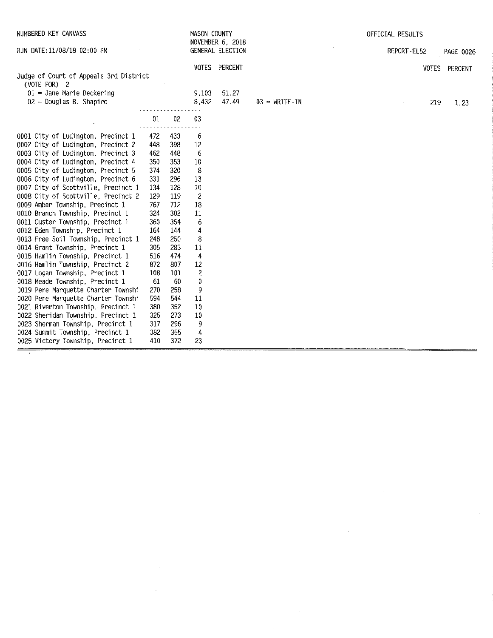| NUMBERED KEY CANVASS                                   |     |     | MASON COUNTY            |                                             |                 | OFFICIAL RESULTS |               |
|--------------------------------------------------------|-----|-----|-------------------------|---------------------------------------------|-----------------|------------------|---------------|
| RUN DATE:11/08/18 02:00 PM                             |     |     |                         | <b>NOVEMBER 6, 2018</b><br>GENERAL ELECTION |                 | REPORT-EL52      | PAGE 0026     |
|                                                        |     |     |                         | VOTES PERCENT                               |                 |                  | VOTES PERCENT |
| Judge of Court of Appeals 3rd District<br>(VOTE FOR) 2 |     |     |                         |                                             |                 |                  |               |
| $01 =$ Jane Marie Beckering                            |     |     | 9,103                   | 51.27                                       |                 |                  |               |
| $02$ = Douglas B. Shapiro                              |     |     | 8,432                   | 47.49                                       | $03$ = WRITE-IN | 219              | 1.23          |
|                                                        | 01  | 02  | 03                      |                                             |                 |                  |               |
|                                                        |     |     |                         |                                             |                 |                  |               |
| 0001 City of Ludington, Precinct 1                     | 472 | 433 | 6                       |                                             |                 |                  |               |
| 0002 City of Ludington, Precinct 2                     | 448 | 398 | 12                      |                                             |                 |                  |               |
| 0003 City of Ludington, Precinct 3                     | 462 | 448 | 6                       |                                             |                 |                  |               |
| 0004 City of Ludington, Precinct 4                     | 350 | 353 | 10                      |                                             |                 |                  |               |
| 0005 City of Ludington, Precinct 5                     | 374 | 320 | 8                       |                                             |                 |                  |               |
| 0006 City of Ludington, Precinct 6                     | 331 | 296 | 13                      |                                             |                 |                  |               |
| 0007 City of Scottville, Precinct 1                    | 134 | 128 | 10                      |                                             |                 |                  |               |
| 0008 City of Scottville, Precinct 2                    | 129 | 119 | $\overline{\mathbf{c}}$ |                                             |                 |                  |               |
| 0009 Amber Township, Precinct 1                        | 767 | 712 | 18                      |                                             |                 |                  |               |
| 0010 Branch Township, Precinct 1                       | 324 | 302 | 11                      |                                             |                 |                  |               |
| 0011 Custer Township, Precinct 1                       | 360 | 354 | 6                       |                                             |                 |                  |               |
| 0012 Eden Township, Precinct 1                         | 164 | 144 | 4                       |                                             |                 |                  |               |
| 0013 Free Soil Township, Precinct 1                    | 248 | 250 | 8                       |                                             |                 |                  |               |
| 0014 Grant Township, Precinct 1                        | 305 | 283 | 11                      |                                             |                 |                  |               |
| 0015 Hamlin Township, Precinct 1                       | 516 | 474 | 4                       |                                             |                 |                  |               |
| 0016 Hamlin Township, Precinct 2                       | 872 | 807 | 12                      |                                             |                 |                  |               |
| 0017 Logan Township, Precinct 1                        | 108 | 101 | 2                       |                                             |                 |                  |               |
| 0018 Meade Township, Precinct 1                        | 61  | -60 | 0                       |                                             |                 |                  |               |
| 0019 Pere Marquette Charter Townshi                    | 270 | 258 | 9                       |                                             |                 |                  |               |
| 0020 Pere Marquette Charter Townshi                    | 594 | 544 | 11                      |                                             |                 |                  |               |
| 0021 Riverton Township, Precinct 1                     | 380 | 352 | 10                      |                                             |                 |                  |               |
| 0022 Sheridan Township, Precinct 1                     | 325 | 273 | 10                      |                                             |                 |                  |               |
| 0023 Sherman Township, Precinct 1                      | 317 | 296 | 9                       |                                             |                 |                  |               |
| 0024 Summit Township, Precinct 1                       | 382 | 355 | 4                       |                                             |                 |                  |               |
| 0025 Victory Township, Precinct 1                      | 410 | 372 | 23                      |                                             |                 |                  |               |
|                                                        |     |     |                         |                                             |                 |                  |               |

 $\label{eq:2.1} \frac{1}{\sqrt{2}}\int_{0}^{\infty}\frac{1}{\sqrt{2\pi}}\left(\frac{1}{\sqrt{2\pi}}\right)^{2\alpha} \frac{1}{\sqrt{2\pi}}\int_{0}^{\infty}\frac{1}{\sqrt{2\pi}}\left(\frac{1}{\sqrt{2\pi}}\right)^{2\alpha} \frac{1}{\sqrt{2\pi}}\frac{1}{\sqrt{2\pi}}\int_{0}^{\infty}\frac{1}{\sqrt{2\pi}}\frac{1}{\sqrt{2\pi}}\frac{1}{\sqrt{2\pi}}\frac{1}{\sqrt{2\pi}}\frac{1}{\sqrt{2\pi}}\frac{1}{\sqrt{2\$ 

 $\mathcal{L}(\mathcal{L}^{\mathcal{L}})$  and  $\mathcal{L}(\mathcal{L}^{\mathcal{L}})$  . In the  $\mathcal{L}(\mathcal{L}^{\mathcal{L}})$ 

 $\label{eq:2.1} \frac{1}{\sqrt{2}}\int_{\mathbb{R}^3}\frac{1}{\sqrt{2}}\left(\frac{1}{\sqrt{2}}\right)^2\frac{1}{\sqrt{2}}\left(\frac{1}{\sqrt{2}}\right)^2\frac{1}{\sqrt{2}}\left(\frac{1}{\sqrt{2}}\right)^2\frac{1}{\sqrt{2}}\left(\frac{1}{\sqrt{2}}\right)^2.$ 

 $\label{eq:2.1} \frac{1}{\sqrt{2}}\int_{0}^{\infty}\frac{1}{\sqrt{2\pi}}\left(\frac{1}{\sqrt{2\pi}}\right)^{2\alpha} \frac{1}{\sqrt{2\pi}}\int_{0}^{\infty}\frac{1}{\sqrt{2\pi}}\left(\frac{1}{\sqrt{2\pi}}\right)^{\alpha} \frac{1}{\sqrt{2\pi}}\frac{1}{\sqrt{2\pi}}\int_{0}^{\infty}\frac{1}{\sqrt{2\pi}}\frac{1}{\sqrt{2\pi}}\frac{1}{\sqrt{2\pi}}\frac{1}{\sqrt{2\pi}}\frac{1}{\sqrt{2\pi}}\frac{1}{\sqrt{2\pi}}$ 

 $\label{eq:2.1} \frac{1}{\sqrt{2}}\int_{\mathbb{R}^3}\frac{1}{\sqrt{2}}\left(\frac{1}{\sqrt{2}}\right)^2\frac{1}{\sqrt{2}}\left(\frac{1}{\sqrt{2}}\right)^2\frac{1}{\sqrt{2}}\left(\frac{1}{\sqrt{2}}\right)^2\frac{1}{\sqrt{2}}\left(\frac{1}{\sqrt{2}}\right)^2\frac{1}{\sqrt{2}}\left(\frac{1}{\sqrt{2}}\right)^2\frac{1}{\sqrt{2}}\frac{1}{\sqrt{2}}\frac{1}{\sqrt{2}}\frac{1}{\sqrt{2}}\frac{1}{\sqrt{2}}\frac{1}{\sqrt{2}}$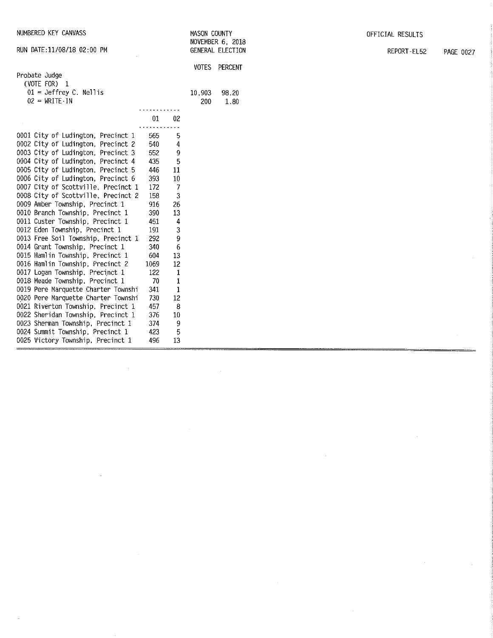| NUMBERED KEY CANVASS                |      |              | MASON COUNTY<br>NOVEMBER 6, 2018 |                  | OFFICIAL RESULTS |                  |  |
|-------------------------------------|------|--------------|----------------------------------|------------------|------------------|------------------|--|
| RUN DATE:11/08/18 02:00 PM          |      |              |                                  | GENERAL ELECTION | REPORT-EL52      | <b>PAGE 0027</b> |  |
|                                     |      |              | VOTES                            | PERCENT          |                  |                  |  |
| Probate Judge<br>(VOTE FOR) 1       |      |              |                                  |                  |                  |                  |  |
| $01$ = Jeffrey C. Nellis            |      | 10,903       |                                  | 98.20            |                  |                  |  |
| $02 = WRITE-IN$                     |      |              | 200                              | 1.80             |                  |                  |  |
|                                     |      |              |                                  |                  |                  |                  |  |
|                                     | 01   | 02           |                                  |                  |                  |                  |  |
|                                     |      |              |                                  |                  |                  |                  |  |
| 0001 City of Ludington, Precinct 1  | 565  | 5            |                                  |                  |                  |                  |  |
| 0002 City of Ludington, Precinct 2  | 540  | 4            |                                  |                  |                  |                  |  |
| 0003 City of Ludington, Precinct 3  | 552  | 9            |                                  |                  |                  |                  |  |
| 0004 City of Ludington, Precinct 4  | 435  | 5            |                                  |                  |                  |                  |  |
| 0005 City of Ludington, Precinct 5  | 446  | 11           |                                  |                  |                  |                  |  |
| 0006 City of Ludington, Precinct 6  | 393  | $10\,$       |                                  |                  |                  |                  |  |
| 0007 City of Scottville, Precinct 1 | 172  | 7            |                                  |                  |                  |                  |  |
| 0008 City of Scottville, Precinct 2 | 158  | 3            |                                  |                  |                  |                  |  |
| 0009 Amber Township, Precinct 1     | 916  | 26           |                                  |                  |                  |                  |  |
| 0010 Branch Township, Precinct 1    | 390  | 13           |                                  |                  |                  |                  |  |
| 0011 Custer Township, Precinct 1    | 451  | 4            |                                  |                  |                  |                  |  |
| 0012 Eden Township, Precinct 1      | 191  | 3            |                                  |                  |                  |                  |  |
| 0013 Free Soil Township, Precinct 1 | 292  | 9            |                                  |                  |                  |                  |  |
| 0014 Grant Township, Precinct 1     | 340  | 6            |                                  |                  |                  |                  |  |
| 0015 Hamlin Township, Precinct 1    | 604  | 13           |                                  |                  |                  |                  |  |
| 0016 Hamlin Township, Precinct 2    | 1069 | 12           |                                  |                  |                  |                  |  |
| 0017 Logan Township, Precinct 1     | 122  | $\mathbf{1}$ |                                  |                  |                  |                  |  |
| 0018 Meade Township, Precinct 1     | 70   | 1            |                                  |                  |                  |                  |  |
| 0019 Pere Marquette Charter Townshi | 341  | $1\,$        |                                  |                  |                  |                  |  |
| 0020 Pere Marquette Charter Townshi | 730  | 12           |                                  |                  |                  |                  |  |
| 0021 Riverton Township, Precinct 1  | 457  | 8            |                                  |                  |                  |                  |  |
| 0022 Sheridan Township, Precinct 1  | 376  | 10           |                                  |                  |                  |                  |  |
| 0023 Sherman Township, Precinct 1   | 374  | 9            |                                  |                  |                  |                  |  |
| 0024 Summit Township, Precinct 1    | 423  | 5            |                                  |                  |                  |                  |  |
| 0025 Victory Township, Precinct 1   | 496  | 13           |                                  |                  |                  |                  |  |

 $\label{eq:2.1} \frac{1}{\sqrt{2}}\left(\frac{1}{\sqrt{2}}\right)^{2} \left(\frac{1}{\sqrt{2}}\right)^{2} \left(\frac{1}{\sqrt{2}}\right)^{2} \left(\frac{1}{\sqrt{2}}\right)^{2} \left(\frac{1}{\sqrt{2}}\right)^{2} \left(\frac{1}{\sqrt{2}}\right)^{2} \left(\frac{1}{\sqrt{2}}\right)^{2} \left(\frac{1}{\sqrt{2}}\right)^{2} \left(\frac{1}{\sqrt{2}}\right)^{2} \left(\frac{1}{\sqrt{2}}\right)^{2} \left(\frac{1}{\sqrt{2}}\right)^{2} \left(\$ 

 $\sim 10$ 

 $\label{eq:2.1} \frac{1}{\sqrt{2}}\int_{\mathbb{R}^3}\frac{1}{\sqrt{2}}\left(\frac{1}{\sqrt{2}}\int_{\mathbb{R}^3}\frac{1}{\sqrt{2}}\left(\frac{1}{\sqrt{2}}\int_{\mathbb{R}^3}\frac{1}{\sqrt{2}}\left(\frac{1}{\sqrt{2}}\int_{\mathbb{R}^3}\frac{1}{\sqrt{2}}\right)\frac{1}{\sqrt{2}}\right)\frac{1}{\sqrt{2}}\right)=\frac{1}{2}\int_{\mathbb{R}^3}\frac{1}{\sqrt{2}}\int_{\mathbb{R}^3}\frac{1}{\sqrt{2}}\frac{1}{\$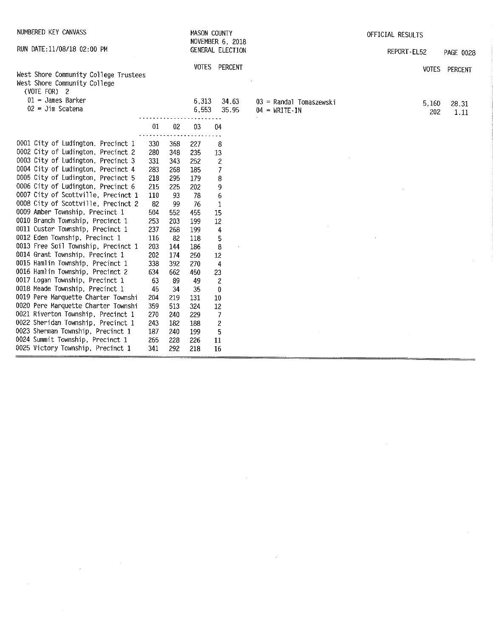| NUMBERED KEY CANVASS                                                                                                                                 |                          |                          | MASON COUNTY             | NOVEMBER 6, 2018                                               |                                                                  | OFFICIAL RESULTS |              |               |
|------------------------------------------------------------------------------------------------------------------------------------------------------|--------------------------|--------------------------|--------------------------|----------------------------------------------------------------|------------------------------------------------------------------|------------------|--------------|---------------|
| RUN DATE: 11/08/18 02:00 PM                                                                                                                          |                          |                          |                          | GENERAL ELECTION                                               |                                                                  | REPORT-EL52      |              | PAGE 0028     |
| West Shore Community College Trustees<br>West Shore Community College<br>(VOTE FOR) 2                                                                |                          |                          |                          | VOTES PERCENT                                                  |                                                                  |                  |              | VOTES PERCENT |
| $01 =$ James Barker<br>$02 =$ Jim Scatena                                                                                                            |                          |                          | 6,313<br>6,553           | 34.63<br>35.95                                                 | $03$ = Randal Tomaszewski<br>$04 = \text{WRITE} \cdot \text{IN}$ |                  | 5,160<br>202 | 28.31<br>1.11 |
|                                                                                                                                                      | 01                       | 02                       | 03                       | 04                                                             |                                                                  |                  |              |               |
| 0001 City of Ludington, Precinct 1<br>0002 City of Ludington, Precinct 2<br>0003 City of Ludington, Precinct 3<br>0004 City of Ludington, Precinct 4 | 330<br>280<br>331<br>283 | 368<br>348<br>343<br>268 | 227<br>235<br>252<br>185 | 8<br>13<br>$\overline{\mathbf{c}}$<br>$\overline{\phantom{a}}$ |                                                                  |                  |              |               |
| 0005 City of Ludington, Precinct 5<br>0006 City of Ludington, Precinct 6<br>0007 City of Scottville, Precinct 1                                      | 218<br>215<br>110        | 295<br>225<br>93         | 179<br>202<br>78         | 8<br>9<br>6                                                    |                                                                  |                  |              |               |
| 0008 City of Scottville, Precinct 2<br>0009 Amber Township, Precinct 1<br>0010 Branch Township, Precinct 1                                           | 82<br>504<br>253         | 99<br>552<br>203         | -76<br>455<br>199        | 1<br>15<br>12                                                  |                                                                  |                  |              |               |
| 0011 Custer Township, Precinct 1<br>0012 Eden Township, Precinct 1<br>0013 Free Soil Township, Precinct 1                                            | 237<br>116<br>203        | 268<br>82<br>144         | 199<br>118<br>186        | 4<br>5<br>8                                                    |                                                                  |                  |              |               |
| 0014 Grant Township, Precinct 1<br>0015 Hamlin Township, Precinct 1<br>0016 Hamlin Township, Precinct 2<br>0017 Logan Township, Precinct 1           | 202<br>338<br>634        | 174<br>392<br>662        | 250<br>270<br>450        | 12<br>4<br>23                                                  |                                                                  |                  |              |               |
| 0018 Meade Township, Precinct 1<br>0019 Pere Marquette Charter Townshi<br>0020 Pere Marquette Charter Townshi                                        | 63<br>45<br>204<br>359   | 89<br>34<br>219<br>513   | 49<br>35<br>131<br>324   | $\overline{c}$<br>$\pmb{0}$<br>10<br>12                        |                                                                  |                  |              |               |
| 0021 Riverton Township, Precinct 1<br>0022 Sheridan Township, Precinct 1<br>0023 Sherman Township, Precinct 1                                        | 270<br>243<br>187        | 240<br>182<br>240        | 229<br>188<br>199        | 7<br>$\overline{c}$<br>5                                       |                                                                  |                  |              |               |
| 0024 Summit Township, Precinct 1<br>0025 Victory Township, Precinct 1                                                                                | 265<br>341               | 228<br>292               | 226<br>218               | $_{11}$<br>16                                                  |                                                                  |                  |              |               |

 $\label{eq:2.1} \frac{1}{\sqrt{2}}\int_{\mathbb{R}^3}\frac{1}{\sqrt{2}}\left(\frac{1}{\sqrt{2}}\right)^2\frac{1}{\sqrt{2}}\left(\frac{1}{\sqrt{2}}\right)^2\frac{1}{\sqrt{2}}\left(\frac{1}{\sqrt{2}}\right)^2\frac{1}{\sqrt{2}}\left(\frac{1}{\sqrt{2}}\right)^2\frac{1}{\sqrt{2}}\left(\frac{1}{\sqrt{2}}\right)^2\frac{1}{\sqrt{2}}\frac{1}{\sqrt{2}}\frac{1}{\sqrt{2}}\frac{1}{\sqrt{2}}\frac{1}{\sqrt{2}}\frac{1}{\sqrt{2}}$ 

 $\frac{1}{2} \left( \frac{1}{2} \right)$  ,  $\frac{1}{2} \left( \frac{1}{2} \right)$ 

 $\label{eq:2.1} \frac{1}{\sqrt{2}}\int_{\mathbb{R}^3}\frac{1}{\sqrt{2}}\left(\frac{1}{\sqrt{2}}\right)^2\frac{1}{\sqrt{2}}\left(\frac{1}{\sqrt{2}}\right)^2\frac{1}{\sqrt{2}}\left(\frac{1}{\sqrt{2}}\right)^2\frac{1}{\sqrt{2}}\left(\frac{1}{\sqrt{2}}\right)^2\frac{1}{\sqrt{2}}\left(\frac{1}{\sqrt{2}}\right)^2\frac{1}{\sqrt{2}}\frac{1}{\sqrt{2}}\frac{1}{\sqrt{2}}\frac{1}{\sqrt{2}}\frac{1}{\sqrt{2}}\frac{1}{\sqrt{2}}$ 

 $\sim$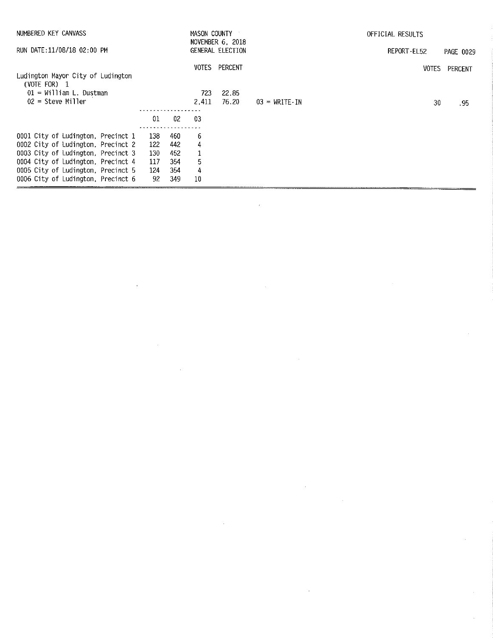| NUMBERED KEY CANVASS                                |            |     | MASON COUNTY | NOVEMBER 6, 2018 |                                     | OFFICIAL RESULTS |           |
|-----------------------------------------------------|------------|-----|--------------|------------------|-------------------------------------|------------------|-----------|
| RUN DATE:11/08/18 02:00 PM                          |            |     |              | GENERAL ELECTION |                                     | REPORT-EL52      | PAGE 0029 |
|                                                     |            |     | VOTES        | PERCENT          |                                     | <b>VOTES</b>     | PERCENT   |
| Ludington Mayor City of Ludington<br>$(VOTE FOR)$ 1 |            |     |              |                  |                                     |                  |           |
| $01 =$ William L. Dustman                           |            |     | 723          | 22.85            |                                     |                  |           |
| $02$ = Steve Miller                                 |            |     | 2.411        | 76.20            | $03 = \text{WRITE} \cdot \text{IN}$ | 30               | . 95      |
|                                                     | . <i>.</i> |     |              |                  |                                     |                  |           |
|                                                     | 01         | 02  | -03          |                  |                                     |                  |           |
|                                                     |            |     |              |                  |                                     |                  |           |
| 0001 City of Ludington, Precinct 1                  | 138        | 460 | 6            |                  |                                     |                  |           |
| 0002 City of Ludington, Precinct 2                  | 122        | 442 | 4            |                  |                                     |                  |           |
| 0003 City of Ludington, Precinct 3                  | 130        | 452 | 1            |                  |                                     |                  |           |
| 0004 City of Ludington, Precinct 4                  | 117        | 354 | 5            |                  |                                     |                  |           |
| 0005 City of Ludington, Precinct 5                  | 124        | 354 | 4            |                  |                                     |                  |           |
| 0006 City of Ludington, Precinct 6                  | 92         | 349 | 10           |                  |                                     |                  |           |

 $\label{eq:2.1} \frac{1}{2} \int_{\mathbb{R}^3} \frac{1}{\sqrt{2}} \, \frac{1}{\sqrt{2}} \, \frac{1}{\sqrt{2}} \, \frac{1}{\sqrt{2}} \, \frac{1}{\sqrt{2}} \, \frac{1}{\sqrt{2}} \, \frac{1}{\sqrt{2}} \, \frac{1}{\sqrt{2}} \, \frac{1}{\sqrt{2}} \, \frac{1}{\sqrt{2}} \, \frac{1}{\sqrt{2}} \, \frac{1}{\sqrt{2}} \, \frac{1}{\sqrt{2}} \, \frac{1}{\sqrt{2}} \, \frac{1}{\sqrt{2}} \, \frac{1}{\sqrt{2}} \,$ 

 $\sim$ 

 $\mathcal{L}^{\text{max}}_{\text{max}}$  and  $\mathcal{L}^{\text{max}}_{\text{max}}$ 

 $\label{eq:2.1} \frac{1}{\sqrt{2}}\sum_{i=1}^n\frac{1}{\sqrt{2}}\sum_{i=1}^n\frac{1}{\sqrt{2}}\sum_{i=1}^n\frac{1}{\sqrt{2}}\sum_{i=1}^n\frac{1}{\sqrt{2}}\sum_{i=1}^n\frac{1}{\sqrt{2}}\sum_{i=1}^n\frac{1}{\sqrt{2}}\sum_{i=1}^n\frac{1}{\sqrt{2}}\sum_{i=1}^n\frac{1}{\sqrt{2}}\sum_{i=1}^n\frac{1}{\sqrt{2}}\sum_{i=1}^n\frac{1}{\sqrt{2}}\sum_{i=1}^n\frac$ 

 $\mathcal{L}^{\mathcal{L}}(\mathcal{L}^{\mathcal{L}})$  and  $\mathcal{L}^{\mathcal{L}}(\mathcal{L}^{\mathcal{L}})$  and  $\mathcal{L}^{\mathcal{L}}(\mathcal{L}^{\mathcal{L}})$ 

 $\mathcal{L}^{\text{max}}_{\text{max}}$  . The  $\mathcal{L}^{\text{max}}_{\text{max}}$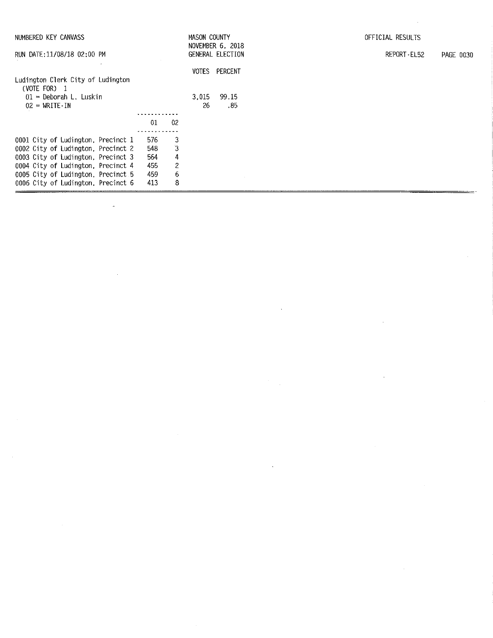| NUMBERED KEY CANVASS                              |     |                | MASON COUNTY | NOVEMBER 6, 2018        | OFFICIAL RESULTS         |
|---------------------------------------------------|-----|----------------|--------------|-------------------------|--------------------------|
| RUN DATE: 11/08/18 02:00 PM                       |     |                |              | <b>GENERAL ELECTION</b> | REPORT-EL52<br>PAGE 0030 |
| Ludington Clerk City of Ludington<br>(VOTE FOR) 1 |     |                |              | VOTES PERCENT           |                          |
| $01$ = Deborah L. Luskin<br>$02 = WRITE-IN$       |     |                | 3.015<br>26  | 99.15<br>.85            |                          |
|                                                   | 01  | -02            |              |                         |                          |
| 0001 City of Ludington, Precinct 1                | 576 | 3              |              |                         |                          |
| 0002 City of Ludington, Precinct 2                | 548 | $\mathbf{3}$   |              |                         |                          |
| 0003 City of Ludington, Precinct 3                | 564 | 4              |              |                         |                          |
| 0004 City of Ludington, Precinct 4                | 455 | $\overline{c}$ |              |                         |                          |
| 0005 City of Ludington, Precinct 5                | 459 | 6              |              |                         |                          |
| 0006 City of Ludington, Precinct 6                | 413 | 8              |              |                         |                          |

 $\label{eq:2.1} \mathcal{L}(\mathcal{L}(\mathcal{L})) = \mathcal{L}(\mathcal{L}(\mathcal{L})) = \mathcal{L}(\mathcal{L}(\mathcal{L})) = \mathcal{L}(\mathcal{L}(\mathcal{L})) = \mathcal{L}(\mathcal{L}(\mathcal{L})) = \mathcal{L}(\mathcal{L}(\mathcal{L})) = \mathcal{L}(\mathcal{L}(\mathcal{L})) = \mathcal{L}(\mathcal{L}(\mathcal{L})) = \mathcal{L}(\mathcal{L}(\mathcal{L})) = \mathcal{L}(\mathcal{L}(\mathcal{L})) = \mathcal{L}(\mathcal{L}(\mathcal{L})) = \math$ 

 $\label{eq:2} \frac{1}{\sqrt{2}}\sum_{i=1}^n\frac{1}{\sqrt{2}}\sum_{i=1}^n\frac{1}{\sqrt{2}}\sum_{i=1}^n\frac{1}{\sqrt{2}}\sum_{i=1}^n\frac{1}{\sqrt{2}}\sum_{i=1}^n\frac{1}{\sqrt{2}}\sum_{i=1}^n\frac{1}{\sqrt{2}}\sum_{i=1}^n\frac{1}{\sqrt{2}}\sum_{i=1}^n\frac{1}{\sqrt{2}}\sum_{i=1}^n\frac{1}{\sqrt{2}}\sum_{i=1}^n\frac{1}{\sqrt{2}}\sum_{i=1}^n\frac{1$ 

 $\label{eq:2.1} \frac{1}{\sqrt{2}}\int_{\mathbb{R}^3}\frac{1}{\sqrt{2}}\left(\frac{1}{\sqrt{2}}\right)^2\frac{1}{\sqrt{2}}\left(\frac{1}{\sqrt{2}}\right)^2\frac{1}{\sqrt{2}}\left(\frac{1}{\sqrt{2}}\right)^2\frac{1}{\sqrt{2}}\left(\frac{1}{\sqrt{2}}\right)^2\frac{1}{\sqrt{2}}\left(\frac{1}{\sqrt{2}}\right)^2\frac{1}{\sqrt{2}}\frac{1}{\sqrt{2}}\frac{1}{\sqrt{2}}\frac{1}{\sqrt{2}}\frac{1}{\sqrt{2}}\frac{1}{\sqrt{2}}$ 

 $\label{eq:2.1} \frac{1}{\sqrt{2}}\sum_{i=1}^n\frac{1}{\sqrt{2}}\sum_{j=1}^n\frac{1}{\sqrt{2}}\sum_{j=1}^n\frac{1}{\sqrt{2}}\sum_{j=1}^n\frac{1}{\sqrt{2}}\sum_{j=1}^n\frac{1}{\sqrt{2}}\sum_{j=1}^n\frac{1}{\sqrt{2}}\sum_{j=1}^n\frac{1}{\sqrt{2}}\sum_{j=1}^n\frac{1}{\sqrt{2}}\sum_{j=1}^n\frac{1}{\sqrt{2}}\sum_{j=1}^n\frac{1}{\sqrt{2}}\sum_{j=1}^n\frac$ 

 $\sim$ 

 $\label{eq:2.1} \frac{1}{\sqrt{2}}\left(\frac{1}{\sqrt{2}}\right)^{2} \left(\frac{1}{\sqrt{2}}\right)^{2} \left(\frac{1}{\sqrt{2}}\right)^{2} \left(\frac{1}{\sqrt{2}}\right)^{2} \left(\frac{1}{\sqrt{2}}\right)^{2} \left(\frac{1}{\sqrt{2}}\right)^{2} \left(\frac{1}{\sqrt{2}}\right)^{2} \left(\frac{1}{\sqrt{2}}\right)^{2} \left(\frac{1}{\sqrt{2}}\right)^{2} \left(\frac{1}{\sqrt{2}}\right)^{2} \left(\frac{1}{\sqrt{2}}\right)^{2} \left(\$ 

 $\label{eq:2.1} \frac{1}{\sqrt{2}}\sum_{i=1}^n\frac{1}{\sqrt{2}}\sum_{j=1}^n\frac{1}{\sqrt{2}}\sum_{j=1}^n\frac{1}{\sqrt{2}}\sum_{j=1}^n\frac{1}{\sqrt{2}}\sum_{j=1}^n\frac{1}{\sqrt{2}}\sum_{j=1}^n\frac{1}{\sqrt{2}}\sum_{j=1}^n\frac{1}{\sqrt{2}}\sum_{j=1}^n\frac{1}{\sqrt{2}}\sum_{j=1}^n\frac{1}{\sqrt{2}}\sum_{j=1}^n\frac{1}{\sqrt{2}}\sum_{j=1}^n\frac$ 

 $\label{eq:2} \mathcal{L}(\mathcal{L}^{\text{max}}_{\mathcal{L}}(\mathcal{L}^{\text{max}}_{\mathcal{L}})) \leq \mathcal{L}(\mathcal{L}^{\text{max}}_{\mathcal{L}}(\mathcal{L}^{\text{max}}_{\mathcal{L}}))$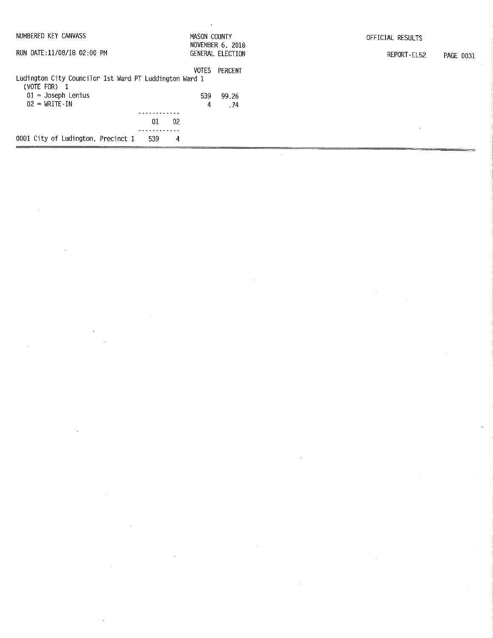| NUMBERED KEY CANVASS                                                                                                                | MASON COUNTY                                         | OFFICIAL RESULTS         |
|-------------------------------------------------------------------------------------------------------------------------------------|------------------------------------------------------|--------------------------|
| RUN DATE: 11/08/18 02:00 PM                                                                                                         | NOVEMBER 6, 2018<br>GENERAL ELECTION                 | REPORT-EL52<br>PAGE 0031 |
| Ludington City Councilor 1st Ward PT Luddington Ward 1<br>(VOTE FOR) $1$<br>$01 =$ Joseph Lenius<br>$02 = \text{WRITE} - \text{IN}$ | <b>VOTES</b><br>PERCENT<br>539<br>99.26<br>4<br>. 74 |                          |
|                                                                                                                                     | 01<br>-02                                            |                          |
| 0001 City of Ludington, Precinct 1                                                                                                  | 4<br>539                                             |                          |

 $\label{eq:2.1} \begin{split} \mathcal{L}_{\text{max}}(\mathbf{r}) & = \frac{1}{2} \sum_{i=1}^{N} \mathcal{L}_{\text{max}}(\mathbf{r}) \mathcal{L}_{\text{max}}(\mathbf{r}) \\ & = \frac{1}{2} \sum_{i=1}^{N} \mathcal{L}_{\text{max}}(\mathbf{r}) \mathcal{L}_{\text{max}}(\mathbf{r}) \mathcal{L}_{\text{max}}(\mathbf{r}) \mathcal{L}_{\text{max}}(\mathbf{r}) \mathcal{L}_{\text{max}}(\mathbf{r}) \mathcal{L}_{\text{max}}(\mathbf{r}) \mathcal{L}_{\text{max}}(\mathbf$ 

 $\sim$ 

 $\mathcal{L}(\mathcal{A})$  and  $\mathcal{L}(\mathcal{A})$ 

 $\label{eq:2.1} \mathcal{L}(\mathcal{L}^{\text{max}}_{\mathcal{L}}(\mathcal{L}^{\text{max}}_{\mathcal{L}})) \leq \mathcal{L}(\mathcal{L}^{\text{max}}_{\mathcal{L}}(\mathcal{L}^{\text{max}}_{\mathcal{L}}))$ 

 $\sim 10^{-1}$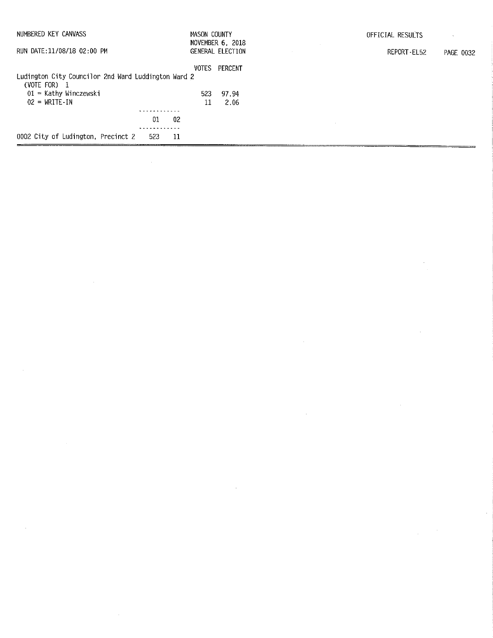| NUMBERED KEY CANVASS                                           | MASON COUNTY |                                      | OFFICIAL RESULTS         |
|----------------------------------------------------------------|--------------|--------------------------------------|--------------------------|
| RUN DATE:11/08/18 02:00 PM                                     |              | NOVEMBER 6, 2018<br>GENERAL ELECTION | REPORT-EL52<br>PAGE 0032 |
|                                                                | <b>VOTES</b> | PERCENT                              |                          |
| Ludington City Councilor 2nd Ward Luddington Ward 2            |              |                                      |                          |
| (VOTE FOR)<br>$\mathbf{1}$                                     |              |                                      |                          |
| $01 -$ Kathy Winczewski<br>$02 = \text{WRITE} \cdot \text{IN}$ | 523          | 97.94<br>2.06                        |                          |
|                                                                | 11           |                                      |                          |
| 01<br>-02                                                      |              |                                      |                          |
|                                                                |              |                                      |                          |
| 0002 City of Ludington, Precinct 2<br>523<br>-11               |              |                                      |                          |

 $\Delta \sim 10^4$ 

 $\mathcal{L}^{\text{max}}_{\text{max}}$  ,  $\mathcal{L}^{\text{max}}_{\text{max}}$ 

 $\label{eq:2.1} \frac{1}{\sqrt{2}}\int_{\mathbb{R}^3}\frac{1}{\sqrt{2}}\left(\frac{1}{\sqrt{2}}\right)^2\frac{1}{\sqrt{2}}\left(\frac{1}{\sqrt{2}}\right)^2\frac{1}{\sqrt{2}}\left(\frac{1}{\sqrt{2}}\right)^2\frac{1}{\sqrt{2}}\left(\frac{1}{\sqrt{2}}\right)^2.$ 

 $\label{eq:2} \frac{1}{\sqrt{2}}\int_{0}^{\infty}\frac{1}{\sqrt{2}}\left(\frac{1}{\sqrt{2}}\right)^{2}d\mu_{\rm{eff}}\,d\mu_{\rm{eff}}\,.$ 

 $\label{eq:2.1} \mathcal{L}(\mathcal{L}^{\text{max}}_{\mathcal{L}}(\mathcal{L}^{\text{max}}_{\mathcal{L}}))\leq \mathcal{L}(\mathcal{L}^{\text{max}}_{\mathcal{L}}(\mathcal{L}^{\text{max}}_{\mathcal{L}}))$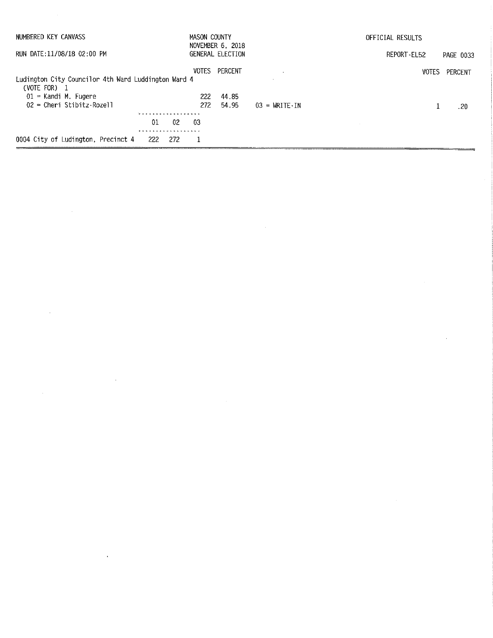| NUMBERED KEY CANVASS                                                | <b>MASON COUNTY</b><br>NOVEMBER 6, 2018 |                         |                                     | OFFICIAL RESULTS |                  |  |
|---------------------------------------------------------------------|-----------------------------------------|-------------------------|-------------------------------------|------------------|------------------|--|
| RUN DATE:11/08/18 02:00 PM                                          |                                         | <b>GENERAL ELECTION</b> |                                     | REPORT-EL52      | <b>PAGE 0033</b> |  |
| Ludington City Councilor 4th Ward Luddington Ward 4<br>(VOTE FOR) 1 | VOTES                                   | PERCENT                 |                                     | <b>VOTES</b>     | PERCENT          |  |
| $01$ = Kandi M. Fugere<br>$02$ = Cheri Stibitz-Rozell               | 222<br>272.                             | 44.85<br>54.95          | $03 = \text{WRITE} \cdot \text{IN}$ |                  | .20              |  |
| . <i>.</i><br>01<br>02                                              | -03                                     |                         |                                     |                  |                  |  |
| .<br>0004 City of Ludington, Precinct 4<br>222<br>272               |                                         |                         |                                     |                  |                  |  |

 $\mathcal{L}^{\text{max}}_{\text{max}}$  and  $\mathcal{L}^{\text{max}}_{\text{max}}$ 

 $\label{eq:2} \frac{1}{2} \int_{\mathbb{R}^3} \frac{1}{\sqrt{2}} \, \mathrm{d} \mu \, \mathrm{d} \mu \, \mathrm{d} \mu \, \mathrm{d} \mu \, \mathrm{d} \mu \, \mathrm{d} \mu \, \mathrm{d} \mu \, \mathrm{d} \mu \, \mathrm{d} \mu \, \mathrm{d} \mu \, \mathrm{d} \mu \, \mathrm{d} \mu \, \mathrm{d} \mu \, \mathrm{d} \mu \, \mathrm{d} \mu \, \mathrm{d} \mu \, \mathrm{d} \mu \, \mathrm{d} \mu \, \mathrm{d} \mu \, \mathrm{d} \mu \, \mathrm$ 

 $\label{eq:2.1} \mathcal{L}(\mathcal{L}^{\text{max}}_{\mathcal{L}}(\mathcal{L}^{\text{max}}_{\mathcal{L}})) \leq \mathcal{L}(\mathcal{L}^{\text{max}}_{\mathcal{L}}(\mathcal{L}^{\text{max}}_{\mathcal{L}}))$ 

 $\label{eq:2.1} \frac{1}{\sqrt{2}}\int_{\mathbb{R}^3}\frac{1}{\sqrt{2}}\left(\frac{1}{\sqrt{2}}\right)^2\left(\frac{1}{\sqrt{2}}\right)^2\left(\frac{1}{\sqrt{2}}\right)^2\left(\frac{1}{\sqrt{2}}\right)^2\left(\frac{1}{\sqrt{2}}\right)^2.$ 

 $\label{eq:2.1} \mathcal{L}(\mathcal{L}^{\mathcal{L}}_{\mathcal{L}}(\mathcal{L}^{\mathcal{L}}_{\mathcal{L}})) \leq \mathcal{L}(\mathcal{L}^{\mathcal{L}}_{\mathcal{L}}(\mathcal{L}^{\mathcal{L}}_{\mathcal{L}})) \leq \mathcal{L}(\mathcal{L}^{\mathcal{L}}_{\mathcal{L}}(\mathcal{L}^{\mathcal{L}}_{\mathcal{L}}))$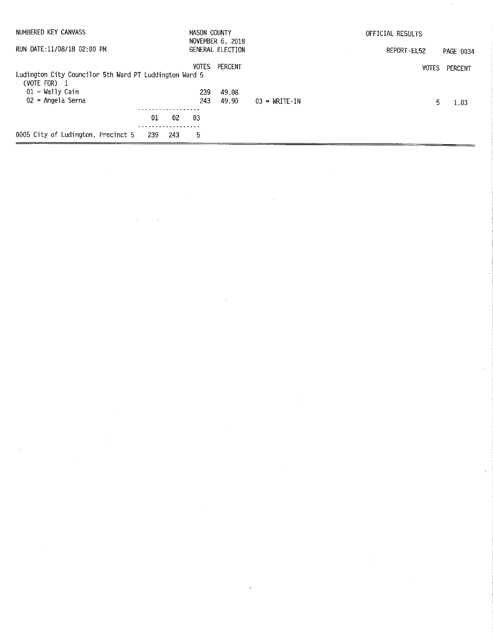| NUMBERED KEY CANVASS                                   | MASON COUNTY | NOVEMBER 6, 2018 |                        | OFFICIAL RESULTS |           |
|--------------------------------------------------------|--------------|------------------|------------------------|------------------|-----------|
| RUN DATE:11/08/18 02:00 PM                             |              | GENERAL ELECTION |                        | REPORT - EL52    | PAGE 0034 |
|                                                        | <b>VOTES</b> | PERCENT          |                        | <b>VOTES</b>     | PERCENT   |
| Ludington City Councilor 5th Ward PT Luddington Ward 5 |              |                  |                        |                  |           |
| (VOTE FOR) $1$                                         |              |                  |                        |                  |           |
| $01 =$ Wally Cain                                      | 239          | 49.08            |                        |                  |           |
| 02 = Angela Serna                                      | 243          | 49.90            | $03 = \text{WRTTE}$ TN | 5.               | 1.03      |
|                                                        |              |                  |                        |                  |           |
| 01<br>02                                               | -03          |                  |                        |                  |           |
|                                                        |              |                  |                        |                  |           |
| 0005 City of Ludington, Precinct 5<br>239<br>243       | 5            |                  |                        |                  |           |

 $\label{eq:2.1} \frac{1}{\sqrt{2\pi}}\int_{\mathbb{R}^3}\frac{1}{\sqrt{2\pi}}\int_{\mathbb{R}^3}\frac{1}{\sqrt{2\pi}}\int_{\mathbb{R}^3}\frac{1}{\sqrt{2\pi}}\int_{\mathbb{R}^3}\frac{1}{\sqrt{2\pi}}\int_{\mathbb{R}^3}\frac{1}{\sqrt{2\pi}}\int_{\mathbb{R}^3}\frac{1}{\sqrt{2\pi}}\int_{\mathbb{R}^3}\frac{1}{\sqrt{2\pi}}\int_{\mathbb{R}^3}\frac{1}{\sqrt{2\pi}}\int_{\mathbb{R}^3}\frac{1$ 

 $\mathcal{L}(\mathcal{L})$  and  $\mathcal{L}(\mathcal{L})$  . The set of the set of  $\mathcal{L}(\mathcal{L})$ 

 $\label{eq:2.1} \mathcal{L}(\mathcal{L}^{\text{max}}_{\mathcal{L}}(\mathcal{L}^{\text{max}}_{\mathcal{L}}),\mathcal{L}^{\text{max}}_{\mathcal{L}^{\text{max}}_{\mathcal{L}}(\mathcal{L}^{\text{max}}_{\mathcal{L}^{\text{max}}_{\mathcal{L}^{\text{max}}_{\mathcal{L}^{\text{max}}_{\mathcal{L}^{\text{max}}_{\mathcal{L}^{\text{max}}_{\mathcal{L}^{\text{max}}_{\mathcal{L}^{\text{max}}_{\mathcal{L}^{\text{max}}_{\mathcal{L}^{\text{max}}_{\mathcal{$ 

 $\sim 10^{-11}$ 

 $\label{eq:2.1} \mathcal{L}(\mathcal{L}^{\text{max}}_{\mathcal{L}}(\mathcal{L}^{\text{max}}_{\mathcal{L}}(\mathcal{L}^{\text{max}}_{\mathcal{L}}(\mathcal{L}^{\text{max}}_{\mathcal{L}^{\text{max}}_{\mathcal{L}}(\mathcal{L}^{\text{max}}_{\mathcal{L}^{\text{max}}_{\mathcal{L}^{\text{max}}_{\mathcal{L}^{\text{max}}_{\mathcal{L}^{\text{max}}_{\mathcal{L}^{\text{max}}_{\mathcal{L}^{\text{max}}_{\mathcal{L}^{\text{max}}_{\mathcal{L}^{\text{max}}$ 

 $\mathcal{L}^{\text{max}}_{\text{max}}$  and  $\mathcal{L}^{\text{max}}_{\text{max}}$ 

 $\label{eq:2.1} \frac{1}{\sqrt{2}}\int_{\mathbb{R}^3}\frac{1}{\sqrt{2}}\left(\frac{1}{\sqrt{2}}\right)^2\frac{1}{\sqrt{2}}\left(\frac{1}{\sqrt{2}}\right)^2\frac{1}{\sqrt{2}}\left(\frac{1}{\sqrt{2}}\right)^2.$ 

 $\sim$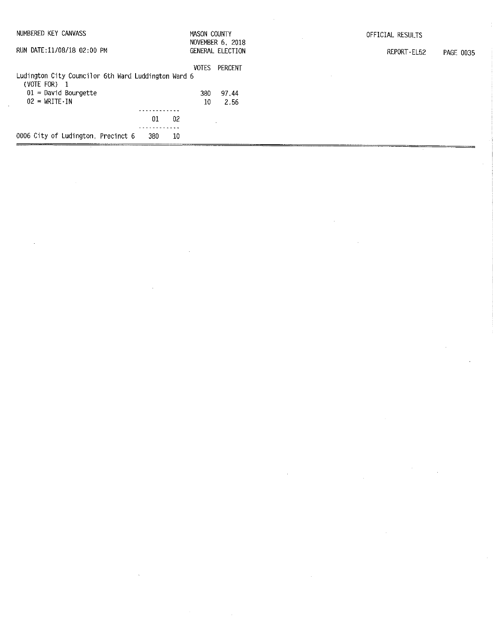| NUMBERED KEY CANVASS                                                |            |      | <b>MASON COUNTY</b> | NOVEMBER 6, 2018 | OFFICIAL RESULTS         |
|---------------------------------------------------------------------|------------|------|---------------------|------------------|--------------------------|
| RUN DATE:11/08/18 02:00 PM                                          |            |      |                     | GENERAL ELECTION | REPORT-EL52<br>PAGE 0035 |
|                                                                     |            |      | <b>VOTES</b>        | PERCENT          |                          |
| Ludington City Councilor 6th Ward Luddington Ward 6<br>(VOTE FOR) 1 |            |      |                     |                  |                          |
| $01 =$ David Bourgette                                              |            |      | 380.                | 97.44            |                          |
| $02 = \text{WRITE} \cdot \text{IN}$                                 |            |      | 10                  | 2.56             |                          |
|                                                                     |            |      |                     |                  |                          |
|                                                                     | 01         | 02   |                     |                  |                          |
|                                                                     | ---------- |      |                     |                  |                          |
| 0006 City of Ludington, Precinct 6                                  | 380        | - 10 |                     |                  |                          |

 $\label{eq:2.1} \frac{1}{\sqrt{2\pi}}\frac{1}{\sqrt{2\pi}}\frac{1}{\sqrt{2\pi}}\frac{1}{\sqrt{2\pi}}\frac{1}{\sqrt{2\pi}}\frac{1}{\sqrt{2\pi}}\frac{1}{\sqrt{2\pi}}\frac{1}{\sqrt{2\pi}}\frac{1}{\sqrt{2\pi}}\frac{1}{\sqrt{2\pi}}\frac{1}{\sqrt{2\pi}}\frac{1}{\sqrt{2\pi}}\frac{1}{\sqrt{2\pi}}\frac{1}{\sqrt{2\pi}}\frac{1}{\sqrt{2\pi}}\frac{1}{\sqrt{2\pi}}\frac{1}{\sqrt{2\pi}}\frac{1}{\sqrt$ 

 $\label{eq:2.1} \frac{1}{\sqrt{2}}\int_{\mathbb{R}^3}\frac{1}{\sqrt{2}}\left(\frac{1}{\sqrt{2}}\right)^2\frac{1}{\sqrt{2}}\left(\frac{1}{\sqrt{2}}\right)^2\frac{1}{\sqrt{2}}\left(\frac{1}{\sqrt{2}}\right)^2\frac{1}{\sqrt{2}}\left(\frac{1}{\sqrt{2}}\right)^2\frac{1}{\sqrt{2}}\left(\frac{1}{\sqrt{2}}\right)^2\frac{1}{\sqrt{2}}\frac{1}{\sqrt{2}}\frac{1}{\sqrt{2}}\frac{1}{\sqrt{2}}\frac{1}{\sqrt{2}}\frac{1}{\sqrt{2}}$ 

 $\label{eq:2.1} \begin{split} \mathcal{L}_{\text{max}}(\mathcal{L}_{\text{max}}) = \mathcal{L}_{\text{max}}(\mathcal{L}_{\text{max}}) \end{split}$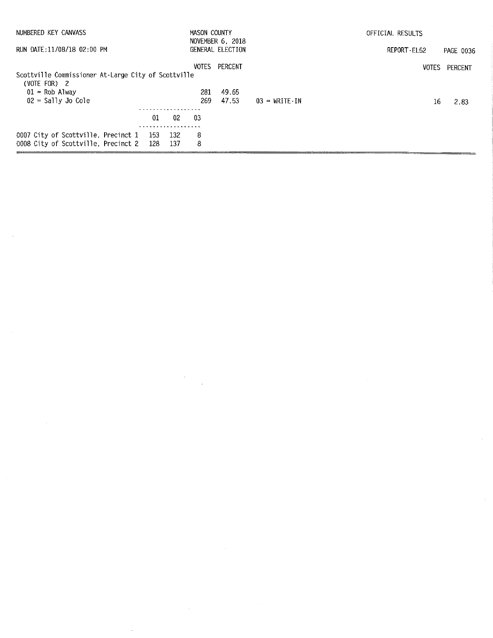| NUMBERED KEY CANVASS                                                               |      |           | MASON COUNTY | NOVEMBER 6, 2018 |                                 | OFFICIAL RESULTS |           |
|------------------------------------------------------------------------------------|------|-----------|--------------|------------------|---------------------------------|------------------|-----------|
| RUN DATE:11/08/18 02:00 PM                                                         |      |           |              | GENERAL ELECTION |                                 | REPORT-EL52      | PAGE 0036 |
| Scottville Commissioner At-Large City of Scottville<br>(VOTE FOR) 2                |      |           | <b>VOTES</b> | PERCENT          |                                 | <b>VOTES</b>     | PERCENT   |
| $01$ = Rob Alway<br>$02 =$ Sally Jo Cole                                           |      |           | 281<br>269.  | 49.65<br>47.53   | $03 = \text{WRITE} - \text{IN}$ | 16               | 2.83      |
|                                                                                    | 01   | 02        | -03          |                  |                                 |                  |           |
| 0007 City of Scottville, Precinct 1 153 132<br>0008 City of Scottville, Precinct 2 | -128 | .<br>-137 | 8<br>8       |                  |                                 |                  |           |

 $\label{eq:2.1} \frac{1}{\sqrt{2\pi}}\int_{\mathbb{R}^3}\frac{1}{\sqrt{2\pi}}\left(\frac{1}{\sqrt{2\pi}}\right)^2\frac{1}{\sqrt{2\pi}}\int_{\mathbb{R}^3}\frac{1}{\sqrt{2\pi}}\frac{1}{\sqrt{2\pi}}\frac{1}{\sqrt{2\pi}}\frac{1}{\sqrt{2\pi}}\frac{1}{\sqrt{2\pi}}\frac{1}{\sqrt{2\pi}}\frac{1}{\sqrt{2\pi}}\frac{1}{\sqrt{2\pi}}\frac{1}{\sqrt{2\pi}}\frac{1}{\sqrt{2\pi}}\frac{1}{\sqrt{2\pi}}\frac{$ 

 $\label{eq:2} \frac{1}{\sqrt{2}}\sum_{i=1}^n\frac{1}{\sqrt{2}}\sum_{j=1}^n\frac{1}{\sqrt{2}}\sum_{j=1}^n\frac{1}{\sqrt{2}}\sum_{j=1}^n\frac{1}{\sqrt{2}}\sum_{j=1}^n\frac{1}{\sqrt{2}}\sum_{j=1}^n\frac{1}{\sqrt{2}}\sum_{j=1}^n\frac{1}{\sqrt{2}}\sum_{j=1}^n\frac{1}{\sqrt{2}}\sum_{j=1}^n\frac{1}{\sqrt{2}}\sum_{j=1}^n\frac{1}{\sqrt{2}}\sum_{j=1}^n\frac{1$ 

 $\sim$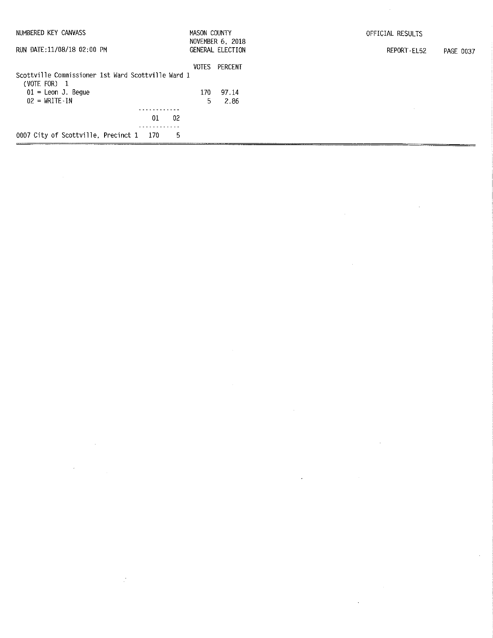| NUMBERED KEY CANVASS                               | MASON COUNTY | NOVEMBER 6, 2018 | OFFICIAL RESULTS         |
|----------------------------------------------------|--------------|------------------|--------------------------|
| RUN DATE:11/08/18 02:00 PM                         |              | GENERAL ELECTION | REPORT-EL52<br>PAGE 0037 |
|                                                    |              | VOTES PERCENT    |                          |
| Scottville Commissioner 1st Ward Scottville Ward 1 |              |                  |                          |
| (VOTE FOR) 1<br>$01 =$ Leon J. Begue               | 170          | 97.14            |                          |
| $02 = \text{WRITE} \cdot \text{IN}$                | 5.           | 2.86             |                          |
|                                                    |              |                  |                          |
| 01<br>-02                                          |              |                  |                          |
|                                                    |              |                  |                          |
| 0007 City of Scottville, Precinct 1 170<br>5       |              |                  |                          |

 $\label{eq:2.1} \frac{1}{\sqrt{2}}\int_{\mathbb{R}^3}\frac{1}{\sqrt{2}}\left(\frac{1}{\sqrt{2}}\int_{\mathbb{R}^3}\frac{1}{\sqrt{2}}\left(\frac{1}{\sqrt{2}}\int_{\mathbb{R}^3}\frac{1}{\sqrt{2}}\left(\frac{1}{\sqrt{2}}\int_{\mathbb{R}^3}\frac{1}{\sqrt{2}}\right)\frac{1}{\sqrt{2}}\right)\frac{1}{\sqrt{2}}\right)=\frac{1}{2}\int_{\mathbb{R}^3}\frac{1}{\sqrt{2}}\int_{\mathbb{R}^3}\frac{1}{\sqrt{2}}\frac{1}{\$ 

 $\label{eq:2.1} \mathcal{L}(\mathcal{L}^{\mathcal{L}}_{\mathcal{L}}(\mathcal{L}^{\mathcal{L}}_{\mathcal{L}})) \leq \mathcal{L}(\mathcal{L}^{\mathcal{L}}_{\mathcal{L}}(\mathcal{L}^{\mathcal{L}}_{\mathcal{L}})) \leq \mathcal{L}(\mathcal{L}^{\mathcal{L}}_{\mathcal{L}}(\mathcal{L}^{\mathcal{L}}_{\mathcal{L}}))$ 

 $\label{eq:2.1} \frac{1}{\sqrt{2\pi}}\frac{1}{\sqrt{2\pi}}\int_{0}^{\infty}\frac{1}{\sqrt{2\pi}}\left(\frac{1}{\sqrt{2\pi}}\right)^{2\alpha} \frac{1}{\sqrt{2\pi}}\int_{0}^{\infty}\frac{1}{\sqrt{2\pi}}\frac{1}{\sqrt{2\pi}}\frac{1}{\sqrt{2\pi}}\frac{1}{\sqrt{2\pi}}\frac{1}{\sqrt{2\pi}}\frac{1}{\sqrt{2\pi}}\frac{1}{\sqrt{2\pi}}\frac{1}{\sqrt{2\pi}}\frac{1}{\sqrt{2\pi}}\frac{1}{\sqrt{2\pi}}\frac{$ 

 $\label{eq:2.1} \frac{1}{\sqrt{2}}\int_{0}^{\infty}\frac{1}{\sqrt{2}}\left(\frac{1}{\sqrt{2}}\right)^{2}d\mu\int_{0}^{\infty}\frac{1}{\sqrt{2}}\left(\frac{1}{\sqrt{2}}\right)^{2}d\mu\int_{0}^{\infty}\frac{1}{\sqrt{2}}\left(\frac{1}{\sqrt{2}}\right)^{2}d\mu\int_{0}^{\infty}\frac{1}{\sqrt{2}}\left(\frac{1}{\sqrt{2}}\right)^{2}d\mu\int_{0}^{\infty}\frac{1}{\sqrt{2}}\left(\frac{1}{\sqrt{2}}\right)^{2}d\mu\$ 

 $\frac{1}{2}$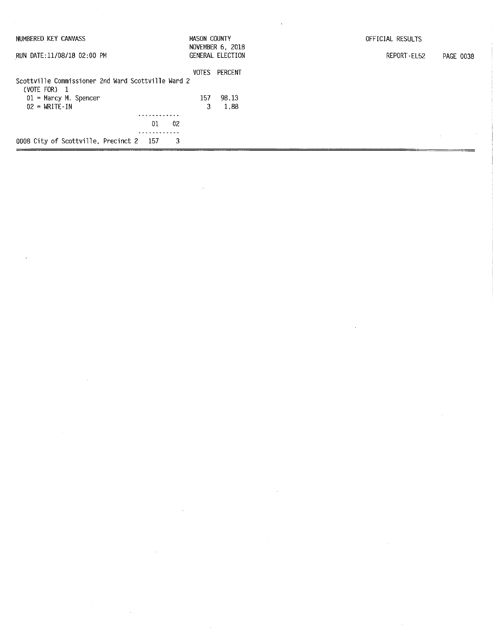| NUMBERED KEY CANVASS                               | MASON COUNTY | NOVEMBER 6, 2018 | OFFICIAL RESULTS         |
|----------------------------------------------------|--------------|------------------|--------------------------|
| RUN DATE:11/08/18 02:00 PM                         |              | GENERAL ELECTION | REPORT-EL52<br>PAGE 0038 |
|                                                    | VOTES        | PERCENT          |                          |
| Scottville Commissioner 2nd Ward Scottville Ward 2 |              |                  |                          |
| (VOTE FOR) 1<br>$01$ = Marcy M. Spencer            | 157          | 98.13            |                          |
| $02 = WRITE-IN$                                    | 3            | 1.88             |                          |
| .                                                  |              |                  |                          |
| 02<br>01                                           |              |                  |                          |
|                                                    |              |                  |                          |
| 0008 City of Scottville, Precinct 2 157<br>3       |              |                  |                          |

 $\label{eq:2.1} \frac{1}{\sqrt{2}}\int_{\mathbb{R}^3}\frac{1}{\sqrt{2}}\left(\frac{1}{\sqrt{2}}\right)^2\frac{1}{\sqrt{2}}\left(\frac{1}{\sqrt{2}}\right)^2\frac{1}{\sqrt{2}}\left(\frac{1}{\sqrt{2}}\right)^2\frac{1}{\sqrt{2}}\left(\frac{1}{\sqrt{2}}\right)^2\frac{1}{\sqrt{2}}\left(\frac{1}{\sqrt{2}}\right)^2\frac{1}{\sqrt{2}}\frac{1}{\sqrt{2}}\frac{1}{\sqrt{2}}\frac{1}{\sqrt{2}}\frac{1}{\sqrt{2}}\frac{1}{\sqrt{2}}$ 

 $\label{eq:2.1} \frac{1}{\sqrt{2}}\left(\frac{1}{\sqrt{2}}\right)^{2} \left(\frac{1}{\sqrt{2}}\right)^{2} \left(\frac{1}{\sqrt{2}}\right)^{2} \left(\frac{1}{\sqrt{2}}\right)^{2} \left(\frac{1}{\sqrt{2}}\right)^{2} \left(\frac{1}{\sqrt{2}}\right)^{2} \left(\frac{1}{\sqrt{2}}\right)^{2} \left(\frac{1}{\sqrt{2}}\right)^{2} \left(\frac{1}{\sqrt{2}}\right)^{2} \left(\frac{1}{\sqrt{2}}\right)^{2} \left(\frac{1}{\sqrt{2}}\right)^{2} \left(\$ 

 $\label{eq:2.1} \mathcal{L}(\mathcal{L}^{\text{max}}_{\mathcal{L}}(\mathcal{L}^{\text{max}}_{\mathcal{L}}))\leq \mathcal{L}(\mathcal{L}^{\text{max}}_{\mathcal{L}}(\mathcal{L}^{\text{max}}_{\mathcal{L}}))\leq \mathcal{L}(\mathcal{L}^{\text{max}}_{\mathcal{L}}(\mathcal{L}^{\text{max}}_{\mathcal{L}}))$ 

 $\label{eq:2.1} \frac{1}{\sqrt{2}}\int_{\mathbb{R}^3}\frac{1}{\sqrt{2}}\left(\frac{1}{\sqrt{2}}\right)^2\frac{1}{\sqrt{2}}\left(\frac{1}{\sqrt{2}}\right)^2\frac{1}{\sqrt{2}}\left(\frac{1}{\sqrt{2}}\right)^2\frac{1}{\sqrt{2}}\left(\frac{1}{\sqrt{2}}\right)^2\frac{1}{\sqrt{2}}\left(\frac{1}{\sqrt{2}}\right)^2\frac{1}{\sqrt{2}}\frac{1}{\sqrt{2}}\frac{1}{\sqrt{2}}\frac{1}{\sqrt{2}}\frac{1}{\sqrt{2}}\frac{1}{\sqrt{2}}$ 

 $\label{eq:2.1} \frac{1}{2} \sum_{i=1}^n \frac{1}{2} \sum_{j=1}^n \frac{1}{2} \sum_{j=1}^n \frac{1}{2} \sum_{j=1}^n \frac{1}{2} \sum_{j=1}^n \frac{1}{2} \sum_{j=1}^n \frac{1}{2} \sum_{j=1}^n \frac{1}{2} \sum_{j=1}^n \frac{1}{2} \sum_{j=1}^n \frac{1}{2} \sum_{j=1}^n \frac{1}{2} \sum_{j=1}^n \frac{1}{2} \sum_{j=1}^n \frac{1}{2} \sum_{j=1}^n \frac{$ 

 $\label{eq:2.1} \begin{split} \mathcal{L}_{\text{max}}(\mathbf{r}) = \mathcal{L}_{\text{max}}(\mathbf{r}) \mathcal{L}_{\text{max}}(\mathbf{r}) \end{split}$ 

 $\mathcal{L}(\mathcal{L}(\mathcal{L}))$  and  $\mathcal{L}(\mathcal{L}(\mathcal{L}))$  and  $\mathcal{L}(\mathcal{L}(\mathcal{L}))$  . Then the contribution of  $\mathcal{L}(\mathcal{L})$ 

 $\sim 10^{-1}$ 

 $\label{eq:2.1} \frac{1}{\sqrt{2}}\int_{\mathbb{R}^3}\frac{1}{\sqrt{2}}\left(\frac{1}{\sqrt{2}}\right)^2\frac{1}{\sqrt{2}}\left(\frac{1}{\sqrt{2}}\right)^2\frac{1}{\sqrt{2}}\left(\frac{1}{\sqrt{2}}\right)^2\frac{1}{\sqrt{2}}\left(\frac{1}{\sqrt{2}}\right)^2.$ 

 $\label{eq:2.1} \mathcal{L}(\mathcal{L}^{\text{max}}_{\mathcal{L}}(\mathcal{L}^{\text{max}}_{\mathcal{L}})) \leq \mathcal{L}(\mathcal{L}^{\text{max}}_{\mathcal{L}}(\mathcal{L}^{\text{max}}_{\mathcal{L}}))$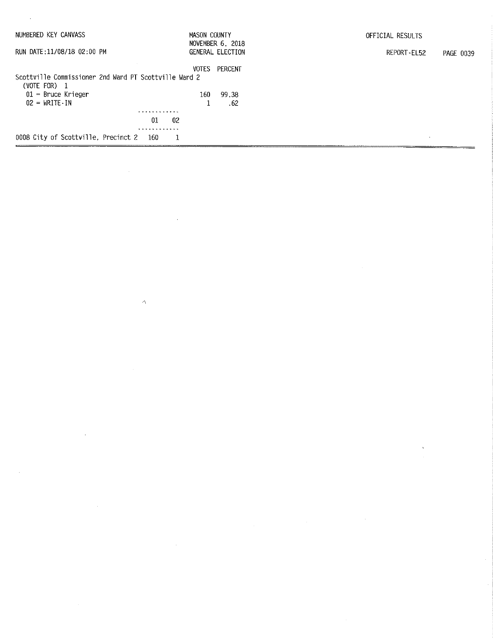| NUMBERED KEY CANVASS                                  | MASON COUNTY | NOVEMBER 6, 2018        | OFFICIAL RESULTS         |  |
|-------------------------------------------------------|--------------|-------------------------|--------------------------|--|
| RUN DATE:11/08/18 02:00 PM                            |              | <b>GENERAL ELECTION</b> | REPORT-EL52<br>PAGE 0039 |  |
|                                                       | <b>VOTES</b> | PERCENT                 |                          |  |
| Scottville Commissioner 2nd Ward PT Scottville Ward 2 |              |                         |                          |  |
| (VOTE FOR) $1$                                        |              |                         |                          |  |
| $01$ = Bruce Krieger                                  | 160.         | 99.38                   |                          |  |
| $02 = \text{WRITE} \cdot \text{IN}$                   |              | . 62                    |                          |  |
|                                                       | .            |                         |                          |  |
|                                                       | 01<br>02     |                         |                          |  |
|                                                       |              |                         |                          |  |
| 0008 City of Scottville, Precinct 2 160               |              |                         |                          |  |

 $\label{eq:2.1} \frac{1}{\sqrt{2}}\int_{\mathbb{R}^3}\frac{1}{\sqrt{2}}\left(\frac{1}{\sqrt{2}}\right)^2\frac{1}{\sqrt{2}}\left(\frac{1}{\sqrt{2}}\right)^2\frac{1}{\sqrt{2}}\left(\frac{1}{\sqrt{2}}\right)^2\frac{1}{\sqrt{2}}\left(\frac{1}{\sqrt{2}}\right)^2.$ 

 $\label{eq:2.1} \frac{1}{\sqrt{2\pi}}\int_{\mathbb{R}^3}\frac{1}{\sqrt{2\pi}}\int_{\mathbb{R}^3}\frac{1}{\sqrt{2\pi}}\int_{\mathbb{R}^3}\frac{1}{\sqrt{2\pi}}\int_{\mathbb{R}^3}\frac{1}{\sqrt{2\pi}}\int_{\mathbb{R}^3}\frac{1}{\sqrt{2\pi}}\int_{\mathbb{R}^3}\frac{1}{\sqrt{2\pi}}\int_{\mathbb{R}^3}\frac{1}{\sqrt{2\pi}}\int_{\mathbb{R}^3}\frac{1}{\sqrt{2\pi}}\int_{\mathbb{R}^3}\frac{1$ 

 $\label{eq:2.1} \begin{split} \mathbf{V}^{(1)}_{\text{max}} &= \mathbf{V}^{(1)}_{\text{max}} \\ \mathbf{V}^{(2)}_{\text{max}} &= \mathbf{V}^{(1)}_{\text{max}} \\ \mathbf{V}^{(1)}_{\text{max}} &= \mathbf{V}^{(1)}_{\text{max}} \\ \mathbf{V}^{(2)}_{\text{max}} &= \mathbf{V}^{(1)}_{\text{max}} \\ \mathbf{V}^{(1)}_{\text{max}} &= \mathbf{V}^{(1)}_{\text{max}} \\ \mathbf{V}^{(2)}_{\text{max}} &= \mathbf{V}^{(1)}_{\text{max}} \\ \math$ 

 $\label{eq:2.1} \frac{1}{\sqrt{2}}\left(\frac{1}{\sqrt{2}}\right)^{2} \left(\frac{1}{\sqrt{2}}\right)^{2} \left(\frac{1}{\sqrt{2}}\right)^{2} \left(\frac{1}{\sqrt{2}}\right)^{2} \left(\frac{1}{\sqrt{2}}\right)^{2} \left(\frac{1}{\sqrt{2}}\right)^{2} \left(\frac{1}{\sqrt{2}}\right)^{2} \left(\frac{1}{\sqrt{2}}\right)^{2} \left(\frac{1}{\sqrt{2}}\right)^{2} \left(\frac{1}{\sqrt{2}}\right)^{2} \left(\frac{1}{\sqrt{2}}\right)^{2} \left(\$ 

 $\label{eq:2.1} \frac{1}{\sqrt{2}}\int_{\mathbb{R}^3}\frac{1}{\sqrt{2}}\left(\frac{1}{\sqrt{2}}\right)^2\frac{1}{\sqrt{2}}\left(\frac{1}{\sqrt{2}}\right)^2\frac{1}{\sqrt{2}}\left(\frac{1}{\sqrt{2}}\right)^2.$ 

 $\mathcal{L}^{\text{max}}_{\text{max}}$  ,  $\mathcal{L}^{\text{max}}_{\text{max}}$ 

 $\hat{\mathcal{A}}$ 

 $\label{eq:2.1} \mathcal{L}(\mathcal{L}^{\text{max}}_{\mathcal{L}}(\mathcal{L}^{\text{max}}_{\mathcal{L}}),\mathcal{L}^{\text{max}}_{\mathcal{L}^{\text{max}}_{\mathcal{L}}})$ 

 $\mathcal{A}^{\text{max}}_{\text{max}}$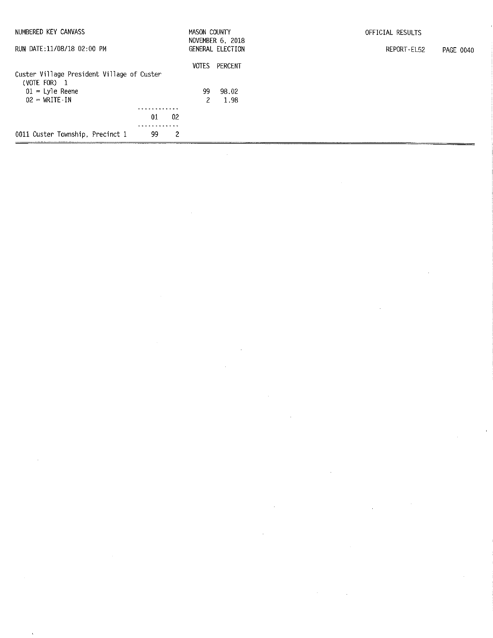| NUMBERED KEY CANVASS                                       |    |    | MASON COUNTY | NOVEMBER 6, 2018 | OFFICIAL RESULTS         |
|------------------------------------------------------------|----|----|--------------|------------------|--------------------------|
| RUN DATE:11/08/18 02:00 PM                                 |    |    |              | GENERAL ELECTION | REPORT-EL52<br>PAGE 0040 |
|                                                            |    |    | VOTES        | PERCENT          |                          |
| Custer Village President Village of Custer<br>(VOTE FOR) 1 |    |    |              |                  |                          |
| $01 = L$ yle Reene                                         |    |    | 99.          | 98.02            |                          |
| $02 - WRITE-IN$                                            |    |    |              | 1.98             |                          |
|                                                            | .  |    |              |                  |                          |
|                                                            | 01 | 02 |              |                  |                          |
|                                                            |    |    |              |                  |                          |
| 0011 Custer Township, Precinct 1                           | 99 | 2  |              |                  |                          |

 $\label{eq:2.1} \frac{1}{\sqrt{2}}\int_{0}^{\infty}\frac{1}{\sqrt{2\pi}}\left(\frac{1}{\sqrt{2\pi}}\right)^{2\alpha} \frac{1}{\sqrt{2\pi}}\int_{0}^{\infty}\frac{1}{\sqrt{2\pi}}\left(\frac{1}{\sqrt{2\pi}}\right)^{\alpha} \frac{1}{\sqrt{2\pi}}\frac{1}{\sqrt{2\pi}}\int_{0}^{\infty}\frac{1}{\sqrt{2\pi}}\frac{1}{\sqrt{2\pi}}\frac{1}{\sqrt{2\pi}}\frac{1}{\sqrt{2\pi}}\frac{1}{\sqrt{2\pi}}\frac{1}{\sqrt{2\pi}}$ 

 $\mathcal{L}^{\text{max}}_{\text{max}}$  ,  $\mathcal{L}^{\text{max}}_{\text{max}}$ 

 $\label{eq:2.1} \frac{1}{\sqrt{2}}\int_{\mathbb{R}^3}\frac{1}{\sqrt{2}}\left(\frac{1}{\sqrt{2}}\right)^2\frac{1}{\sqrt{2}}\left(\frac{1}{\sqrt{2}}\right)^2\frac{1}{\sqrt{2}}\left(\frac{1}{\sqrt{2}}\right)^2.$ 

 $\mathcal{L}^{\text{max}}_{\text{max}}$ 

 $\label{eq:2.1} \frac{1}{2} \int_{\mathbb{R}^3} \frac{1}{\sqrt{2\pi}} \int_{\mathbb{R}^3} \frac{1}{\sqrt{2\pi}} \int_{\mathbb{R}^3} \frac{1}{\sqrt{2\pi}} \int_{\mathbb{R}^3} \frac{1}{\sqrt{2\pi}} \int_{\mathbb{R}^3} \frac{1}{\sqrt{2\pi}} \int_{\mathbb{R}^3} \frac{1}{\sqrt{2\pi}} \int_{\mathbb{R}^3} \frac{1}{\sqrt{2\pi}} \int_{\mathbb{R}^3} \frac{1}{\sqrt{2\pi}} \int_{\mathbb{R}^3}$ 

 $\label{eq:2} \frac{1}{\sqrt{2}}\int_{0}^{\pi} \frac{1}{\sqrt{2}}\left(\frac{1}{\sqrt{2}}\right)^{2}dx$ 

 $\mathcal{L}(\mathcal{L}^{\mathcal{L}})$  and  $\mathcal{L}^{\mathcal{L}}$  are the set of  $\mathcal{L}^{\mathcal{L}}$  .

 $\label{eq:2.1} \mathcal{L}(\mathcal{L}^{\text{c}}_{\text{c}}) = \mathcal{L}(\mathcal{L}^{\text{c}}_{\text{c}}) \mathcal{L}(\mathcal{L}^{\text{c}}_{\text{c}})$ 

 $\sim$ 

 $\mathcal{F}^{\text{c}}_{\text{c}}$  .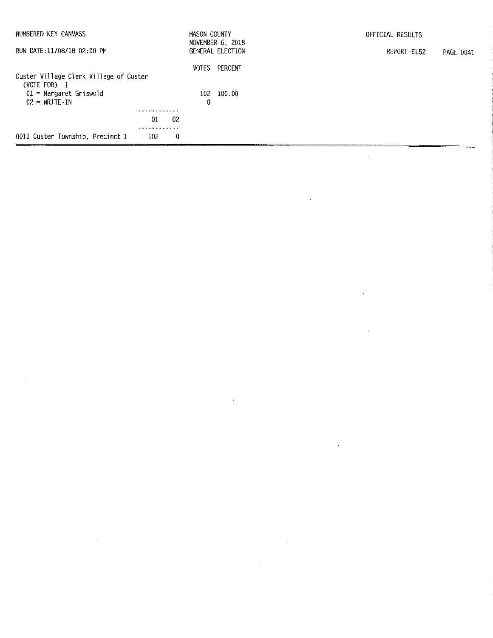| NUMBERED KEY CANVASS                       |     | MASON COUNTY | NOVEMBER 6, 2018 | OFFICIAL RESULTS         |
|--------------------------------------------|-----|--------------|------------------|--------------------------|
| RUN DATE:11/08/18 02:00 PM                 |     |              | GENERAL ELECTION | REPORT-EL52<br>PAGE 0041 |
|                                            |     | <b>VOTES</b> | PERCENT          |                          |
| Custer Village Clerk Village of Custer     |     |              |                  |                          |
| (VOTE FOR) $1$<br>$01$ = Margaret Griswold |     | 102          | 100.00           |                          |
| $02 = \text{WRITE} \cdot \text{IN}$        |     | 0            |                  |                          |
|                                            |     |              |                  |                          |
|                                            | -91 | 02           |                  |                          |
| 0011 Custer Township, Precinct 1           | 102 | 0            |                  |                          |

 $\label{eq:2.1} \frac{1}{\sqrt{2}}\int_{\mathbb{R}^3}\frac{1}{\sqrt{2}}\left(\frac{1}{\sqrt{2}}\right)^2\frac{1}{\sqrt{2}}\left(\frac{1}{\sqrt{2}}\right)^2\frac{1}{\sqrt{2}}\left(\frac{1}{\sqrt{2}}\right)^2\frac{1}{\sqrt{2}}\left(\frac{1}{\sqrt{2}}\right)^2\frac{1}{\sqrt{2}}\left(\frac{1}{\sqrt{2}}\right)^2\frac{1}{\sqrt{2}}\frac{1}{\sqrt{2}}\frac{1}{\sqrt{2}}\frac{1}{\sqrt{2}}\frac{1}{\sqrt{2}}\frac{1}{\sqrt{2}}$ 

 $\label{eq:2.1} \frac{1}{\sqrt{2}}\int_{\mathbb{R}^3}\frac{1}{\sqrt{2}}\left(\frac{1}{\sqrt{2}}\right)^2\frac{1}{\sqrt{2}}\left(\frac{1}{\sqrt{2}}\right)^2\frac{1}{\sqrt{2}}\left(\frac{1}{\sqrt{2}}\right)^2\frac{1}{\sqrt{2}}\left(\frac{1}{\sqrt{2}}\right)^2\frac{1}{\sqrt{2}}\left(\frac{1}{\sqrt{2}}\right)^2\frac{1}{\sqrt{2}}\frac{1}{\sqrt{2}}\frac{1}{\sqrt{2}}\frac{1}{\sqrt{2}}\frac{1}{\sqrt{2}}\frac{1}{\sqrt{2}}$ 

 $\label{eq:2.1} \frac{1}{\sqrt{2}}\int_{\mathbb{R}^3}\frac{1}{\sqrt{2}}\left(\frac{1}{\sqrt{2}}\right)^2\frac{1}{\sqrt{2}}\left(\frac{1}{\sqrt{2}}\right)^2\frac{1}{\sqrt{2}}\left(\frac{1}{\sqrt{2}}\right)^2\frac{1}{\sqrt{2}}\left(\frac{1}{\sqrt{2}}\right)^2.$ 

 $\mathcal{L}^{\text{max}}_{\text{max}}$ 

 $\label{eq:2} \frac{1}{2} \int_{\mathbb{R}^3} \frac{1}{\sqrt{2}} \, \frac{1}{\sqrt{2}} \, \frac{1}{\sqrt{2}} \, \frac{1}{\sqrt{2}} \, \frac{1}{\sqrt{2}} \, \frac{1}{\sqrt{2}} \, \frac{1}{\sqrt{2}} \, \frac{1}{\sqrt{2}} \, \frac{1}{\sqrt{2}} \, \frac{1}{\sqrt{2}} \, \frac{1}{\sqrt{2}} \, \frac{1}{\sqrt{2}} \, \frac{1}{\sqrt{2}} \, \frac{1}{\sqrt{2}} \, \frac{1}{\sqrt{2}} \, \frac{1}{\sqrt{2}} \, \frac$ 

 $\label{eq:2.1} \frac{1}{2} \sum_{i=1}^n \frac{1}{2} \sum_{j=1}^n \frac{1}{2} \sum_{j=1}^n \frac{1}{2} \sum_{j=1}^n \frac{1}{2} \sum_{j=1}^n \frac{1}{2} \sum_{j=1}^n \frac{1}{2} \sum_{j=1}^n \frac{1}{2} \sum_{j=1}^n \frac{1}{2} \sum_{j=1}^n \frac{1}{2} \sum_{j=1}^n \frac{1}{2} \sum_{j=1}^n \frac{1}{2} \sum_{j=1}^n \frac{1}{2} \sum_{j=1}^n \frac{$ 

 $\label{eq:2.1} \mathcal{L}(\mathcal{L}^{\mathcal{L}}_{\mathcal{L}}(\mathcal{L}^{\mathcal{L}}_{\mathcal{L}})) = \mathcal{L}(\mathcal{L}^{\mathcal{L}}_{\mathcal{L}}(\mathcal{L}^{\mathcal{L}}_{\mathcal{L}})) = \mathcal{L}(\mathcal{L}^{\mathcal{L}}_{\mathcal{L}}(\mathcal{L}^{\mathcal{L}}_{\mathcal{L}}))$ 

 $\mathcal{L}(\mathcal{L}(\mathcal{L}))$  and  $\mathcal{L}(\mathcal{L}(\mathcal{L}))$  . The contribution of  $\mathcal{L}(\mathcal{L})$ 

 $\label{eq:2.1} \frac{1}{\sqrt{2}}\int_{\mathbb{R}^3}\frac{1}{\sqrt{2}}\left(\frac{1}{\sqrt{2}}\right)^2\frac{1}{\sqrt{2}}\left(\frac{1}{\sqrt{2}}\right)^2\frac{1}{\sqrt{2}}\left(\frac{1}{\sqrt{2}}\right)^2\frac{1}{\sqrt{2}}\left(\frac{1}{\sqrt{2}}\right)^2.$ 

 $\label{eq:2.1} \frac{1}{\sqrt{2}}\int_{\mathbb{R}^3}\frac{1}{\sqrt{2}}\left(\frac{1}{\sqrt{2}}\right)^2\frac{1}{\sqrt{2}}\left(\frac{1}{\sqrt{2}}\right)^2\frac{1}{\sqrt{2}}\left(\frac{1}{\sqrt{2}}\right)^2\frac{1}{\sqrt{2}}\left(\frac{1}{\sqrt{2}}\right)^2.$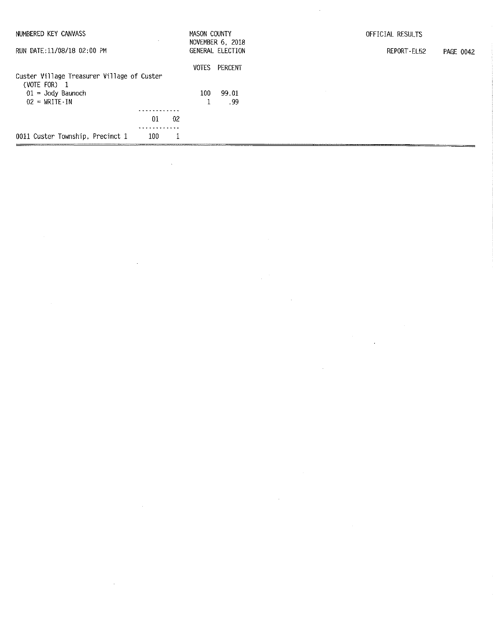| NUMBERED KEY CANVASS                                                     | $\sim$    | MASON COUNTY     | NOVEMBER 6, 2018 | OFFICIAL RESULTS         |
|--------------------------------------------------------------------------|-----------|------------------|------------------|--------------------------|
| RUN DATE:11/08/18 02:00 PM                                               |           |                  | GENERAL ELECTION | REPORT-EL52<br>PAGE 0042 |
|                                                                          |           | VOTES            | PERCENT          |                          |
| Custer Village Treasurer Village of Custer<br>(VOTE FOR)<br>$\mathbf{1}$ |           |                  |                  |                          |
| $01 =$ Jody Baunoch                                                      |           | 100 <sub>1</sub> | 99.01            |                          |
| $02 = \text{WRITE} \cdot \text{IN}$                                      |           |                  | . 99             |                          |
|                                                                          |           |                  |                  |                          |
|                                                                          | 01<br>-02 |                  |                  |                          |
|                                                                          |           |                  |                  |                          |
| 0011 Custer Township, Precinct 1                                         | 100       |                  |                  |                          |

 $\label{eq:2.1} \frac{1}{\sqrt{2\pi}}\int_{0}^{\infty}\frac{1}{\sqrt{2\pi}}\left(\frac{1}{\sqrt{2\pi}}\right)^{2\alpha} \frac{1}{\sqrt{2\pi}}\int_{0}^{\infty}\frac{1}{\sqrt{2\pi}}\left(\frac{1}{\sqrt{2\pi}}\right)^{\alpha} \frac{1}{\sqrt{2\pi}}\frac{1}{\sqrt{2\pi}}\int_{0}^{\infty}\frac{1}{\sqrt{2\pi}}\frac{1}{\sqrt{2\pi}}\frac{1}{\sqrt{2\pi}}\frac{1}{\sqrt{2\pi}}\frac{1}{\sqrt{2\pi}}\frac{1}{\sqrt{2\$ 

 $\mathcal{L}^{\text{max}}_{\text{max}}$  and  $\mathcal{L}^{\text{max}}_{\text{max}}$ 

 $\label{eq:2.1} \frac{1}{\sqrt{2}}\int_{\mathbb{R}^3}\frac{1}{\sqrt{2}}\left(\frac{1}{\sqrt{2}}\right)^2\frac{1}{\sqrt{2}}\left(\frac{1}{\sqrt{2}}\right)^2\frac{1}{\sqrt{2}}\left(\frac{1}{\sqrt{2}}\right)^2\frac{1}{\sqrt{2}}\left(\frac{1}{\sqrt{2}}\right)^2.$ 

 $\label{eq:2.1} \frac{1}{\sqrt{2}}\int_{\mathbb{R}^3}\frac{1}{\sqrt{2}}\left(\frac{1}{\sqrt{2}}\right)^2\frac{1}{\sqrt{2}}\left(\frac{1}{\sqrt{2}}\right)^2\frac{1}{\sqrt{2}}\left(\frac{1}{\sqrt{2}}\right)^2\frac{1}{\sqrt{2}}\left(\frac{1}{\sqrt{2}}\right)^2.$ 

 $\mathcal{L}^{\text{max}}_{\text{max}}$  , where  $\mathcal{L}^{\text{max}}_{\text{max}}$ 

 $\label{eq:2.1} \frac{1}{\sqrt{2}}\int_{\mathbb{R}^3}\frac{1}{\sqrt{2}}\left(\frac{1}{\sqrt{2}}\right)^2\frac{1}{\sqrt{2}}\left(\frac{1}{\sqrt{2}}\right)^2\frac{1}{\sqrt{2}}\left(\frac{1}{\sqrt{2}}\right)^2.$ 

 $\mathcal{L}^{\text{max}}_{\text{max}}$  and  $\mathcal{L}^{\text{max}}_{\text{max}}$ 

 $\label{eq:2.1} \mathcal{L}(\mathcal{A}) = \mathcal{L}(\mathcal{A}) \otimes \mathcal{L}(\mathcal{A})$ 

 $\frac{1}{2} \frac{1}{2} \frac{1}{2} \frac{1}{2}$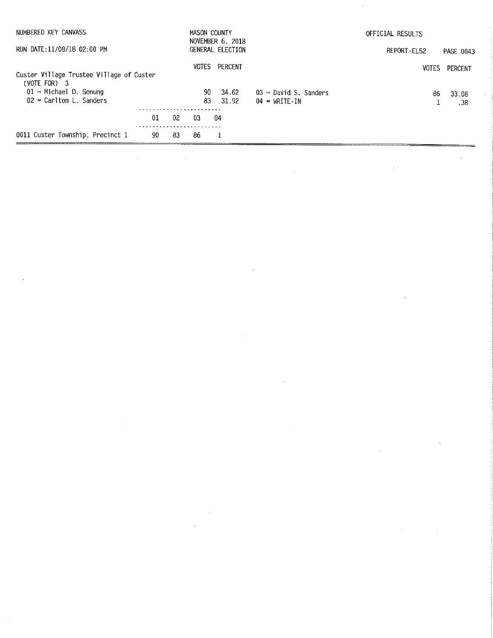| NUMBERED KEY CANVASS                                       |         |    | MASON COUNTY | NOVEMBER 6, 2018 |                                                     | OFFICIAL RESULTS |                  |
|------------------------------------------------------------|---------|----|--------------|------------------|-----------------------------------------------------|------------------|------------------|
| RUN DATE:11/08/18 02:00 PM                                 |         |    |              | GENERAL ELECTION |                                                     | REPORT-EL52      | <b>PAGE 0043</b> |
| Custer Village Trustee Village of Custer<br>$(VOTE FOR)$ 3 |         |    | VOTES        | PERCENT          |                                                     | <b>VOTES</b>     | PERCENT          |
| $01$ = Michael D. Genung<br>$02$ = Carlton L. Sanders      |         |    | 90.<br>83.   | 34.62<br>31.92   | $03$ = David S, Sanders<br>$04 = \text{WRITE}$ - IN | 86               | 33.08<br>.38     |
|                                                            | $_{01}$ | 02 | 03           | 04               |                                                     |                  |                  |
| 0011 Custer Township, Precinct 1                           | 90      | 83 | 86           |                  |                                                     |                  |                  |

 $\label{eq:2.1} \frac{1}{\sqrt{2\pi}}\int_{0}^{\pi} \frac{1}{\sqrt{2\pi}}\left(\frac{1}{\sqrt{2\pi}}\right)^{2} \frac{1}{\sqrt{2\pi}}\int_{0}^{\pi}\frac{1}{\sqrt{2\pi}}\left(\frac{1}{\sqrt{2\pi}}\right)^{2} \frac{1}{\sqrt{2\pi}}\frac{1}{\sqrt{2\pi}}\int_{0}^{\pi}\frac{1}{\sqrt{2\pi}}\frac{1}{\sqrt{2\pi}}\frac{1}{\sqrt{2\pi}}\frac{1}{\sqrt{2\pi}}\frac{1}{\sqrt{2\pi}}\frac{1}{\sqrt{2\pi}}\frac$ 

 $\sim$ 

 $\sim 10^{-10}$ 

 $\sim 10^{-1}$ 

 $\label{eq:2.1} \frac{1}{\sqrt{2}}\left(\frac{1}{\sqrt{2}}\right)^{2} \left(\frac{1}{\sqrt{2}}\right)^{2} \left(\frac{1}{\sqrt{2}}\right)^{2} \left(\frac{1}{\sqrt{2}}\right)^{2} \left(\frac{1}{\sqrt{2}}\right)^{2} \left(\frac{1}{\sqrt{2}}\right)^{2} \left(\frac{1}{\sqrt{2}}\right)^{2} \left(\frac{1}{\sqrt{2}}\right)^{2} \left(\frac{1}{\sqrt{2}}\right)^{2} \left(\frac{1}{\sqrt{2}}\right)^{2} \left(\frac{1}{\sqrt{2}}\right)^{2} \left(\$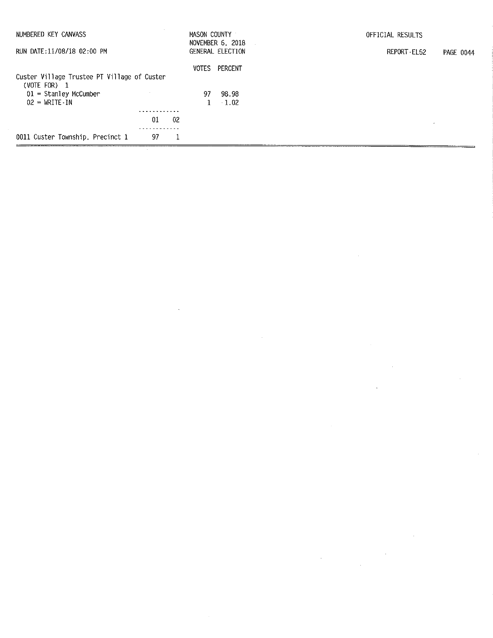| NUMBERED KEY CANVASS                                          | $\sim$ |     | MASON COUNTY | NOVEMBER 6, 2018 | OFFICIAL RESULTS         |
|---------------------------------------------------------------|--------|-----|--------------|------------------|--------------------------|
| RUN DATE:11/08/18 02:00 PM                                    |        |     |              | GENERAL ELECTION | REPORT-EL52<br>PAGE 0044 |
|                                                               |        |     | VOTES        | PERCENT          |                          |
| Custer Village Trustee PT Village of Custer<br>(VOTE FOR) $1$ |        |     |              |                  |                          |
| $01 =$ Stanley McCumber                                       |        |     | 97.          | 98.98            |                          |
| $02 = \text{WRTTE-IN}$                                        |        |     |              | 1.02             |                          |
|                                                               |        |     |              |                  |                          |
|                                                               | 01     | -02 |              |                  |                          |
|                                                               |        |     |              |                  |                          |
| 0011 Custer Township, Precinct 1                              | 97     |     |              |                  |                          |

 $\label{eq:2.1} \frac{1}{\sqrt{2}}\int_{\mathbb{R}^3}\frac{1}{\sqrt{2}}\left(\frac{1}{\sqrt{2}}\right)^2\frac{1}{\sqrt{2}}\left(\frac{1}{\sqrt{2}}\right)^2\frac{1}{\sqrt{2}}\left(\frac{1}{\sqrt{2}}\right)^2\frac{1}{\sqrt{2}}\left(\frac{1}{\sqrt{2}}\right)^2.$ 

 $\label{eq:2.1} \frac{1}{\sqrt{2}}\int_{\mathbb{R}^3}\frac{1}{\sqrt{2}}\left(\frac{1}{\sqrt{2}}\right)^2\frac{1}{\sqrt{2}}\left(\frac{1}{\sqrt{2}}\right)^2\frac{1}{\sqrt{2}}\left(\frac{1}{\sqrt{2}}\right)^2\frac{1}{\sqrt{2}}\left(\frac{1}{\sqrt{2}}\right)^2.$ 

 $\label{eq:2.1} \frac{1}{\sqrt{2}}\int_{\mathbb{R}^3}\frac{1}{\sqrt{2}}\left(\frac{1}{\sqrt{2}}\right)^2\frac{1}{\sqrt{2}}\left(\frac{1}{\sqrt{2}}\right)^2\frac{1}{\sqrt{2}}\left(\frac{1}{\sqrt{2}}\right)^2\frac{1}{\sqrt{2}}\left(\frac{1}{\sqrt{2}}\right)^2.$ 

 $\sim 40^{\circ}$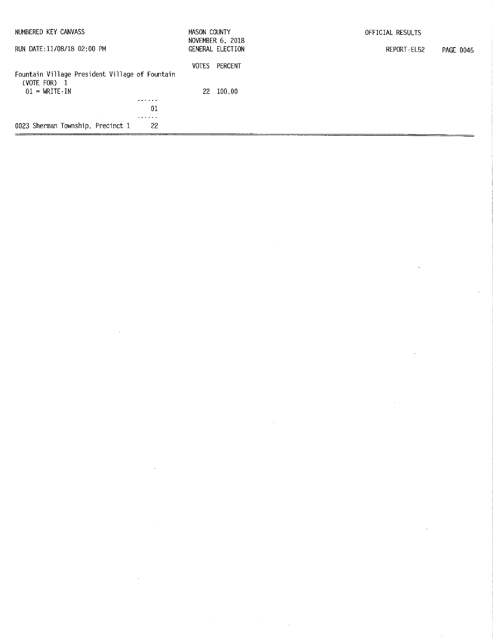| NUMBERED KEY CANVASS                                           | MASON COUNTY | NOVEMBER 6, 2018 | OFFICIAL RESULTS         |
|----------------------------------------------------------------|--------------|------------------|--------------------------|
| RUN DATE:11/08/18 02:00 PM                                     |              | GENERAL ELECTION | REPORT-EL52<br>PAGE 0045 |
| Fountain Village President Village of Fountain<br>(VOTE FOR) 1 | VOTES        | PERCENT          |                          |
| $01 = \text{WRITE} \cdot \text{IN}$                            |              | 22 100,00        |                          |
| .                                                              |              |                  |                          |
| 01                                                             |              |                  |                          |
| - - - - - -                                                    |              |                  |                          |
| 0023 Sherman Township, Precinct 1<br>-22                       |              |                  |                          |

 $\label{eq:2.1} \mathcal{L}(\mathcal{L}^{\text{max}}_{\mathcal{L}}(\mathcal{L}^{\text{max}}_{\mathcal{L}}),\mathcal{L}^{\text{max}}_{\mathcal{L}^{\text{max}}_{\mathcal{L}}(\mathcal{L}^{\text{max}}_{\mathcal{L}^{\text{max}}_{\mathcal{L}^{\text{max}}_{\mathcal{L}^{\text{max}}_{\mathcal{L}^{\text{max}}_{\mathcal{L}^{\text{max}}_{\mathcal{L}^{\text{max}}_{\mathcal{L}^{\text{max}}_{\mathcal{L}^{\text{max}}_{\mathcal{L}^{\text{max}}_{\mathcal{$ 

 $\label{eq:2.1} \frac{1}{\sqrt{2\pi}}\int_{\mathbb{R}^3}\frac{1}{\sqrt{2\pi}}\int_{\mathbb{R}^3}\frac{1}{\sqrt{2\pi}}\int_{\mathbb{R}^3}\frac{1}{\sqrt{2\pi}}\int_{\mathbb{R}^3}\frac{1}{\sqrt{2\pi}}\int_{\mathbb{R}^3}\frac{1}{\sqrt{2\pi}}\int_{\mathbb{R}^3}\frac{1}{\sqrt{2\pi}}\int_{\mathbb{R}^3}\frac{1}{\sqrt{2\pi}}\int_{\mathbb{R}^3}\frac{1}{\sqrt{2\pi}}\int_{\mathbb{R}^3}\frac{1$ 

 $\mathcal{L}^{\text{max}}_{\text{max}}$  and  $\mathcal{L}^{\text{max}}_{\text{max}}$ 

 $\mathcal{L}^{\text{max}}_{\text{max}}$  and  $\mathcal{L}^{\text{max}}_{\text{max}}$ 

 $\label{eq:2.1} \frac{1}{\sqrt{2}}\int_{\mathbb{R}^3}\frac{1}{\sqrt{2}}\left(\frac{1}{\sqrt{2}}\right)^2\frac{1}{\sqrt{2}}\left(\frac{1}{\sqrt{2}}\right)^2\frac{1}{\sqrt{2}}\left(\frac{1}{\sqrt{2}}\right)^2.$ 

 $\label{eq:2.1} \frac{1}{\sqrt{2}}\int_{\mathbb{R}^3}\frac{1}{\sqrt{2}}\left(\frac{1}{\sqrt{2}}\right)^2\frac{1}{\sqrt{2}}\left(\frac{1}{\sqrt{2}}\right)^2\frac{1}{\sqrt{2}}\left(\frac{1}{\sqrt{2}}\right)^2\frac{1}{\sqrt{2}}\left(\frac{1}{\sqrt{2}}\right)^2.$ 

 $\label{eq:2.1} \frac{1}{2} \sum_{i=1}^n \frac{1}{2} \sum_{j=1}^n \frac{1}{2} \sum_{j=1}^n \frac{1}{2} \sum_{j=1}^n \frac{1}{2} \sum_{j=1}^n \frac{1}{2} \sum_{j=1}^n \frac{1}{2} \sum_{j=1}^n \frac{1}{2} \sum_{j=1}^n \frac{1}{2} \sum_{j=1}^n \frac{1}{2} \sum_{j=1}^n \frac{1}{2} \sum_{j=1}^n \frac{1}{2} \sum_{j=1}^n \frac{1}{2} \sum_{j=1}^n \frac{$ 

 $\label{eq:2.1} \frac{1}{\sqrt{2}}\int_{\mathbb{R}^3}\frac{1}{\sqrt{2}}\left(\frac{1}{\sqrt{2}}\right)^2\frac{1}{\sqrt{2}}\left(\frac{1}{\sqrt{2}}\right)^2\frac{1}{\sqrt{2}}\left(\frac{1}{\sqrt{2}}\right)^2\frac{1}{\sqrt{2}}\left(\frac{1}{\sqrt{2}}\right)^2.$ 

 $\mathcal{L}^{\text{max}}_{\text{max}}$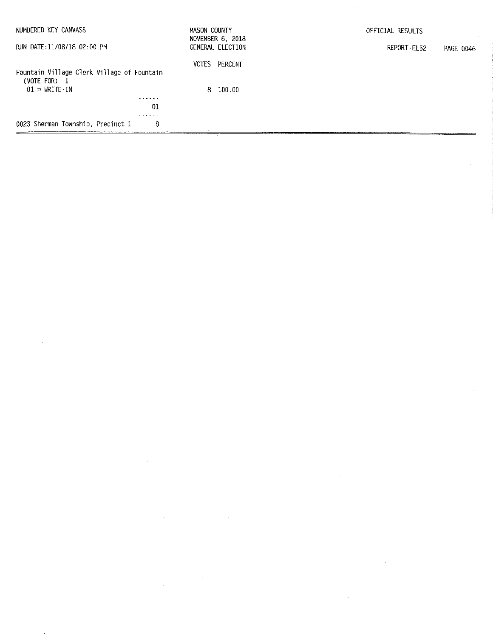| NUMBERED KEY CANVASS                                                                            | MASON COUNTY | NOVEMBER 6, 2018 | OFFICIAL RESULTS         |
|-------------------------------------------------------------------------------------------------|--------------|------------------|--------------------------|
| RUN DATE:11/08/18 02:00 PM                                                                      |              | GENERAL ELECTION | REPORT-EL52<br>PAGE 0046 |
| Fountain Village Clerk Village of Fountain<br>(VOTE FOR) $1$<br>$01 = \text{WRITE} - \text{IN}$ |              | VOTES PERCENT    |                          |
| .<br>01<br>.                                                                                    |              | $8\quad 100.00$  |                          |
| 0023 Sherman Township, Precinct 1<br>8                                                          |              |                  |                          |

 $\mathcal{L}(\mathcal{A})$  and  $\mathcal{L}(\mathcal{A})$  are the set of the set of the set of the set of the set of  $\mathcal{L}(\mathcal{A})$ 

 $\label{eq:2.1} \frac{1}{\sqrt{2}}\int_{\mathbb{R}^3}\frac{1}{\sqrt{2}}\left(\frac{1}{\sqrt{2}}\right)^2\frac{1}{\sqrt{2}}\left(\frac{1}{\sqrt{2}}\right)^2\frac{1}{\sqrt{2}}\left(\frac{1}{\sqrt{2}}\right)^2\frac{1}{\sqrt{2}}\left(\frac{1}{\sqrt{2}}\right)^2\frac{1}{\sqrt{2}}\left(\frac{1}{\sqrt{2}}\right)^2\frac{1}{\sqrt{2}}\frac{1}{\sqrt{2}}\frac{1}{\sqrt{2}}\frac{1}{\sqrt{2}}\frac{1}{\sqrt{2}}\frac{1}{\sqrt{2}}$ 

 $\mathcal{L}^{\text{max}}_{\text{max}}$  .

 $\label{eq:2.1} \begin{split} \mathcal{L}_{\text{max}}(\mathbf{r}) & = \frac{1}{2} \sum_{i=1}^{N} \mathcal{L}_{\text{max}}(\mathbf{r}) \mathcal{L}_{\text{max}}(\mathbf{r}) \\ & = \frac{1}{2} \sum_{i=1}^{N} \mathcal{L}_{\text{max}}(\mathbf{r}) \mathcal{L}_{\text{max}}(\mathbf{r}) \mathcal{L}_{\text{max}}(\mathbf{r}) \mathcal{L}_{\text{max}}(\mathbf{r}) \mathcal{L}_{\text{max}}(\mathbf{r}) \mathcal{L}_{\text{max}}(\mathbf{r}) \mathcal{L}_{\text{max}}(\mathbf$ 

 $\label{eq:1} \frac{1}{\sqrt{2}}\int_{0}^{\pi} \frac{1}{\sqrt{2}}\left(\frac{1}{\sqrt{2}}\right)^{2}dx$ 

 $\label{eq:2.1} \frac{1}{2} \sum_{i=1}^n \frac{1}{2} \sum_{j=1}^n \frac{1}{2} \sum_{j=1}^n \frac{1}{2} \sum_{j=1}^n \frac{1}{2} \sum_{j=1}^n \frac{1}{2} \sum_{j=1}^n \frac{1}{2} \sum_{j=1}^n \frac{1}{2} \sum_{j=1}^n \frac{1}{2} \sum_{j=1}^n \frac{1}{2} \sum_{j=1}^n \frac{1}{2} \sum_{j=1}^n \frac{1}{2} \sum_{j=1}^n \frac{1}{2} \sum_{j=1}^n \frac{$ 

 $\label{eq:2.1} \frac{1}{\sqrt{2\pi}}\sum_{i=1}^n\frac{1}{\sqrt{2\pi}}\sum_{i=1}^n\frac{1}{\sqrt{2\pi}}\sum_{i=1}^n\frac{1}{\sqrt{2\pi}}\sum_{i=1}^n\frac{1}{\sqrt{2\pi}}\sum_{i=1}^n\frac{1}{\sqrt{2\pi}}\sum_{i=1}^n\frac{1}{\sqrt{2\pi}}\sum_{i=1}^n\frac{1}{\sqrt{2\pi}}\sum_{i=1}^n\frac{1}{\sqrt{2\pi}}\sum_{i=1}^n\frac{1}{\sqrt{2\pi}}\sum_{i=1}^n\$ 

 $\label{eq:2.1} \frac{1}{\sqrt{2}}\int_{\mathbb{R}^3} \frac{1}{\sqrt{2}}\left(\frac{1}{\sqrt{2}}\right)^2\frac{1}{\sqrt{2}}\left(\frac{1}{\sqrt{2}}\right)^2\frac{1}{\sqrt{2}}\left(\frac{1}{\sqrt{2}}\right)^2\frac{1}{\sqrt{2}}\left(\frac{1}{\sqrt{2}}\right)^2.$ 

 $\label{eq:2.1} \begin{split} \mathcal{L}_{\text{max}}(\mathbf{r}) & = \frac{1}{2} \sum_{i=1}^{N} \mathcal{L}_{\text{max}}(\mathbf{r}) \mathcal{L}_{\text{max}}(\mathbf{r}) \\ & = \frac{1}{2} \sum_{i=1}^{N} \mathcal{L}_{\text{max}}(\mathbf{r}) \mathcal{L}_{\text{max}}(\mathbf{r}) \mathcal{L}_{\text{max}}(\mathbf{r}) \mathcal{L}_{\text{max}}(\mathbf{r}) \mathcal{L}_{\text{max}}(\mathbf{r}) \mathcal{L}_{\text{max}}(\mathbf{r}) \mathcal{L}_{\text{max}}(\mathbf$ 

 $\mathcal{L}_{\text{max}}$  and  $\mathcal{L}_{\text{max}}$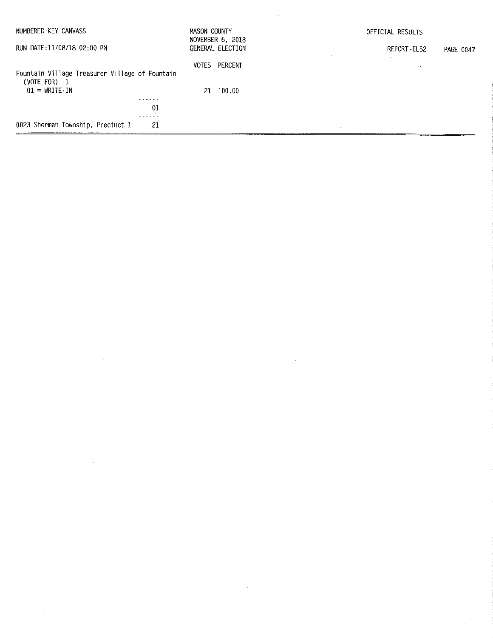| NUMBERED KEY CANVASS                                           | MASON COUNTY<br>NOVEMBER 6, 2018 | OFFICIAL RESULTS         |
|----------------------------------------------------------------|----------------------------------|--------------------------|
| RUN DATE:11/08/18 02:00 PM                                     | GENERAL ELECTION                 | REPORT-EL52<br>PAGE 0047 |
| Fountain Village Treasurer Village of Fountain<br>(VOTE FOR) 1 | PERCENT<br>VOTES                 |                          |
| $01 = \text{WRITE} \cdot \text{IN}$                            | 21 100.00                        |                          |
| .                                                              |                                  |                          |
| 01                                                             |                                  |                          |
| 0023 Sherman Township, Precinct 1<br>-21                       |                                  |                          |

 $\label{eq:2.1} \frac{1}{\sqrt{2}}\int_{\mathbb{R}^3} \frac{1}{\sqrt{2}}\left(\frac{1}{\sqrt{2}}\right)^2\left(\frac{1}{\sqrt{2}}\right)^2\left(\frac{1}{\sqrt{2}}\right)^2\left(\frac{1}{\sqrt{2}}\right)^2\left(\frac{1}{\sqrt{2}}\right)^2\left(\frac{1}{\sqrt{2}}\right)^2.$ 

 $\label{eq:2} \frac{1}{2} \int_{\mathbb{R}^3} \frac{1}{\sqrt{2}} \, \mathrm{d} \mu \, \mathrm{d} \mu \, \mathrm{d} \mu \, \mathrm{d} \mu \, \mathrm{d} \mu \, \mathrm{d} \mu \, \mathrm{d} \mu \, \mathrm{d} \mu \, \mathrm{d} \mu \, \mathrm{d} \mu \, \mathrm{d} \mu \, \mathrm{d} \mu \, \mathrm{d} \mu \, \mathrm{d} \mu \, \mathrm{d} \mu \, \mathrm{d} \mu \, \mathrm{d} \mu \, \mathrm{d} \mu \, \mathrm{d} \mu \, \mathrm{d} \mu \, \mathrm$ 

 $\frac{1}{2}$ 

 $\label{eq:2.1} \frac{1}{\sqrt{2}}\int_{\mathbb{R}^3} \frac{1}{\sqrt{2}}\left(\frac{1}{\sqrt{2}}\right)^2\frac{1}{\sqrt{2}}\left(\frac{1}{\sqrt{2}}\right)^2\frac{1}{\sqrt{2}}\left(\frac{1}{\sqrt{2}}\right)^2.$ 

 $\sim$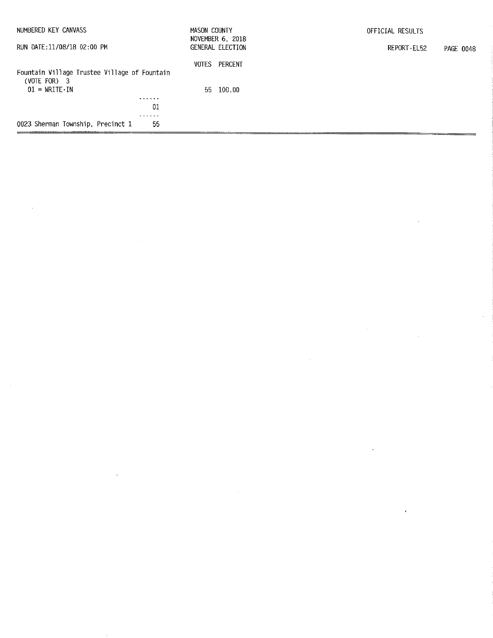| NUMBERED KEY CANVASS                                           | MASON COUNTY<br>NOVEMBER 6, 2018 | OFFICIAL RESULTS         |
|----------------------------------------------------------------|----------------------------------|--------------------------|
| RUN DATE: 11/08/18 02:00 PM                                    | GENERAL ELECTION                 | REPORT-EL52<br>PAGE 0048 |
| Fountain Village Trustee Village of Fountain<br>(VOTE FOR) $3$ | VOTES<br>PERCENT                 |                          |
| $01 = \text{WRITE} \cdot \text{IN}$<br>------                  | 100.00<br>55.                    |                          |
|                                                                | 01                               |                          |
| 0023 Sherman Township, Precinct 1                              | -55                              |                          |
|                                                                |                                  |                          |

 $\label{eq:2.1} \frac{1}{\sqrt{2}}\sum_{i=1}^n\frac{1}{\sqrt{2}}\sum_{i=1}^n\frac{1}{\sqrt{2}}\sum_{i=1}^n\frac{1}{\sqrt{2}}\sum_{i=1}^n\frac{1}{\sqrt{2}}\sum_{i=1}^n\frac{1}{\sqrt{2}}\sum_{i=1}^n\frac{1}{\sqrt{2}}\sum_{i=1}^n\frac{1}{\sqrt{2}}\sum_{i=1}^n\frac{1}{\sqrt{2}}\sum_{i=1}^n\frac{1}{\sqrt{2}}\sum_{i=1}^n\frac{1}{\sqrt{2}}\sum_{i=1}^n\frac$ 

 $\label{eq:2.1} \frac{1}{\sqrt{2}}\int_{\mathbb{R}^3}\frac{1}{\sqrt{2}}\left(\frac{1}{\sqrt{2}}\right)^2\frac{1}{\sqrt{2}}\left(\frac{1}{\sqrt{2}}\right)^2\frac{1}{\sqrt{2}}\left(\frac{1}{\sqrt{2}}\right)^2\frac{1}{\sqrt{2}}\left(\frac{1}{\sqrt{2}}\right)^2\frac{1}{\sqrt{2}}\left(\frac{1}{\sqrt{2}}\right)^2\frac{1}{\sqrt{2}}\frac{1}{\sqrt{2}}\frac{1}{\sqrt{2}}\frac{1}{\sqrt{2}}\frac{1}{\sqrt{2}}\frac{1}{\sqrt{2}}$ 

 $\label{eq:2.1} \frac{1}{\sqrt{2}}\int_{\mathbb{R}^3}\frac{1}{\sqrt{2}}\left(\frac{1}{\sqrt{2}}\right)^2\frac{1}{\sqrt{2}}\left(\frac{1}{\sqrt{2}}\right)^2\frac{1}{\sqrt{2}}\left(\frac{1}{\sqrt{2}}\right)^2.$ 

 $\label{eq:2.1} \mathcal{L}(\mathcal{L}^{\text{max}}_{\mathcal{L}}(\mathcal{L}^{\text{max}}_{\mathcal{L}}(\mathcal{L}^{\text{max}}_{\mathcal{L}}(\mathcal{L}^{\text{max}}_{\mathcal{L}^{\text{max}}_{\mathcal{L}}(\mathcal{L}^{\text{max}}_{\mathcal{L}^{\text{max}}_{\mathcal{L}^{\text{max}}_{\mathcal{L}^{\text{max}}_{\mathcal{L}^{\text{max}}_{\mathcal{L}^{\text{max}}_{\mathcal{L}^{\text{max}}_{\mathcal{L}^{\text{max}}_{\mathcal{L}^{\text{max}}$ 

 $\mathbb{R}^2$ 

 $\mathcal{L}_{\text{max}}$  and  $\mathcal{L}_{\text{max}}$  and  $\mathcal{L}_{\text{max}}$  are the set of the set of the set of the set of the set of the set of the set of the set of the set of the set of the set of the set of the set of the set of the set of th

 $\label{eq:2.1} \frac{1}{\sqrt{2}}\int_{0}^{\infty}\frac{1}{\sqrt{2\pi}}\left(\frac{1}{\sqrt{2\pi}}\right)^{2\alpha} \frac{1}{\sqrt{2\pi}}\int_{0}^{\infty}\frac{1}{\sqrt{2\pi}}\left(\frac{1}{\sqrt{2\pi}}\right)^{\alpha} \frac{1}{\sqrt{2\pi}}\int_{0}^{\infty}\frac{1}{\sqrt{2\pi}}\frac{1}{\sqrt{2\pi}}\frac{1}{\sqrt{2\pi}}\frac{1}{\sqrt{2\pi}}\frac{1}{\sqrt{2\pi}}\frac{1}{\sqrt{2\pi}}\frac{1}{\sqrt{2\pi}}$ 

 $\label{eq:2.1} \frac{1}{2} \int_{\mathbb{R}^3} \frac{1}{\sqrt{2}} \, \frac{1}{\sqrt{2}} \, \frac{1}{\sqrt{2}} \, \frac{1}{\sqrt{2}} \, \frac{1}{\sqrt{2}} \, \frac{1}{\sqrt{2}} \, \frac{1}{\sqrt{2}} \, \frac{1}{\sqrt{2}} \, \frac{1}{\sqrt{2}} \, \frac{1}{\sqrt{2}} \, \frac{1}{\sqrt{2}} \, \frac{1}{\sqrt{2}} \, \frac{1}{\sqrt{2}} \, \frac{1}{\sqrt{2}} \, \frac{1}{\sqrt{2}} \, \frac{1}{\sqrt{2}} \,$ 

 $\label{eq:2.1} \mathcal{L}(\mathcal{L}(\mathcal{L}))=\mathcal{L}(\mathcal{L}(\mathcal{L}))=\mathcal{L}(\mathcal{L}(\mathcal{L}))=\mathcal{L}(\mathcal{L}(\mathcal{L}))=\mathcal{L}(\mathcal{L}(\mathcal{L}))$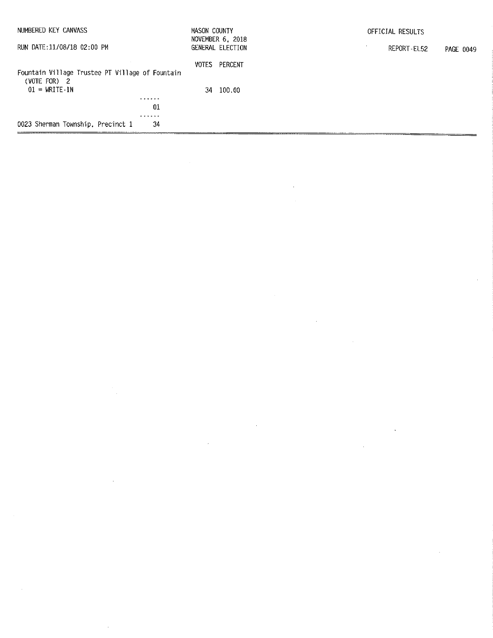| NUMBERED KEY CANVASS                                            | MASON COUNTY | NOVEMBER 6, 2018 | OFFICIAL RESULTS |             |           |
|-----------------------------------------------------------------|--------------|------------------|------------------|-------------|-----------|
| RUN DATE:11/08/18 02:00 PM                                      |              | GENERAL ELECTION |                  | REPORT-EL52 | PAGE 0049 |
| Fountain Village Trustee PT Village of Fountain<br>(VOTE FOR) 2 | VOTES        | PERCENT          |                  |             |           |
| $01 = \text{WRITE}$ IN                                          |              | 34 100.00        |                  |             |           |
| .                                                               |              |                  |                  |             |           |
| 01                                                              |              |                  |                  |             |           |
|                                                                 |              |                  |                  |             |           |
| 0023 Sherman Township, Precinct 1<br>34                         |              |                  |                  |             |           |

 $\label{eq:2.1} \frac{1}{\sqrt{2}}\int_{\mathbb{R}^3}\frac{1}{\sqrt{2}}\left(\frac{1}{\sqrt{2}}\right)^2\frac{1}{\sqrt{2}}\left(\frac{1}{\sqrt{2}}\right)^2\frac{1}{\sqrt{2}}\left(\frac{1}{\sqrt{2}}\right)^2\frac{1}{\sqrt{2}}\left(\frac{1}{\sqrt{2}}\right)^2.$ 

 $\label{eq:2.1} \frac{1}{\sqrt{2}}\int_{0}^{\infty}\frac{1}{\sqrt{2\pi}}\left(\frac{1}{\sqrt{2\pi}}\right)^{2\alpha} \frac{1}{\sqrt{2\pi}}\int_{0}^{\infty}\frac{1}{\sqrt{2\pi}}\left(\frac{1}{\sqrt{2\pi}}\right)^{\alpha} \frac{1}{\sqrt{2\pi}}\frac{1}{\sqrt{2\pi}}\int_{0}^{\infty}\frac{1}{\sqrt{2\pi}}\frac{1}{\sqrt{2\pi}}\frac{1}{\sqrt{2\pi}}\frac{1}{\sqrt{2\pi}}\frac{1}{\sqrt{2\pi}}\frac{1}{\sqrt{2\pi}}$ 

 $\mathcal{L}^{\text{max}}_{\text{max}}$  and  $\mathcal{L}^{\text{max}}_{\text{max}}$ 

 $\label{eq:2.1} \frac{1}{\sqrt{2}}\int_{\mathbb{R}^3}\frac{1}{\sqrt{2}}\left(\frac{1}{\sqrt{2}}\right)^2\frac{1}{\sqrt{2}}\left(\frac{1}{\sqrt{2}}\right)^2\frac{1}{\sqrt{2}}\left(\frac{1}{\sqrt{2}}\right)^2\frac{1}{\sqrt{2}}\left(\frac{1}{\sqrt{2}}\right)^2\frac{1}{\sqrt{2}}\left(\frac{1}{\sqrt{2}}\right)^2\frac{1}{\sqrt{2}}\frac{1}{\sqrt{2}}\frac{1}{\sqrt{2}}\frac{1}{\sqrt{2}}\frac{1}{\sqrt{2}}\frac{1}{\sqrt{2}}$ 

 $\label{eq:2.1} \frac{1}{\sqrt{2\pi}}\frac{1}{\sqrt{2\pi}}\sum_{\alpha\in\mathbb{Z}}\frac{1}{\sqrt{2\pi}}\sum_{\alpha\in\mathbb{Z}}\frac{1}{\sqrt{2\pi}}\sum_{\alpha\in\mathbb{Z}}\frac{1}{\sqrt{2\pi}}\sum_{\alpha\in\mathbb{Z}}\frac{1}{\sqrt{2\pi}}\sum_{\alpha\in\mathbb{Z}}\frac{1}{\sqrt{2\pi}}\sum_{\alpha\in\mathbb{Z}}\frac{1}{\sqrt{2\pi}}\sum_{\alpha\in\mathbb{Z}}\frac{1}{\sqrt{2\pi}}\sum_{\alpha\in\mathbb{Z$ 

 $\label{eq:2.1} \frac{1}{2} \int_{\mathbb{R}^3} \frac{1}{\sqrt{2}} \, \frac{1}{\sqrt{2}} \, \frac{1}{\sqrt{2}} \, \frac{1}{\sqrt{2}} \, \frac{1}{\sqrt{2}} \, \frac{1}{\sqrt{2}} \, \frac{1}{\sqrt{2}} \, \frac{1}{\sqrt{2}} \, \frac{1}{\sqrt{2}} \, \frac{1}{\sqrt{2}} \, \frac{1}{\sqrt{2}} \, \frac{1}{\sqrt{2}} \, \frac{1}{\sqrt{2}} \, \frac{1}{\sqrt{2}} \, \frac{1}{\sqrt{2}} \, \frac{1}{\sqrt{2}} \,$ 

 $\mathcal{A}^{\text{max}}_{\text{max}}$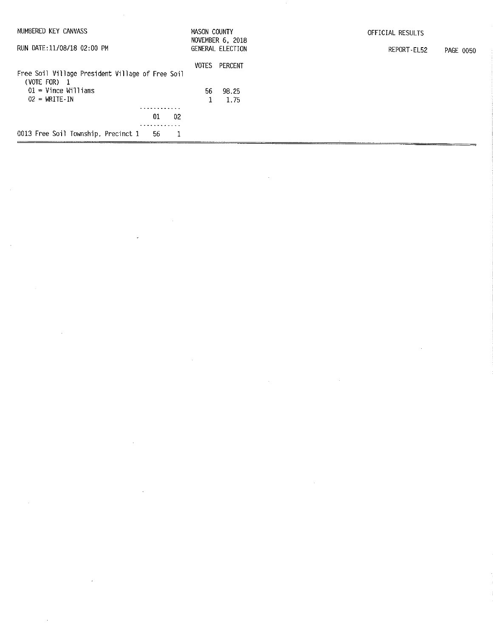| NUMBERED KEY CANVASS                                             | MASON COUNTY | NOVEMBER 6, 2018 | OFFICIAL RESULTS         |
|------------------------------------------------------------------|--------------|------------------|--------------------------|
| RUN DATE:11/08/18 02:00 PM                                       |              | GENERAL ELECTION | REPORT-EL52<br>PAGE 0050 |
|                                                                  | VOTES        | PERCENT          |                          |
| Free Soil Village President Village of Free Soil<br>(VOTE FOR) 1 |              |                  |                          |
| $01 =$ Vince Williams                                            | 56 -         | 98.25            |                          |
| $02 = \text{WRITE} \cdot \text{IN}$                              |              | 1.75             |                          |
|                                                                  |              |                  |                          |
| 01<br>02                                                         |              |                  |                          |
| 0013 Free Soil Township, Precinct 1                              |              |                  |                          |
| -56                                                              | -1           |                  |                          |

 $\label{eq:2.1} \frac{1}{\sqrt{2}}\int_{\mathbb{R}^3}\frac{1}{\sqrt{2}}\left(\frac{1}{\sqrt{2}}\right)^2\frac{1}{\sqrt{2}}\left(\frac{1}{\sqrt{2}}\right)^2\frac{1}{\sqrt{2}}\left(\frac{1}{\sqrt{2}}\right)^2\frac{1}{\sqrt{2}}\left(\frac{1}{\sqrt{2}}\right)^2\frac{1}{\sqrt{2}}\left(\frac{1}{\sqrt{2}}\right)^2.$ 

 $\label{eq:2.1} \mathcal{L}(\mathcal{L}(\mathcal{L})) = \mathcal{L}(\mathcal{L}(\mathcal{L})) = \mathcal{L}(\mathcal{L}(\mathcal{L})) = \mathcal{L}(\mathcal{L}(\mathcal{L})) = \mathcal{L}(\mathcal{L}(\mathcal{L})) = \mathcal{L}(\mathcal{L}(\mathcal{L})) = \mathcal{L}(\mathcal{L}(\mathcal{L})) = \mathcal{L}(\mathcal{L}(\mathcal{L})) = \mathcal{L}(\mathcal{L}(\mathcal{L})) = \mathcal{L}(\mathcal{L}(\mathcal{L})) = \mathcal{L}(\mathcal{L}(\mathcal{L})) = \math$ 

 $\label{eq:2.1} \frac{1}{\sqrt{2}}\int_{0}^{\infty}\frac{1}{\sqrt{2\pi}}\left(\frac{1}{\sqrt{2\pi}}\right)^{2}d\mu_{\rm{max}}^{2}$ 

 $\mathcal{L}^{\text{max}}_{\text{max}}$  and  $\mathcal{L}^{\text{max}}_{\text{max}}$ 

 $\label{eq:2.1} \mathcal{L}(\mathcal{L}^{\text{max}}_{\mathcal{L}}(\mathcal{L}^{\text{max}}_{\mathcal{L}}(\mathcal{L}^{\text{max}}_{\mathcal{L}}(\mathcal{L}^{\text{max}}_{\mathcal{L}^{\text{max}}_{\mathcal{L}}})))))$ 

 $\label{eq:2.1} \mathcal{L}(\mathcal{L}^{\mathcal{L}}_{\mathcal{L}}(\mathcal{L}^{\mathcal{L}}_{\mathcal{L}})) = \mathcal{L}(\mathcal{L}^{\mathcal{L}}_{\mathcal{L}}(\mathcal{L}^{\mathcal{L}}_{\mathcal{L}})) = \mathcal{L}(\mathcal{L}^{\mathcal{L}}_{\mathcal{L}}(\mathcal{L}^{\mathcal{L}}_{\mathcal{L}}))$ 

 $\sim 10^{-1}$ 

 $\mathcal{A}^{\text{max}}_{\text{max}}$ 

 $\ddot{\phantom{0}}$ 

 $\mathcal{L}^{\text{max}}_{\text{max}}$  , where  $\mathcal{L}^{\text{max}}_{\text{max}}$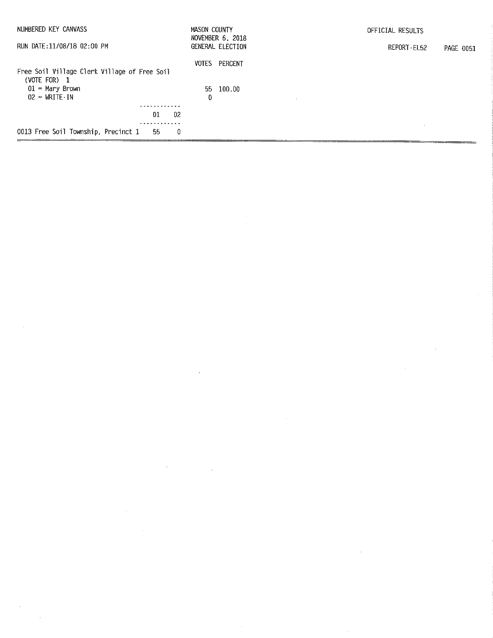| NUMBERED KEY CANVASS                         | MASON COUNTY | NOVEMBER 6, 2018 | OFFICIAL RESULTS         |
|----------------------------------------------|--------------|------------------|--------------------------|
| RUN DATE:11/08/18 02:00 PM                   |              | GENERAL ELECTION | REPORT-EL52<br>PAGE 0051 |
|                                              | <b>VOTES</b> | PERCENT          |                          |
| Free Soil Village Clerk Village of Free Soil |              |                  |                          |
| (VOTE FOR) $1$<br>$01$ = Mary Brown          |              | 55 100.00        |                          |
| $02 = \text{WRITE} \cdot \text{IN}$          | 0            |                  |                          |
| .                                            |              |                  |                          |
| 01                                           | 02           |                  |                          |
|                                              |              |                  |                          |
| 0013 Free Soil Township, Precinct 1<br>-55   | -0           |                  |                          |

 $\label{eq:2.1} \frac{1}{\sqrt{2}}\int_{\mathbb{R}^3}\frac{1}{\sqrt{2}}\left(\frac{1}{\sqrt{2}}\right)^2\frac{1}{\sqrt{2}}\left(\frac{1}{\sqrt{2}}\right)^2\frac{1}{\sqrt{2}}\left(\frac{1}{\sqrt{2}}\right)^2\frac{1}{\sqrt{2}}\left(\frac{1}{\sqrt{2}}\right)^2\frac{1}{\sqrt{2}}\left(\frac{1}{\sqrt{2}}\right)^2\frac{1}{\sqrt{2}}\frac{1}{\sqrt{2}}\frac{1}{\sqrt{2}}\frac{1}{\sqrt{2}}\frac{1}{\sqrt{2}}\frac{1}{\sqrt{2}}$ 

 $\label{eq:2.1} \frac{1}{\sqrt{2\pi}}\int_{0}^{\infty}\frac{1}{\sqrt{2\pi}}\left(\frac{1}{\sqrt{2\pi}}\right)^{2\alpha} \frac{1}{\sqrt{2\pi}}\int_{0}^{\infty}\frac{1}{\sqrt{2\pi}}\left(\frac{1}{\sqrt{2\pi}}\right)^{\alpha} \frac{1}{\sqrt{2\pi}}\frac{1}{\sqrt{2\pi}}\int_{0}^{\infty}\frac{1}{\sqrt{2\pi}}\frac{1}{\sqrt{2\pi}}\frac{1}{\sqrt{2\pi}}\frac{1}{\sqrt{2\pi}}\frac{1}{\sqrt{2\pi}}\frac{1}{\sqrt{2\$ 

 $\label{eq:2.1} \mathcal{L}(\mathcal{L}^{\text{max}}_{\mathcal{L}^{\text{max}}_{\mathcal{L}^{\text{max}}_{\mathcal{L}^{\text{max}}_{\mathcal{L}^{\text{max}}_{\mathcal{L}^{\text{max}}_{\mathcal{L}^{\text{max}}_{\mathcal{L}^{\text{max}}_{\mathcal{L}^{\text{max}}_{\mathcal{L}^{\text{max}}_{\mathcal{L}^{\text{max}}_{\mathcal{L}^{\text{max}}_{\mathcal{L}^{\text{max}}_{\mathcal{L}^{\text{max}}_{\mathcal{L}^{\text{max}}_{\mathcal{L}^{\text{$ 

 $\label{eq:2} \frac{1}{\sqrt{2}}\left(\frac{1}{\sqrt{2}}\right)^{2} \left(\frac{1}{\sqrt{2}}\right)^{2} \left(\frac{1}{\sqrt{2}}\right)^{2}$ 

 $\mathcal{L}(\mathcal{L}^{\text{max}}_{\mathcal{L}})$  ,  $\mathcal{L}^{\text{max}}_{\mathcal{L}}$ 

 $\label{eq:2.1} \frac{1}{\sqrt{2}}\int_{\mathbb{R}^3}\frac{1}{\sqrt{2}}\left(\frac{1}{\sqrt{2}}\right)^2\frac{1}{\sqrt{2}}\left(\frac{1}{\sqrt{2}}\right)^2\frac{1}{\sqrt{2}}\left(\frac{1}{\sqrt{2}}\right)^2.$ 

 $\sim 5\%$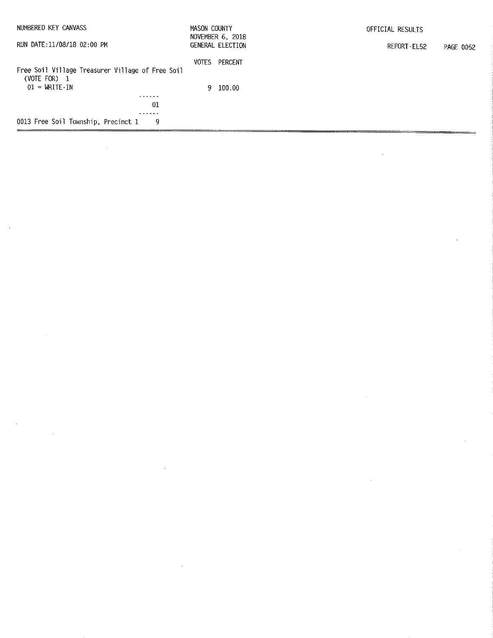| NUMBERED KEY CANVASS                                               | MASON COUNTY                         |          | OFFICIAL RESULTS         |  |  |
|--------------------------------------------------------------------|--------------------------------------|----------|--------------------------|--|--|
| RUN DATE:11/08/18 02:00 PM                                         | NOVEMBER 6, 2018<br>GENERAL ELECTION |          | REPORT-EL52<br>PAGE 0052 |  |  |
| Free Soil Village Treasurer Village of Free Soil<br>(VOTE FOR) $1$ | <b>VOTES</b>                         | PERCENT  |                          |  |  |
| $01 = \text{WRITE} \cdot \text{IN}$                                |                                      | 9 100.00 |                          |  |  |
| - - - - - -<br>01                                                  |                                      |          |                          |  |  |
| .                                                                  |                                      |          |                          |  |  |
| 0013 Free Soil Township, Precinct 1<br>9                           |                                      |          |                          |  |  |
|                                                                    |                                      |          |                          |  |  |

 $\mathcal{L}^{(1)}$ 

 $\label{eq:2.1} \frac{d\mathbf{y}}{dt} = \frac{1}{2} \left[ \frac{d\mathbf{y}}{dt} - \frac{d\mathbf{y}}{dt} \right] \left[ \frac{d\mathbf{y}}{dt} - \frac{d\mathbf{y}}{dt} \right] \left[ \frac{d\mathbf{y}}{dt} - \frac{d\mathbf{y}}{dt} \right] \, .$ 

 $\label{eq:2.1} \begin{split} \mathcal{L}_{\text{max}}(\mathbf{r}) & = \frac{1}{2} \sum_{i=1}^{N} \mathcal{L}_{\text{max}}(\mathbf{r}) \mathcal{L}_{\text{max}}(\mathbf{r}) \mathcal{L}_{\text{max}}(\mathbf{r}) \mathcal{L}_{\text{max}}(\mathbf{r}) \mathcal{L}_{\text{max}}(\mathbf{r}) \mathcal{L}_{\text{max}}(\mathbf{r}) \mathcal{L}_{\text{max}}(\mathbf{r}) \mathcal{L}_{\text{max}}(\mathbf{r}) \mathcal{L}_{\text{max}}(\mathbf{r}) \mathcal{L}_{\text{max}}(\mathbf{r})$ 

 $\label{eq:2.1} \frac{1}{\sqrt{2}}\int_{\mathbb{R}^3}\frac{1}{\sqrt{2}}\left(\frac{1}{\sqrt{2}}\right)^2\frac{1}{\sqrt{2}}\left(\frac{1}{\sqrt{2}}\right)^2\frac{1}{\sqrt{2}}\left(\frac{1}{\sqrt{2}}\right)^2\frac{1}{\sqrt{2}}\left(\frac{1}{\sqrt{2}}\right)^2\frac{1}{\sqrt{2}}\left(\frac{1}{\sqrt{2}}\right)^2\frac{1}{\sqrt{2}}\left(\frac{1}{\sqrt{2}}\right)^2\frac{1}{\sqrt{2}}\frac{1}{\sqrt{2}}\frac{1}{\sqrt{2}}\frac{1$ 

 $\label{eq:2.1} \frac{1}{\sqrt{2}}\left(\frac{1}{\sqrt{2}}\right)^{2} \left(\frac{1}{\sqrt{2}}\right)^{2} \left(\frac{1}{\sqrt{2}}\right)^{2} \left(\frac{1}{\sqrt{2}}\right)^{2} \left(\frac{1}{\sqrt{2}}\right)^{2} \left(\frac{1}{\sqrt{2}}\right)^{2} \left(\frac{1}{\sqrt{2}}\right)^{2} \left(\frac{1}{\sqrt{2}}\right)^{2} \left(\frac{1}{\sqrt{2}}\right)^{2} \left(\frac{1}{\sqrt{2}}\right)^{2} \left(\frac{1}{\sqrt{2}}\right)^{2} \left(\$ 

 $\label{eq:2} \frac{1}{\sqrt{2}}\left(\frac{1}{\sqrt{2}}\right)^{2} \left(\frac{1}{\sqrt{2}}\right)^{2}$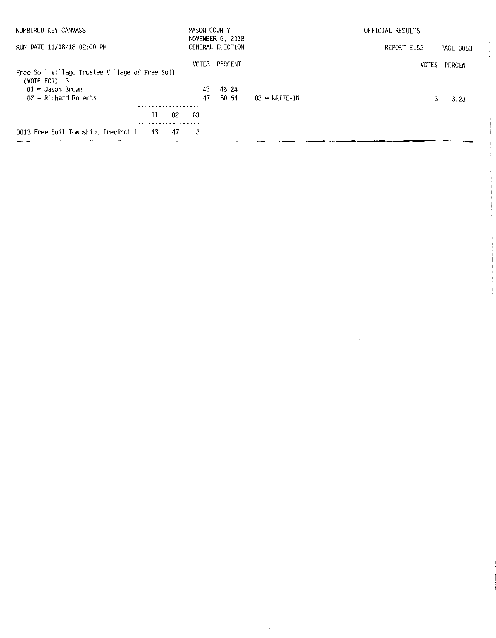| NUMBERED KEY CANVASS                           |     |     | MASON COUNTY | NOVEMBER 6, 2018 |                                     | OFFICIAL RESULTS |           |
|------------------------------------------------|-----|-----|--------------|------------------|-------------------------------------|------------------|-----------|
| RUN DATE:11/08/18 02:00 PM                     |     |     |              | GENERAL ELECTION |                                     | REPORT EL52      | PAGE 0053 |
|                                                |     |     | <b>VOTES</b> | PERCENT          |                                     | <b>VOTES</b>     | PERCENT   |
| Free Soil Village Trustee Village of Free Soil |     |     |              |                  |                                     |                  |           |
| $(VOTE FOR)$ 3                                 |     |     |              |                  |                                     |                  |           |
| $01 =$ Jason Brown                             |     |     | 43           | 46.24            |                                     |                  |           |
| $02$ = Richard Roberts                         |     |     | 47           | 50.54            | $03 = \text{WRITE} \cdot \text{IN}$ |                  | 3.23      |
|                                                |     |     |              |                  |                                     |                  |           |
|                                                | 01  | 02  | 03           |                  |                                     |                  |           |
| 0013 Free Soil Township, Precinct 1            | -43 | -47 | 3            |                  |                                     |                  |           |

 $\label{eq:2.1} \frac{1}{\sqrt{2}}\int_{\mathbb{R}^3}\frac{1}{\sqrt{2}}\left(\frac{1}{\sqrt{2}}\right)^2\frac{1}{\sqrt{2}}\left(\frac{1}{\sqrt{2}}\right)^2\frac{1}{\sqrt{2}}\left(\frac{1}{\sqrt{2}}\right)^2\frac{1}{\sqrt{2}}\left(\frac{1}{\sqrt{2}}\right)^2\frac{1}{\sqrt{2}}\left(\frac{1}{\sqrt{2}}\right)^2\frac{1}{\sqrt{2}}\frac{1}{\sqrt{2}}\frac{1}{\sqrt{2}}\frac{1}{\sqrt{2}}\frac{1}{\sqrt{2}}\frac{1}{\sqrt{2}}$ 

 $\label{eq:2.1} \frac{1}{\sqrt{2}}\int_{\mathbb{R}^3}\frac{1}{\sqrt{2}}\left(\frac{1}{\sqrt{2}}\right)^2\frac{1}{\sqrt{2}}\left(\frac{1}{\sqrt{2}}\right)^2\frac{1}{\sqrt{2}}\left(\frac{1}{\sqrt{2}}\right)^2\frac{1}{\sqrt{2}}\left(\frac{1}{\sqrt{2}}\right)^2.$ 

 $\label{eq:2.1} \frac{1}{\sqrt{2}}\int_{0}^{\infty}\frac{1}{\sqrt{2\pi}}\left(\frac{1}{\sqrt{2\pi}}\right)^{2\alpha} \frac{1}{\sqrt{2\pi}}\int_{0}^{\infty}\frac{1}{\sqrt{2\pi}}\left(\frac{1}{\sqrt{2\pi}}\right)^{\alpha} \frac{1}{\sqrt{2\pi}}\frac{1}{\sqrt{2\pi}}\int_{0}^{\infty}\frac{1}{\sqrt{2\pi}}\frac{1}{\sqrt{2\pi}}\frac{1}{\sqrt{2\pi}}\frac{1}{\sqrt{2\pi}}\frac{1}{\sqrt{2\pi}}\frac{1}{\sqrt{2\pi}}$ 

 $\label{eq:2.1} \frac{1}{\sqrt{2}}\int_{\mathbb{R}^3}\frac{1}{\sqrt{2}}\left(\frac{1}{\sqrt{2}}\right)^2\frac{1}{\sqrt{2}}\left(\frac{1}{\sqrt{2}}\right)^2\frac{1}{\sqrt{2}}\left(\frac{1}{\sqrt{2}}\right)^2\frac{1}{\sqrt{2}}\left(\frac{1}{\sqrt{2}}\right)^2\frac{1}{\sqrt{2}}\left(\frac{1}{\sqrt{2}}\right)^2\frac{1}{\sqrt{2}}\frac{1}{\sqrt{2}}\frac{1}{\sqrt{2}}\frac{1}{\sqrt{2}}\frac{1}{\sqrt{2}}\frac{1}{\sqrt{2}}$ 

 $\label{eq:2.1} \frac{1}{2} \int_{\mathbb{R}^3} \frac{1}{\sqrt{2}} \, \frac{1}{\sqrt{2}} \, \frac{1}{\sqrt{2}} \, \frac{1}{\sqrt{2}} \, \frac{1}{\sqrt{2}} \, \frac{1}{\sqrt{2}} \, \frac{1}{\sqrt{2}} \, \frac{1}{\sqrt{2}} \, \frac{1}{\sqrt{2}} \, \frac{1}{\sqrt{2}} \, \frac{1}{\sqrt{2}} \, \frac{1}{\sqrt{2}} \, \frac{1}{\sqrt{2}} \, \frac{1}{\sqrt{2}} \, \frac{1}{\sqrt{2}} \, \frac{1}{\sqrt{2}} \,$ 

 $\mathbf{v}$ 

 $\label{eq:2.1} \frac{1}{\sqrt{2}}\int_{\mathbb{R}^3}\frac{1}{\sqrt{2}}\left(\frac{1}{\sqrt{2}}\right)^2\frac{1}{\sqrt{2}}\left(\frac{1}{\sqrt{2}}\right)^2\frac{1}{\sqrt{2}}\left(\frac{1}{\sqrt{2}}\right)^2\frac{1}{\sqrt{2}}\left(\frac{1}{\sqrt{2}}\right)^2.$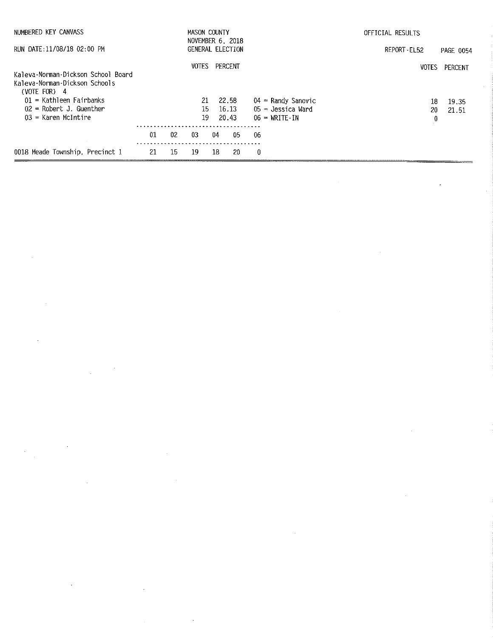| NUMBERED KEY CANVASS                                                                  |    | MASON COUNTY<br>NOVEMBER 6, 2018 |                  |    |         |     | OFFICIAL RESULTS        |              |                  |  |
|---------------------------------------------------------------------------------------|----|----------------------------------|------------------|----|---------|-----|-------------------------|--------------|------------------|--|
| RUN DATE:11/08/18 02:00 PM                                                            |    |                                  | GENERAL ELECTION |    |         |     |                         | REPORT EL52  | <b>PAGE 0054</b> |  |
| Kaleva-Norman-Dickson School Board<br>Kaleva-Norman-Dickson Schools<br>(VOTE FOR) $4$ |    |                                  | <b>VOTES</b>     |    | PERCENT |     |                         | <b>VOTES</b> | PERCENT          |  |
| $01$ = Kathleen Fairbanks                                                             |    |                                  | 21               |    | 22.58   |     | $04$ = Randy Sanovic    |              | 18<br>19.35      |  |
| $02$ = Robert J. Guenther                                                             |    |                                  | 15.              |    | 16.13   |     | $05 =$ Jessica Ward     | 20           | -21.51           |  |
| $03$ = Karen McIntire                                                                 |    |                                  | 19               |    | 20.43   |     | $06 = \text{WRTE}$ - IN |              | $\boldsymbol{0}$ |  |
|                                                                                       | 01 | 02                               | 03               | 04 | 05.     | -06 |                         |              |                  |  |
| 0018 Meade Township, Precinct 1                                                       | 21 | 15                               | 19               | 18 | 20      | 0   |                         |              |                  |  |

a de la construcción de la construcción de la construcción de la construcción de la construcción de la constru<br>En 1980, el construcción de la construcción de la construcción de la construcción de la construcción de la con

 $\mathcal{O}(\mathcal{O}(1))$  . The set of the set of the set of the set of the set of the set of the set of the set of the set of the set of the set of the set of the set of the set of the set of the set of the set of the set of the

 $\label{eq:2.1} \frac{1}{\sqrt{2}}\left(\frac{1}{\sqrt{2}}\right)^{2} \left(\frac{1}{\sqrt{2}}\right)^{2} \left(\frac{1}{\sqrt{2}}\right)^{2} \left(\frac{1}{\sqrt{2}}\right)^{2} \left(\frac{1}{\sqrt{2}}\right)^{2} \left(\frac{1}{\sqrt{2}}\right)^{2} \left(\frac{1}{\sqrt{2}}\right)^{2} \left(\frac{1}{\sqrt{2}}\right)^{2} \left(\frac{1}{\sqrt{2}}\right)^{2} \left(\frac{1}{\sqrt{2}}\right)^{2} \left(\frac{1}{\sqrt{2}}\right)^{2} \left(\$ 

 $\label{eq:2.1} \mathcal{L}(\mathcal{L}^{\mathcal{L}}_{\mathcal{L}}(\mathcal{L}^{\mathcal{L}}_{\mathcal{L}})) = \mathcal{L}(\mathcal{L}^{\mathcal{L}}_{\mathcal{L}}(\mathcal{L}^{\mathcal{L}}_{\mathcal{L}})) = \mathcal{L}(\mathcal{L}^{\mathcal{L}}_{\mathcal{L}}(\mathcal{L}^{\mathcal{L}}_{\mathcal{L}})) = \mathcal{L}(\mathcal{L}^{\mathcal{L}}_{\mathcal{L}}(\mathcal{L}^{\mathcal{L}}_{\mathcal{L}}))$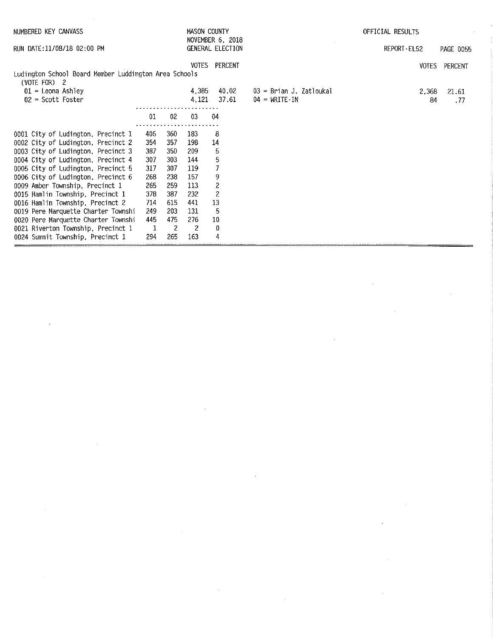| NUMBERED KEY CANVASS                                                  |              |                |                | MASON COUNTY<br>NOVEMBER 6, 2018 |                                     | OFFICIAL RESULTS |                  |  |
|-----------------------------------------------------------------------|--------------|----------------|----------------|----------------------------------|-------------------------------------|------------------|------------------|--|
| RUN DATE:11/08/18 02:00 PM                                            |              |                |                |                                  |                                     | REPORT - EL52    | <b>PAGE 0055</b> |  |
|                                                                       |              |                | <b>VOTES</b>   | PERCENT                          |                                     | VOTES            | PERCENT          |  |
| Ludington School Board Member Luddington Area Schools<br>(VOTE FOR) 2 |              |                |                |                                  |                                     |                  |                  |  |
| $01$ = Leona Ashley                                                   |              |                | 4.385          | 40.02                            | 03 = Brian J. Zatloukal             | 2,368            | 21.61            |  |
| $02$ = Scott Foster                                                   |              |                | 4 121          | 37.61                            | $04 = \text{WRITE} \cdot \text{IN}$ | 84               | . 77             |  |
|                                                                       | 01           | 02             | $03\,$         | 04                               |                                     |                  |                  |  |
| 0001 City of Ludington, Precinct 1                                    | 406          | 360            | 183            | 8                                |                                     |                  |                  |  |
| 0002 City of Ludington, Precinct 2                                    | 354          | 357            | 198            | 14                               |                                     |                  |                  |  |
| 0003 City of Ludington, Precinct 3                                    | 387          | 350            | -209           | 5                                |                                     |                  |                  |  |
| 0004 City of Ludington, Precinct 4                                    | 307          | 303            | 144            | 5                                |                                     |                  |                  |  |
| 0005 City of Ludington, Precinct 5                                    | 317          | 307            | 119            |                                  |                                     |                  |                  |  |
| 0006 City of Ludington, Precinct 6                                    | 268          | 238            | 157            | 9                                |                                     |                  |                  |  |
| 0009 Amber Township, Precinct 1                                       | 265          | 259            | 113            |                                  |                                     |                  |                  |  |
| 0015 Hamlin Township, Precinct 1                                      | 378          | 387            | 232            | $\overline{c}$                   |                                     |                  |                  |  |
| 0016 Hamlin Township, Precinct 2                                      | 714          | 615            | 441            | 13                               |                                     |                  |                  |  |
| 0019 Pere Marquette Charter Townshi                                   | 249          | 203            | 131            | 5                                |                                     |                  |                  |  |
| 0020 Pere Marquette Charter Townshi                                   | 445          | 475            | 276            | $10\,$                           |                                     |                  |                  |  |
| 0021 Riverton Township, Precinct 1                                    | $\mathbf{1}$ | $\overline{2}$ | $\overline{2}$ | -0                               |                                     |                  |                  |  |
| 0024 Summit Township, Precinct 1                                      | 294          | 265            | 163            | 4                                |                                     |                  |                  |  |

 $\mathcal{L}^{\text{max}}_{\text{max}}$  and  $\mathcal{L}^{\text{max}}_{\text{max}}$ 

 $\label{eq:2.1} \frac{1}{\sqrt{2}}\left(\frac{1}{\sqrt{2}}\right)^{2} \left(\frac{1}{\sqrt{2}}\right)^{2} \left(\frac{1}{\sqrt{2}}\right)^{2} \left(\frac{1}{\sqrt{2}}\right)^{2} \left(\frac{1}{\sqrt{2}}\right)^{2} \left(\frac{1}{\sqrt{2}}\right)^{2} \left(\frac{1}{\sqrt{2}}\right)^{2} \left(\frac{1}{\sqrt{2}}\right)^{2} \left(\frac{1}{\sqrt{2}}\right)^{2} \left(\frac{1}{\sqrt{2}}\right)^{2} \left(\frac{1}{\sqrt{2}}\right)^{2} \left(\$ 

 $\mathcal{L}^{\text{max}}_{\text{max}}$ 

 $\sim 10^6$ 

 $\mathcal{L}^{\text{max}}_{\text{max}}$  and  $\mathcal{L}^{\text{max}}_{\text{max}}$ 

 $\label{eq:2.1} \frac{1}{\sqrt{2}}\left(\frac{1}{\sqrt{2}}\right)^{2} \left(\frac{1}{\sqrt{2}}\right)^{2} \left(\frac{1}{\sqrt{2}}\right)^{2} \left(\frac{1}{\sqrt{2}}\right)^{2} \left(\frac{1}{\sqrt{2}}\right)^{2} \left(\frac{1}{\sqrt{2}}\right)^{2} \left(\frac{1}{\sqrt{2}}\right)^{2} \left(\frac{1}{\sqrt{2}}\right)^{2} \left(\frac{1}{\sqrt{2}}\right)^{2} \left(\frac{1}{\sqrt{2}}\right)^{2} \left(\frac{1}{\sqrt{2}}\right)^{2} \left(\$ 

 $\omega_{\rm{max}}$ 

 $\label{eq:2.1} \mathcal{L}(\mathcal{L}^{\text{max}}_{\mathcal{L}}(\mathcal{L}^{\text{max}}_{\mathcal{L}}(\mathcal{L}^{\text{max}}_{\mathcal{L}}(\mathcal{L}^{\text{max}}_{\mathcal{L}^{\text{max}}_{\mathcal{L}}(\mathcal{L}^{\text{max}}_{\mathcal{L}^{\text{max}}_{\mathcal{L}^{\text{max}}_{\mathcal{L}^{\text{max}}_{\mathcal{L}^{\text{max}}_{\mathcal{L}^{\text{max}}_{\mathcal{L}^{\text{max}}_{\mathcal{L}^{\text{max}}_{\mathcal{L}^{\text{max}}$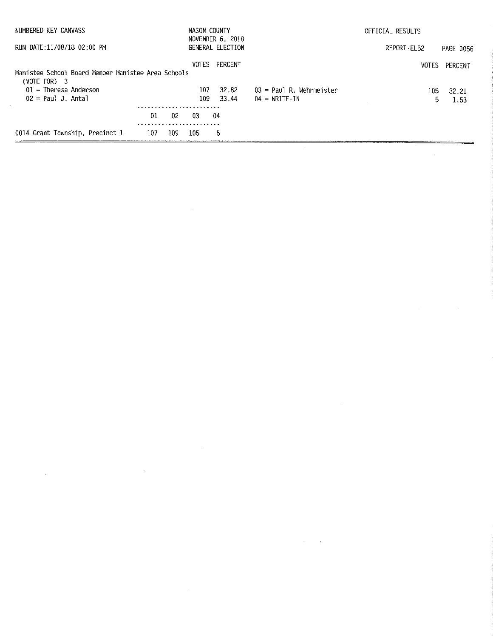| NUMBERED KEY CANVASS                               |     |     | MASON COUNTY | NOVEMBER 6, 2018 |                                     | OFFICIAL RESULTS |               |
|----------------------------------------------------|-----|-----|--------------|------------------|-------------------------------------|------------------|---------------|
| RUN DATE:11/08/18 02:00 PM                         |     |     |              | GENERAL ELECTION |                                     | REPORT - EL52    | PAGE 0056     |
|                                                    |     |     | VOTES        | PERCENT          |                                     |                  | VOTES PERCENT |
| Manistee School Board Member Manistee Area Schools |     |     |              |                  |                                     |                  |               |
| $(VOTE FOR)$ 3<br>$01$ = Theresa Anderson          |     |     | 107          | 32.82            | $03$ = Paul R. Wehrmeister          | 105.             | - 32.21       |
| $02 = Paul J. Antal$                               |     |     | 109          | 33.44            | $04 = \text{WRITE} \cdot \text{IN}$ | 5.               | 1.53          |
|                                                    |     |     |              |                  |                                     |                  |               |
|                                                    | 01  | 02  | -03          | 04               |                                     |                  |               |
| 0014 Grant Township, Precinct 1                    | 107 | 109 | 105          | 5                |                                     |                  |               |

 $\label{eq:2.1} \mathcal{L}(\mathcal{L}^{\text{max}}_{\mathcal{L}}(\mathcal{L}^{\text{max}}_{\mathcal{L}}),\mathcal{L}^{\text{max}}_{\mathcal{L}}(\mathcal{L}^{\text{max}}_{\mathcal{L}}))$ 

 $\label{eq:2.1} \frac{1}{2}\sum_{i=1}^n\frac{1}{2}\sum_{i=1}^n\frac{1}{2}\sum_{j=1}^n\frac{1}{2}\sum_{i=1}^n\frac{1}{2}\sum_{i=1}^n\frac{1}{2}\sum_{j=1}^n\frac{1}{2}\sum_{i=1}^n\frac{1}{2}\sum_{j=1}^n\frac{1}{2}\sum_{i=1}^n\frac{1}{2}\sum_{i=1}^n\frac{1}{2}\sum_{j=1}^n\frac{1}{2}\sum_{j=1}^n\frac{1}{2}\sum_{i=1}^n\frac{1}{2}\sum_{i=1}^n\$ 

 $\label{eq:2.1} \frac{1}{\sqrt{2}}\int_{\mathbb{R}^3}\frac{1}{\sqrt{2}}\left(\frac{1}{\sqrt{2}}\right)^2\frac{1}{\sqrt{2}}\left(\frac{1}{\sqrt{2}}\right)^2\frac{1}{\sqrt{2}}\left(\frac{1}{\sqrt{2}}\right)^2\frac{1}{\sqrt{2}}\left(\frac{1}{\sqrt{2}}\right)^2\frac{1}{\sqrt{2}}\left(\frac{1}{\sqrt{2}}\right)^2\frac{1}{\sqrt{2}}\frac{1}{\sqrt{2}}\frac{1}{\sqrt{2}}\frac{1}{\sqrt{2}}\frac{1}{\sqrt{2}}\frac{1}{\sqrt{2}}$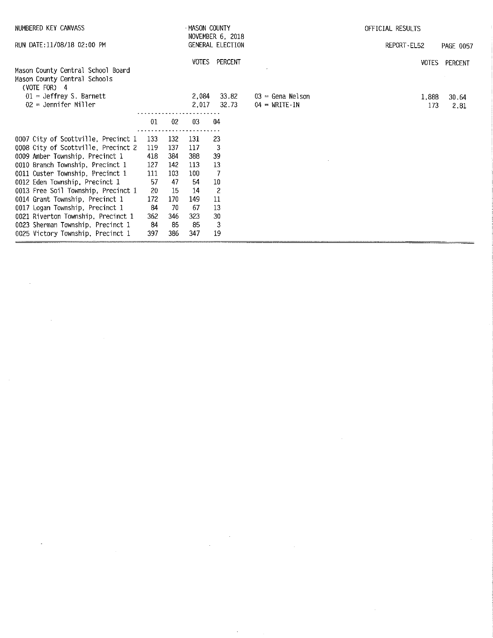| NUMBERED KEY CANVASS                                                                | MASON COUNTY<br>NOVEMBER 6, 2018 |     |       |                  |                        | OFFICIAL RESULTS |               |  |  |  |
|-------------------------------------------------------------------------------------|----------------------------------|-----|-------|------------------|------------------------|------------------|---------------|--|--|--|
| RUN DATE:11/08/18 02:00 PM                                                          |                                  |     |       | GENERAL ELECTION |                        | REPORT-EL52      | PAGE 0057     |  |  |  |
| Mason County Central School Board<br>Mason County Central Schools<br>(VOTE FOR) $4$ |                                  |     |       | VOTES PERCENT    |                        |                  | VOTES PERCENT |  |  |  |
| $01 =$ Jeffrey S. Barnett                                                           |                                  |     | 2,084 | 33.82            | $03$ = Gena Nelson     | 1,888            | 30.64         |  |  |  |
| $02$ = Jennifer Miller                                                              |                                  |     | 2,017 | 32.73            | $04 = \text{WRTTE-IN}$ | 173              | 2.81          |  |  |  |
|                                                                                     | 01                               | 02  | 03    | 04               |                        |                  |               |  |  |  |
| 0007 City of Scottville, Precinct 1                                                 | .<br>133                         | 132 | 131   | 23               |                        |                  |               |  |  |  |
| 0008 City of Scottville, Precinct 2                                                 | 119                              | 137 | 117   | -3               |                        |                  |               |  |  |  |
| 0009 Amber Township, Precinct 1                                                     | 418                              | 384 | 388   | 39               |                        |                  |               |  |  |  |
| 0010 Branch Township, Precinct 1                                                    | 127                              | 142 | 113   | 13               |                        |                  |               |  |  |  |
| 0011 Custer Township, Precinct 1                                                    | 111                              | 103 | 100   | -7               |                        |                  |               |  |  |  |
| 0012 Eden Township, Precinct 1                                                      | 57                               | 47  | -54   | 10               |                        |                  |               |  |  |  |
| 0013 Free Soil Township, Precinct 1                                                 | 20                               | 15  | 14    | $\overline{c}$   |                        |                  |               |  |  |  |
| 0014 Grant Township, Precinct 1                                                     | 172                              | 170 | 149   | 11               |                        |                  |               |  |  |  |
| 0017 Logan Township, Precinct 1                                                     | 84                               | 70  | -67   | 13               |                        |                  |               |  |  |  |
| 0021 Riverton Township, Precinct 1                                                  | 362                              | 346 | 323   | 30               |                        |                  |               |  |  |  |
| 0023 Sherman Township, Precinct 1                                                   | -84                              | 85  | 85    | 3                |                        |                  |               |  |  |  |
| 0025 Victory Township, Precinct 1                                                   | 397                              | 386 | 347   | 19               |                        |                  |               |  |  |  |

 $\label{eq:2.1} \frac{1}{2} \sum_{i=1}^n \frac{1}{2} \sum_{j=1}^n \frac{1}{2} \sum_{j=1}^n \frac{1}{2} \sum_{j=1}^n \frac{1}{2} \sum_{j=1}^n \frac{1}{2} \sum_{j=1}^n \frac{1}{2} \sum_{j=1}^n \frac{1}{2} \sum_{j=1}^n \frac{1}{2} \sum_{j=1}^n \frac{1}{2} \sum_{j=1}^n \frac{1}{2} \sum_{j=1}^n \frac{1}{2} \sum_{j=1}^n \frac{1}{2} \sum_{j=1}^n \frac{$ 

 $\hat{\boldsymbol{\beta}}$ 

 $\mathcal{L}^{\text{max}}_{\text{max}}$  and  $\mathcal{L}^{\text{max}}_{\text{max}}$ 

 $\label{eq:2.1} \frac{1}{\sqrt{2}}\sum_{i=1}^n\frac{1}{\sqrt{2}}\sum_{i=1}^n\frac{1}{\sqrt{2}}\sum_{i=1}^n\frac{1}{\sqrt{2}}\sum_{i=1}^n\frac{1}{\sqrt{2}}\sum_{i=1}^n\frac{1}{\sqrt{2}}\sum_{i=1}^n\frac{1}{\sqrt{2}}\sum_{i=1}^n\frac{1}{\sqrt{2}}\sum_{i=1}^n\frac{1}{\sqrt{2}}\sum_{i=1}^n\frac{1}{\sqrt{2}}\sum_{i=1}^n\frac{1}{\sqrt{2}}\sum_{i=1}^n\frac$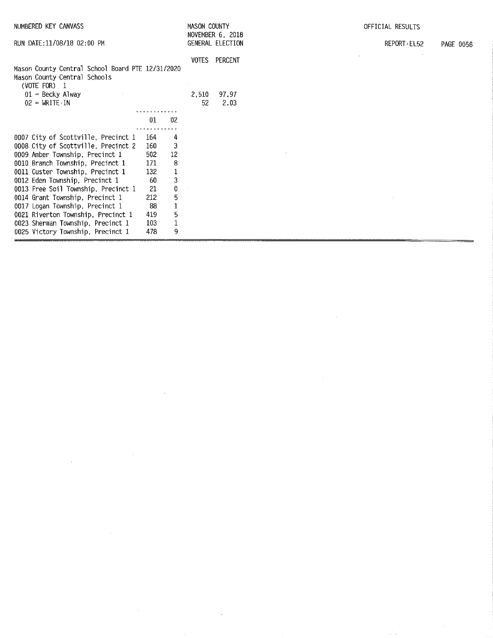| NUMBERED KEY CANVASS                                                                                                                                          |     | MASON COUNTY |                      | OFFICIAL RESULTS                     |                                 |
|---------------------------------------------------------------------------------------------------------------------------------------------------------------|-----|--------------|----------------------|--------------------------------------|---------------------------------|
| RUN DATE: 11/08/18 02:00 PM                                                                                                                                   |     |              |                      | NOVEMBER 6, 2018<br>GENERAL ELECTION | REPORT EL52<br><b>PAGE 0058</b> |
| Mason County Central School Board PTE 12/31/2020<br>Mason County Central Schools<br>(VOTE FOR) 1<br>$01$ = Becky Alway<br>$02 = \text{WRITE} \cdot \text{IN}$ |     |              | VOTES<br>2,510<br>52 | PERCENT<br>97.97<br>2.03             |                                 |
|                                                                                                                                                               |     |              |                      |                                      |                                 |
|                                                                                                                                                               | 01  | 02           |                      |                                      |                                 |
| 0007 City of Scottville, Precinct 1                                                                                                                           | 164 | 4            |                      |                                      |                                 |
| 0008 City of Scottville, Precinct 2                                                                                                                           | 160 | 3            |                      |                                      |                                 |
| 0009 Amber Township, Precinct 1                                                                                                                               | 502 | 12           |                      |                                      |                                 |
| 0010 Branch Township, Precinct 1                                                                                                                              | 171 | 8            |                      |                                      |                                 |
| 0011 Custer Township, Precinct 1                                                                                                                              | 132 | $\mathbf 1$  |                      |                                      |                                 |
| 0012 Eden Township, Precinct 1                                                                                                                                | 60  | 3            |                      |                                      |                                 |
| 0013 Free Soil Township, Precinct 1                                                                                                                           | 21  | 0            |                      |                                      |                                 |
| 0014 Grant Township, Precinct 1                                                                                                                               | 212 | $\mathbf 5$  |                      |                                      |                                 |
| 0017 Logan Township, Precinct 1                                                                                                                               | 88  | $\mathbf 1$  |                      |                                      |                                 |
| 0021 Riverton Township, Precinct 1                                                                                                                            | 419 | 5            |                      |                                      |                                 |
| 0023 Sherman Township, Precinct 1                                                                                                                             | 103 | $\mathbf 1$  |                      |                                      |                                 |
| 0025 Victory Township, Precinct 1                                                                                                                             | 478 | 9            |                      |                                      |                                 |

 $\label{eq:2.1} \frac{1}{\sqrt{2}}\int_{\mathbb{R}^3}\frac{1}{\sqrt{2}}\left(\frac{1}{\sqrt{2}}\right)^2\frac{1}{\sqrt{2}}\left(\frac{1}{\sqrt{2}}\right)^2\frac{1}{\sqrt{2}}\left(\frac{1}{\sqrt{2}}\right)^2\frac{1}{\sqrt{2}}\left(\frac{1}{\sqrt{2}}\right)^2.$ 

 $\label{eq:2.1} \frac{1}{\sqrt{2\pi}}\sum_{i=1}^n\frac{1}{\sqrt{2\pi}}\sum_{i=1}^n\frac{1}{\sqrt{2\pi}}\sum_{i=1}^n\frac{1}{\sqrt{2\pi}}\sum_{i=1}^n\frac{1}{\sqrt{2\pi}}\sum_{i=1}^n\frac{1}{\sqrt{2\pi}}\sum_{i=1}^n\frac{1}{\sqrt{2\pi}}\sum_{i=1}^n\frac{1}{\sqrt{2\pi}}\sum_{i=1}^n\frac{1}{\sqrt{2\pi}}\sum_{i=1}^n\frac{1}{\sqrt{2\pi}}\sum_{i=1}^n\$ 

 $\mathcal{L}_{\mathcal{A}}$  is a set of the set of the set of the set of the set of the set of the set of  $\mathcal{A}$ 

 $\label{eq:2.1} \frac{1}{\sqrt{2}}\left(\frac{1}{\sqrt{2}}\right)^{2} \left(\frac{1}{\sqrt{2}}\right)^{2} \left(\frac{1}{\sqrt{2}}\right)^{2} \left(\frac{1}{\sqrt{2}}\right)^{2} \left(\frac{1}{\sqrt{2}}\right)^{2} \left(\frac{1}{\sqrt{2}}\right)^{2} \left(\frac{1}{\sqrt{2}}\right)^{2} \left(\frac{1}{\sqrt{2}}\right)^{2} \left(\frac{1}{\sqrt{2}}\right)^{2} \left(\frac{1}{\sqrt{2}}\right)^{2} \left(\frac{1}{\sqrt{2}}\right)^{2} \left(\$ 

 $\label{eq:2} \frac{1}{\sqrt{2}}\int_{0}^{\infty}\frac{1}{\sqrt{2}}\left(\frac{1}{\sqrt{2}}\right)^{2}d\theta\,d\theta.$ 

 $\label{eq:2} \frac{1}{\sqrt{2\pi}}\frac{1}{\sqrt{2\pi}}\int_{0}^{\infty}\frac{1}{\sqrt{2\pi}}\left(\frac{1}{\sqrt{2\pi}}\right)^{2\pi}e^{-\frac{1}{2\pi}}\left(\frac{1}{\sqrt{2\pi}}\right)^{2\pi}e^{-\frac{1}{2\pi}}.$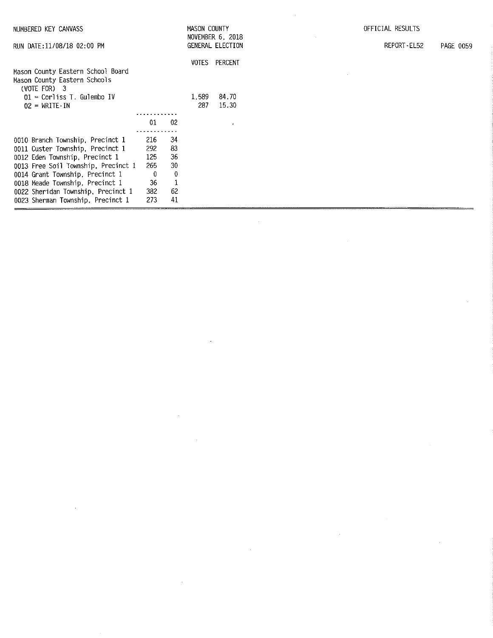|                            | NUMBERED KEY CANVASS                                                                                       |                   |                          | MASON COUNTY |                                             |
|----------------------------|------------------------------------------------------------------------------------------------------------|-------------------|--------------------------|--------------|---------------------------------------------|
| RUN DATE:11/08/18 02:00 PM |                                                                                                            |                   |                          |              | NOVEMBER 6, 2018<br><b>GENERAL ELECTION</b> |
|                            | Mason County Eastern School Board<br>Mason County Eastern Schools<br>$(VOTE FOR)$ 3                        |                   |                          | VOTES        | PERCENT                                     |
|                            | $01$ = Corliss T. Gulembo IV<br>$02 = \text{WRITE} \cdot \text{IN}$                                        |                   |                          | 1.589<br>287 | 84.70<br>15.30                              |
|                            |                                                                                                            | 01                | 02<br>34                 |              | У.                                          |
|                            | 0010 Branch Township, Precinct 1<br>0011 Custer Township, Precinct 1<br>0012 Eden Township, Precinct 1     | 216<br>292<br>125 | 83<br>36                 |              |                                             |
|                            | 0013 Free Soil Township, Precinct 1<br>0014 Grant Township, Precinct 1                                     | 265<br>0          | 30<br>0                  |              |                                             |
|                            | 0018 Meade Township, Precinct 1<br>0022 Sheridan Township, Precinct 1<br>0023 Sherman Township, Precinct 1 | 36<br>382<br>273  | $\mathbf{1}$<br>62<br>41 |              |                                             |

 $\mathcal{L}^{\text{max}}_{\text{max}}$  and  $\mathcal{L}^{\text{max}}_{\text{max}}$ 

 $\label{eq:2.1} \frac{1}{\sqrt{2}}\int_{\mathbb{R}^3}\frac{1}{\sqrt{2}}\left(\frac{1}{\sqrt{2}}\right)^2\frac{1}{\sqrt{2}}\left(\frac{1}{\sqrt{2}}\right)^2\frac{1}{\sqrt{2}}\left(\frac{1}{\sqrt{2}}\right)^2\frac{1}{\sqrt{2}}\left(\frac{1}{\sqrt{2}}\right)^2\frac{1}{\sqrt{2}}\left(\frac{1}{\sqrt{2}}\right)^2\frac{1}{\sqrt{2}}\frac{1}{\sqrt{2}}\frac{1}{\sqrt{2}}\frac{1}{\sqrt{2}}\frac{1}{\sqrt{2}}\frac{1}{\sqrt{2}}$ 

 $\label{eq:2.1} \mathcal{L}(\mathcal{L}^{\text{max}}_{\mathcal{L}}(\mathcal{L}^{\text{max}}_{\mathcal{L}})) \leq \mathcal{L}(\mathcal{L}^{\text{max}}_{\mathcal{L}}(\mathcal{L}^{\text{max}}_{\mathcal{L}}))$ 

 $\label{eq:2.1} \frac{1}{\sqrt{2}}\int_{0}^{\infty}\frac{1}{\sqrt{2\pi}}\left(\frac{1}{\sqrt{2\pi}}\right)^{2\alpha} \frac{1}{\sqrt{2\pi}}\int_{0}^{\infty}\frac{1}{\sqrt{2\pi}}\left(\frac{1}{\sqrt{2\pi}}\right)^{\alpha} \frac{1}{\sqrt{2\pi}}\int_{0}^{\infty}\frac{1}{\sqrt{2\pi}}\frac{1}{\sqrt{2\pi}}\frac{1}{\sqrt{2\pi}}\frac{1}{\sqrt{2\pi}}\frac{1}{\sqrt{2\pi}}\frac{1}{\sqrt{2\pi}}\frac{1}{\sqrt{2\pi}}$ 

 $\label{eq:2.1} \frac{1}{\sqrt{2}}\int_{\mathbb{R}^3}\frac{1}{\sqrt{2}}\left(\frac{1}{\sqrt{2}}\right)^2\frac{1}{\sqrt{2}}\left(\frac{1}{\sqrt{2}}\right)^2\frac{1}{\sqrt{2}}\left(\frac{1}{\sqrt{2}}\right)^2\frac{1}{\sqrt{2}}\left(\frac{1}{\sqrt{2}}\right)^2\frac{1}{\sqrt{2}}\left(\frac{1}{\sqrt{2}}\right)^2\frac{1}{\sqrt{2}}\frac{1}{\sqrt{2}}\frac{1}{\sqrt{2}}\frac{1}{\sqrt{2}}\frac{1}{\sqrt{2}}\frac{1}{\sqrt{2}}$ 

 $\label{eq:2.1} \frac{1}{\sqrt{2}}\int_{\mathbb{R}^3}\frac{1}{\sqrt{2}}\left(\frac{1}{\sqrt{2}}\right)^2\frac{1}{\sqrt{2}}\left(\frac{1}{\sqrt{2}}\right)^2\frac{1}{\sqrt{2}}\left(\frac{1}{\sqrt{2}}\right)^2\frac{1}{\sqrt{2}}\left(\frac{1}{\sqrt{2}}\right)^2.$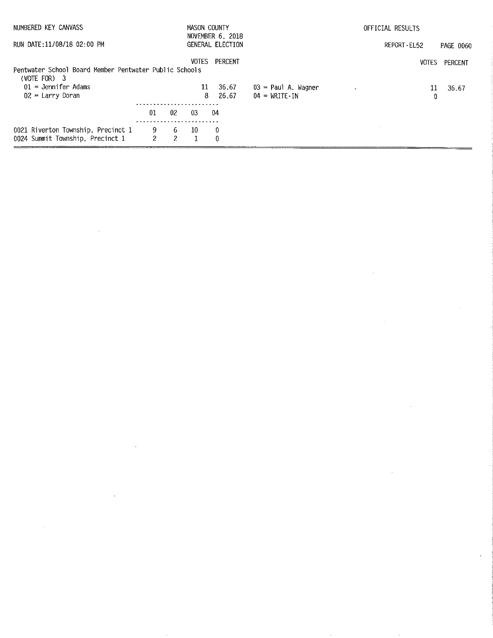| NUMBERED KEY CANVASS                                                     |                            |         |              | MASON COUNTY<br>NOVEMBER 6, 2018 |                                                            | OFFICIAL RESULTS |           |  |
|--------------------------------------------------------------------------|----------------------------|---------|--------------|----------------------------------|------------------------------------------------------------|------------------|-----------|--|
| RUN DATE:11/08/18 02:00 PM                                               |                            |         |              | GENERAL ELECTION                 |                                                            | REPORT EL52      | PAGE 0060 |  |
| Pentwater School Board Member Pentwater Public Schools<br>$(VOTE FOR)$ 3 |                            |         | <b>VOTES</b> | PERCENT                          |                                                            | <b>VOTES</b>     | PERCENT   |  |
| $01 =$ Jennifer Adams<br>$02 =$ Larry Doran                              |                            |         | 11<br>8      | 36.67<br>26.67                   | 03 = Paul A, Wagner<br>$04 = \text{WRITE} \cdot \text{IN}$ | 11<br>0          | 36.67     |  |
|                                                                          |                            |         |              |                                  |                                                            |                  |           |  |
|                                                                          | 01                         | -02     | -03          | 04                               |                                                            |                  |           |  |
| 0021 Riverton Township, Precinct 1                                       | 9.<br>$\mathbf{2}^{\circ}$ | -6<br>2 | 10           | -0                               |                                                            |                  |           |  |
| 0024 Summit Township, Precinct 1                                         |                            |         |              | 0                                |                                                            |                  |           |  |

 $\label{eq:2.1} \mathcal{L}(\mathcal{L}^{\text{max}}_{\mathcal{L}}(\mathcal{L}^{\text{max}}_{\mathcal{L}}(\mathcal{L}^{\text{max}}_{\mathcal{L}}(\mathcal{L}^{\text{max}}_{\mathcal{L}^{\text{max}}_{\mathcal{L}}})))))$ 

 $\sim 1$ 

 $\label{eq:2.1} \frac{1}{\sqrt{2}}\left(\frac{1}{\sqrt{2}}\right)^{2} \left(\frac{1}{\sqrt{2}}\right)^{2} \left(\frac{1}{\sqrt{2}}\right)^{2} \left(\frac{1}{\sqrt{2}}\right)^{2} \left(\frac{1}{\sqrt{2}}\right)^{2} \left(\frac{1}{\sqrt{2}}\right)^{2} \left(\frac{1}{\sqrt{2}}\right)^{2} \left(\frac{1}{\sqrt{2}}\right)^{2} \left(\frac{1}{\sqrt{2}}\right)^{2} \left(\frac{1}{\sqrt{2}}\right)^{2} \left(\frac{1}{\sqrt{2}}\right)^{2} \left(\$ 

 $\label{eq:2.1} \frac{1}{2}\sum_{i=1}^n\frac{1}{2}\sum_{i=1}^n\frac{1}{2}\sum_{i=1}^n\frac{1}{2}\sum_{i=1}^n\frac{1}{2}\sum_{i=1}^n\frac{1}{2}\sum_{i=1}^n\frac{1}{2}\sum_{i=1}^n\frac{1}{2}\sum_{i=1}^n\frac{1}{2}\sum_{i=1}^n\frac{1}{2}\sum_{i=1}^n\frac{1}{2}\sum_{i=1}^n\frac{1}{2}\sum_{i=1}^n\frac{1}{2}\sum_{i=1}^n\frac{1}{2}\sum_{i=1}^n\$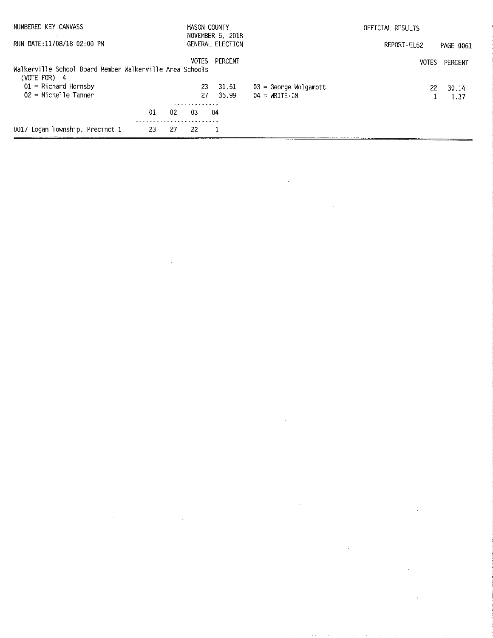| NUMBERED KEY CANVASS                                                       |     |    | MASON COUNTY | NOVEMBER 6, 2018 |                                     | OFFICIAL RESULTS |           |
|----------------------------------------------------------------------------|-----|----|--------------|------------------|-------------------------------------|------------------|-----------|
| RUN DATE:11/08/18 02:00 PM                                                 |     |    |              | GENERAL ELECTION |                                     | REPORT-EL52      | PAGE 0061 |
|                                                                            |     |    | <b>VOTES</b> | PERCENT          |                                     | <b>VOTES</b>     | PERCENT   |
| Walkerville School Board Member Walkerville Area Schools<br>(VOTE FOR) $4$ |     |    |              |                  |                                     |                  |           |
| $01$ = Richard Hornsby                                                     |     |    | 23           | 31.51            | $03$ = George Wolgamott             | 22               | 30.14     |
| $02$ = Michelle Tanner                                                     |     |    | 27.          | 36.99            | $04 = \text{WRITE} \cdot \text{IN}$ |                  | 1.37      |
|                                                                            | 01  | 02 | 03           | 04               |                                     |                  |           |
| 0017 Logan Township, Precinct 1                                            | -23 | 27 | 22           |                  |                                     |                  |           |

 $\label{eq:2.1} \frac{1}{2} \sum_{i=1}^n \frac{1}{2} \sum_{j=1}^n \frac{1}{2} \sum_{j=1}^n \frac{1}{2} \sum_{j=1}^n \frac{1}{2} \sum_{j=1}^n \frac{1}{2} \sum_{j=1}^n \frac{1}{2} \sum_{j=1}^n \frac{1}{2} \sum_{j=1}^n \frac{1}{2} \sum_{j=1}^n \frac{1}{2} \sum_{j=1}^n \frac{1}{2} \sum_{j=1}^n \frac{1}{2} \sum_{j=1}^n \frac{1}{2} \sum_{j=1}^n \frac{$ 

 $\mathcal{L}_{\mathcal{A}}$ 

 $\label{eq:2.1} \frac{1}{\sqrt{2}}\int_{\mathbb{R}^3}\frac{1}{\sqrt{2}}\left(\frac{1}{\sqrt{2}}\right)^2\frac{1}{\sqrt{2}}\left(\frac{1}{\sqrt{2}}\right)^2\frac{1}{\sqrt{2}}\left(\frac{1}{\sqrt{2}}\right)^2\frac{1}{\sqrt{2}}\left(\frac{1}{\sqrt{2}}\right)^2.$ 

 $\label{eq:2.1} \frac{1}{\sqrt{2}}\int_{\mathbb{R}^3}\frac{1}{\sqrt{2}}\left(\frac{1}{\sqrt{2}}\right)^2\frac{1}{\sqrt{2}}\left(\frac{1}{\sqrt{2}}\right)^2\frac{1}{\sqrt{2}}\left(\frac{1}{\sqrt{2}}\right)^2\frac{1}{\sqrt{2}}\left(\frac{1}{\sqrt{2}}\right)^2\frac{1}{\sqrt{2}}\left(\frac{1}{\sqrt{2}}\right)^2\frac{1}{\sqrt{2}}\frac{1}{\sqrt{2}}\frac{1}{\sqrt{2}}\frac{1}{\sqrt{2}}\frac{1}{\sqrt{2}}\frac{1}{\sqrt{2}}$ 

 $\label{eq:2.1} \frac{1}{\sqrt{2}}\int_{\mathbb{R}^3}\frac{1}{\sqrt{2}}\left(\frac{1}{\sqrt{2}}\right)^2\frac{1}{\sqrt{2}}\left(\frac{1}{\sqrt{2}}\right)^2\frac{1}{\sqrt{2}}\left(\frac{1}{\sqrt{2}}\right)^2\frac{1}{\sqrt{2}}\left(\frac{1}{\sqrt{2}}\right)^2.$ 

 $\frac{1}{\sqrt{2}}$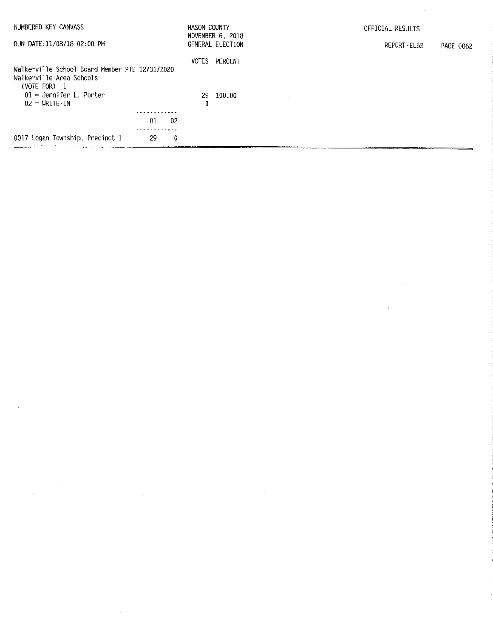| NUMBERED KEY CANVASS                                             | MASON COUNTY<br>NOVEMBER 6, 2018 | OFFICIAL RESULTS         |
|------------------------------------------------------------------|----------------------------------|--------------------------|
| RUN DATE:11/08/18 02:00 PM                                       | GENERAL ELECTION                 | REPORT-EL52<br>PAGE 0062 |
| Walkerville School Board Member PTE 12/31/2020                   | VOTES<br>PERCENT                 |                          |
| Walkerville Area Schools<br>$(VOTE FOR)$ 1                       |                                  |                          |
| $01$ = Jennifer L. Porter<br>$02 = \text{WRITE} \cdot \text{IN}$ | 29 100.00<br>⋀                   |                          |
|                                                                  |                                  |                          |
| 01<br>02                                                         |                                  |                          |
|                                                                  |                                  |                          |
| 0017 Logan Township, Precinct 1<br>0<br>29                       |                                  |                          |

 $\label{eq:2.1} \frac{1}{\sqrt{2}}\sum_{i=1}^n\frac{1}{\sqrt{2}}\sum_{i=1}^n\frac{1}{\sqrt{2}}\sum_{i=1}^n\frac{1}{\sqrt{2}}\sum_{i=1}^n\frac{1}{\sqrt{2}}\sum_{i=1}^n\frac{1}{\sqrt{2}}\sum_{i=1}^n\frac{1}{\sqrt{2}}\sum_{i=1}^n\frac{1}{\sqrt{2}}\sum_{i=1}^n\frac{1}{\sqrt{2}}\sum_{i=1}^n\frac{1}{\sqrt{2}}\sum_{i=1}^n\frac{1}{\sqrt{2}}\sum_{i=1}^n\frac$ 

 $\mathcal{L}^{\mathcal{L}}$ 

 $\label{eq:2.1} \frac{1}{\sqrt{2}}\left(\frac{1}{\sqrt{2}}\right)^{2} \left(\frac{1}{\sqrt{2}}\right)^{2} \left(\frac{1}{\sqrt{2}}\right)^{2} \left(\frac{1}{\sqrt{2}}\right)^{2} \left(\frac{1}{\sqrt{2}}\right)^{2} \left(\frac{1}{\sqrt{2}}\right)^{2} \left(\frac{1}{\sqrt{2}}\right)^{2} \left(\frac{1}{\sqrt{2}}\right)^{2} \left(\frac{1}{\sqrt{2}}\right)^{2} \left(\frac{1}{\sqrt{2}}\right)^{2} \left(\frac{1}{\sqrt{2}}\right)^{2} \left(\$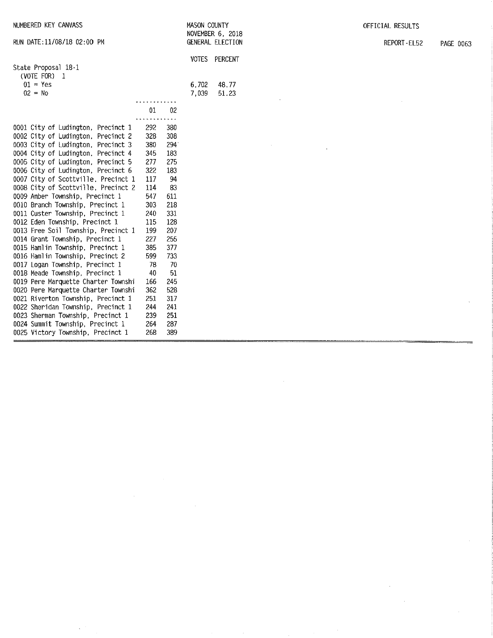| RUN DATE:11/08/18 02:00 PM            |     |     |              | GENERAL ELECTION |
|---------------------------------------|-----|-----|--------------|------------------|
|                                       |     |     | <b>VOTES</b> | <b>PERCENT</b>   |
| State Proposal 18-1                   |     |     |              |                  |
| (VOTE FOR) 1                          |     |     |              |                  |
| $01 = Yes$                            |     |     | 6.702        | 48.77            |
| $02 = No$                             |     |     | 7.039        | 51.23            |
|                                       | 01  | 02  |              |                  |
|                                       |     |     |              |                  |
| 0001 City of Ludington, Precinct 1    | 292 | 380 |              |                  |
| 0002 City of Ludington.<br>Precinct 2 | 328 | 308 |              |                  |
| 0003 City of Ludington,<br>Precinct 3 | 380 | 294 |              |                  |
| 0004 City of Ludington, Precinct 4    | 345 | 183 |              |                  |
| 0005 City of Ludington, Precinct 5    | 277 | 275 |              |                  |
| 0006 City of Ludington, Precinct 6    | 322 | 183 |              |                  |
| 0007 City of Scottville, Precinct 1   | 117 | 94  |              |                  |
| 0008 City of Scottville, Precinct 2   | 114 | 83  |              |                  |
| 0009 Amber Township, Precinct 1       | 547 | 611 |              |                  |
| 0010 Branch Township, Precinct 1      | 303 | 218 |              |                  |
| 0011 Custer Township, Precinct 1      | 240 | 331 |              |                  |
| 0012 Eden Township, Precinct 1        | 115 | 128 |              |                  |
| 0013 Free Soil Township, Precinct 1   | 199 | 207 |              |                  |
| 0014 Grant Township, Precinct 1       | 227 | 255 |              |                  |
| 0015 Hamlin Township, Precinct 1      | 385 | 377 |              |                  |
| 0016 Hamlin Township, Precinct 2      | 599 | 733 |              |                  |
| 0017 Logan Township, Precinct 1       | 78  | 70  |              |                  |
| 0018 Meade Township, Precinct 1       | 40  | 51  |              |                  |
| 0019 Pere Marquette Charter Townshi   | 166 | 245 |              |                  |
| 0020 Pere Marquette Charter Townshi   | 362 | 528 |              |                  |
| 0021 Riverton Township, Precinct 1    | 251 | 317 |              |                  |
| 0022 Sheridan Township, Precinct 1    | 244 | 241 |              |                  |
| 0023 Sherman Township, Precinct 1     | 239 | 251 |              |                  |
| 0024 Summit Township, Precinct 1      | 264 | 287 |              |                  |
| 0025 Victory Township, Precinct 1     | 268 | 389 |              |                  |

 $\hat{\boldsymbol{\beta}}$ 

 $\mathcal{A}^{(n+1)}$ 

MASON COUNTY NOVEMBER 6, 2018

OFFICIAL RESULTS

 $\sim$ 

 $\sim$ 

 $\sim 10^7$ 

 $\sim$ 

REPORT-EL52 PAGE 0063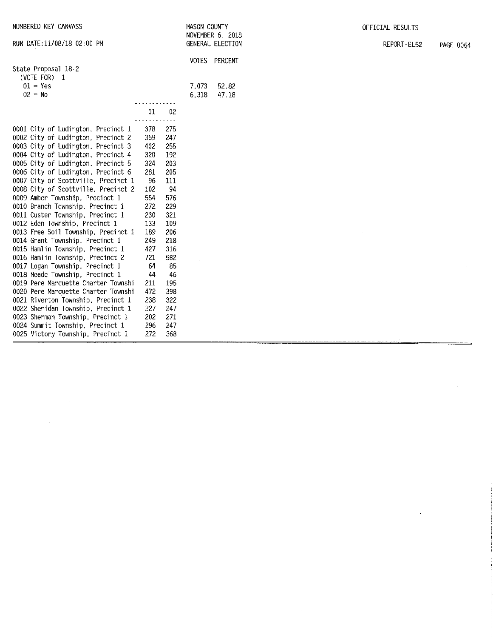| NUMBERED KEY CANVASS                |     |     | MASON COUNTY |                  |  | OFFICIAL RESULTS |           |
|-------------------------------------|-----|-----|--------------|------------------|--|------------------|-----------|
|                                     |     |     |              | NOVEMBER 6, 2018 |  |                  | PAGE 0064 |
| RUN DATE:11/08/18 02:00 PM          |     |     |              | GENERAL ELECTION |  | REPORT-EL52      |           |
|                                     |     |     |              | VOTES PERCENT    |  |                  |           |
| State Proposal 18-2                 |     |     |              |                  |  |                  |           |
| (VOTE FOR) 1                        |     |     |              |                  |  |                  |           |
| $01 = Yes$                          |     |     | 7,073        | 52.82            |  |                  |           |
| $02 = No$                           |     |     | 6,318        | 47.18            |  |                  |           |
|                                     | 01  | 02  |              |                  |  |                  |           |
|                                     |     |     |              |                  |  |                  |           |
| 0001 City of Ludington, Precinct 1  | 378 | 275 |              |                  |  |                  |           |
| 0002 City of Ludington, Precinct 2  | 369 | 247 |              |                  |  |                  |           |
| 0003 City of Ludington, Precinct 3  | 402 | 255 |              |                  |  |                  |           |
| 0004 City of Ludington, Precinct 4  | 320 | 192 |              |                  |  |                  |           |
| 0005 City of Ludington, Precinct 5  | 324 | 203 |              |                  |  |                  |           |
| 0006 City of Ludington, Precinct 6  | 281 | 205 |              |                  |  |                  |           |
| 0007 City of Scottville, Precinct 1 | 96  | 111 |              |                  |  |                  |           |
| 0008 City of Scottville, Precinct 2 | 102 | 94  |              |                  |  |                  |           |
| 0009 Amber Township, Precinct 1     | 554 | 576 |              |                  |  |                  |           |
| 0010 Branch Township, Precinct 1    | 272 | 229 |              |                  |  |                  |           |
| 0011 Custer Township, Precinct 1    | 230 | 321 |              |                  |  |                  |           |
| 0012 Eden Township, Precinct 1      | 133 | 109 |              |                  |  |                  |           |
| 0013 Free Soil Township, Precinct 1 | 189 | 206 |              |                  |  |                  |           |
| 0014 Grant Township, Precinct 1     | 249 | 218 |              |                  |  |                  |           |
| 0015 Hamlin Township, Precinct 1    | 427 | 316 |              |                  |  |                  |           |
| 0016 Hamlin Township, Precinct 2    | 721 | 582 |              |                  |  |                  |           |
| 0017 Logan Township, Precinct 1     | 64  | 85  |              |                  |  |                  |           |
| 0018 Meade Township, Precinct 1     | 44  | 46  |              |                  |  |                  |           |
| 0019 Pere Marquette Charter Townshi | 211 | 195 |              |                  |  |                  |           |
| 0020 Pere Marquette Charter Townshi | 472 | 398 |              |                  |  |                  |           |
| 0021 Riverton Township, Precinct 1  | 238 | 322 |              |                  |  |                  |           |
| 0022 Sheridan Township, Precinct 1  | 227 | 247 |              |                  |  |                  |           |
| 0023 Sherman Township, Precinct 1   | 202 | 271 |              |                  |  |                  |           |
| 0024 Summit Township, Precinct 1    | 296 | 247 |              |                  |  |                  |           |
| 0025 Victory Township, Precinct 1   | 272 | 368 |              |                  |  |                  |           |

 $\label{eq:2.1} \frac{1}{\sqrt{2}}\sum_{i=1}^n\frac{1}{\sqrt{2}}\sum_{i=1}^n\frac{1}{\sqrt{2}}\sum_{i=1}^n\frac{1}{\sqrt{2}}\sum_{i=1}^n\frac{1}{\sqrt{2}}\sum_{i=1}^n\frac{1}{\sqrt{2}}\sum_{i=1}^n\frac{1}{\sqrt{2}}\sum_{i=1}^n\frac{1}{\sqrt{2}}\sum_{i=1}^n\frac{1}{\sqrt{2}}\sum_{i=1}^n\frac{1}{\sqrt{2}}\sum_{i=1}^n\frac{1}{\sqrt{2}}\sum_{i=1}^n\frac$ 

 $\label{eq:2.1} \frac{1}{2} \sum_{i=1}^n \frac{1}{2} \sum_{j=1}^n \frac{1}{2} \sum_{j=1}^n \frac{1}{2} \sum_{j=1}^n \frac{1}{2} \sum_{j=1}^n \frac{1}{2} \sum_{j=1}^n \frac{1}{2} \sum_{j=1}^n \frac{1}{2} \sum_{j=1}^n \frac{1}{2} \sum_{j=1}^n \frac{1}{2} \sum_{j=1}^n \frac{1}{2} \sum_{j=1}^n \frac{1}{2} \sum_{j=1}^n \frac{1}{2} \sum_{j=1}^n \frac{$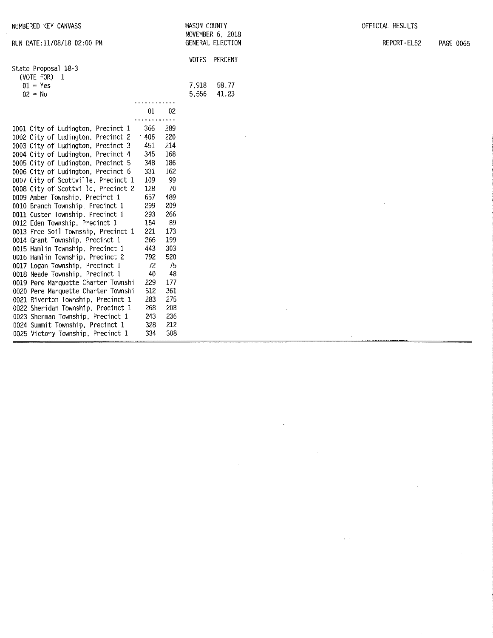| NUMBERED KEY CANVASS                                                                                                                                                                                                                                                                                                                                                                                                                                                                                                                                                                                                                                                                                                                                                                                                                                                                                                                                        |                                                                                                                                                                                                                                                                                                                                                     | MASON COUNTY   | NOVEMBER 6, 2018 | OFFICIAL RESULTS |                  |
|-------------------------------------------------------------------------------------------------------------------------------------------------------------------------------------------------------------------------------------------------------------------------------------------------------------------------------------------------------------------------------------------------------------------------------------------------------------------------------------------------------------------------------------------------------------------------------------------------------------------------------------------------------------------------------------------------------------------------------------------------------------------------------------------------------------------------------------------------------------------------------------------------------------------------------------------------------------|-----------------------------------------------------------------------------------------------------------------------------------------------------------------------------------------------------------------------------------------------------------------------------------------------------------------------------------------------------|----------------|------------------|------------------|------------------|
| RUN DATE: 11/08/18 02:00 PM                                                                                                                                                                                                                                                                                                                                                                                                                                                                                                                                                                                                                                                                                                                                                                                                                                                                                                                                 |                                                                                                                                                                                                                                                                                                                                                     |                | GENERAL ELECTION | REPORT-EL52      | <b>PAGE 0065</b> |
| State Proposal 18-3<br>(VOTE FOR) $1$                                                                                                                                                                                                                                                                                                                                                                                                                                                                                                                                                                                                                                                                                                                                                                                                                                                                                                                       |                                                                                                                                                                                                                                                                                                                                                     |                | VOTES PERCENT    |                  |                  |
| $01 = Yes$<br>$02 = No$                                                                                                                                                                                                                                                                                                                                                                                                                                                                                                                                                                                                                                                                                                                                                                                                                                                                                                                                     |                                                                                                                                                                                                                                                                                                                                                     | 7.918<br>5,556 | 58.77<br>41.23   |                  |                  |
|                                                                                                                                                                                                                                                                                                                                                                                                                                                                                                                                                                                                                                                                                                                                                                                                                                                                                                                                                             |                                                                                                                                                                                                                                                                                                                                                     |                |                  |                  |                  |
|                                                                                                                                                                                                                                                                                                                                                                                                                                                                                                                                                                                                                                                                                                                                                                                                                                                                                                                                                             | 01<br>02                                                                                                                                                                                                                                                                                                                                            |                |                  |                  |                  |
| 0001 City of Ludington, Precinct 1<br>0002 City of Ludington, Precinct 2<br>0003 City of Ludington, Precinct 3<br>0004 City of Ludington, Precinct 4<br>0005 City of Ludington, Precinct 5<br>0006 City of Ludington, Precinct 6<br>0007 City of Scottville, Precinct 1<br>0008 City of Scottville, Precinct 2<br>0009 Amber Township, Precinct 1<br>0010 Branch Township, Precinct 1<br>0011 Custer Township, Precinct 1<br>0012 Eden Township, Precinct 1<br>0013 Free Soil Township, Precinct 1<br>0014 Grant Township, Precinct 1<br>0015 Hamlin Township, Precinct 1<br>0016 Hamlin Township, Precinct 2<br>0017 Logan Township, Precinct 1<br>0018 Meade Township, Precinct 1<br>0019 Pere Marquette Charter Townshi<br>0020 Pere Marquette Charter Townshi<br>0021 Riverton Township, Precinct 1<br>0022 Sheridan Township, Precinct 1<br>0023 Sherman Township, Precinct 1<br>0024 Summit Township, Precinct 1<br>0025 Victory Township, Precinct 1 | 289<br>366<br>220<br>406<br>214<br>451<br>345<br>168<br>348<br>186<br>331<br>162<br>109<br>99<br>128<br>70<br>657<br>489<br>209<br>299<br>293<br>266<br>89<br>154<br>173<br>221<br>266<br>199<br>443<br>303<br>520<br>792<br>72<br>75<br>40<br>48<br>177<br>229<br>512<br>361<br>283<br>275<br>268<br>208<br>243<br>236<br>212<br>328<br>308<br>334 |                |                  |                  |                  |

 $\sim 10^{11}$ 

 $\label{eq:2.1} \frac{1}{\sqrt{2\pi}}\int_{0}^{\infty}\frac{1}{\sqrt{2\pi}}\left(\frac{1}{\sqrt{2\pi}}\right)^{2\pi} \frac{1}{\sqrt{2\pi}}\int_{0}^{\infty}\frac{1}{\sqrt{2\pi}}\frac{1}{\sqrt{2\pi}}\frac{1}{\sqrt{2\pi}}\frac{1}{\sqrt{2\pi}}\frac{1}{\sqrt{2\pi}}\frac{1}{\sqrt{2\pi}}\frac{1}{\sqrt{2\pi}}\frac{1}{\sqrt{2\pi}}\frac{1}{\sqrt{2\pi}}\frac{1}{\sqrt{2\pi}}\frac{1}{\sqrt{2\pi}}\frac{$ 

 $\mathcal{L}(\mathcal{A})$  and  $\mathcal{L}(\mathcal{A})$  . In the  $\mathcal{L}(\mathcal{A})$ 

 $\sim 10^{11}$  km

 $\sim 10^7$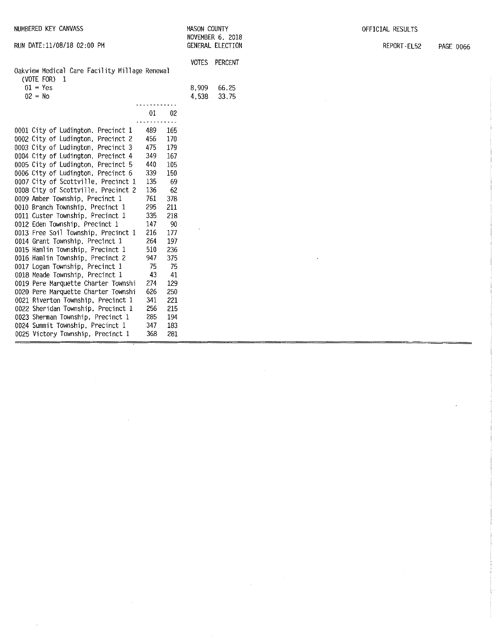| NUMBERED KEY CANVASS                                          |     |          | <b>MASON COUNTY</b> |                                      | OFFICIAL RESULTS |           |
|---------------------------------------------------------------|-----|----------|---------------------|--------------------------------------|------------------|-----------|
| RUN DATE:11/08/18 02:00 PM                                    |     |          |                     | NOVEMBER 6, 2018<br>GENERAL ELECTION | REPORT-EL52      | PAGE 0066 |
|                                                               |     |          |                     | VOTES PERCENT                        |                  |           |
| Oakview Medical Care Facility Millage Renewal<br>(VOTE FOR) 1 |     |          |                     |                                      |                  |           |
| $01 - Yes$                                                    |     |          | 8.909               | 66.25                                |                  |           |
| $02 = No$                                                     |     |          | 4,538               | 33.75                                |                  |           |
|                                                               |     |          |                     |                                      |                  |           |
|                                                               | 01  | $02\,$   |                     |                                      |                  |           |
|                                                               |     | $\cdots$ |                     |                                      |                  |           |
| 0001 City of Ludington, Precinct 1                            | 489 | 165      |                     |                                      |                  |           |
| 0002 City of Ludington, Precinct 2                            | 456 | 170      |                     |                                      |                  |           |
| 0003 City of Ludington, Precinct 3                            | 475 | 179      |                     |                                      |                  |           |
| 0004 City of Ludington, Precinct 4                            | 349 | 167      |                     |                                      |                  |           |
| 0005 City of Ludington, Precinct 5                            | 440 | 105      |                     |                                      |                  |           |
| 0006 City of Ludington, Precinct 6                            | 339 | 150      |                     |                                      |                  |           |
| 0007 City of Scottville, Precinct 1                           | 135 | 69       |                     |                                      |                  |           |
| 0008 City of Scottville, Precinct 2                           | 136 | 62       |                     |                                      |                  |           |
| 0009 Amber Township, Precinct 1                               | 761 | 378      |                     |                                      |                  |           |
| 0010 Branch Township, Precinct 1                              | 295 | 211      |                     |                                      |                  |           |
| 0011 Custer Township, Precinct 1                              | 335 | 218      |                     |                                      |                  |           |
| 0012 Eden Township, Precinct 1                                | 147 | 90       |                     |                                      |                  |           |
| 0013 Free Soil Township, Precinct 1                           | 216 | 177      |                     |                                      |                  |           |
| 0014 Grant Township, Precinct 1                               | 264 | 197      |                     |                                      |                  |           |
| 0015 Hamlin Township, Precinct 1                              | 510 | 236      |                     |                                      |                  |           |
| 0016 Hamlin Township, Precinct 2                              | 947 | 375      |                     |                                      |                  |           |
| 0017 Logan Township, Precinct 1                               | 75  | 75       |                     |                                      |                  |           |
| 0018 Meade Township, Precinct 1                               | 43  | 41       |                     |                                      |                  |           |
| 0019 Pere Marquette Charter Townshi                           | 274 | 129      |                     |                                      |                  |           |
| 0020 Pere Marquette Charter Townshi                           | 626 | 250      |                     |                                      |                  |           |
| 0021 Riverton Township, Precinct 1                            | 341 | 221      |                     |                                      |                  |           |
| 0022 Sheridan Township, Precinct 1                            | 256 | 215      |                     |                                      |                  |           |
| 0023 Sherman Township, Precinct 1                             | 285 | 194      |                     |                                      |                  |           |
| 0024 Summit Township, Precinct 1                              | 347 | 183      |                     |                                      |                  |           |
| 0025 Victory Township, Precinct 1                             | 368 | 281      |                     |                                      |                  |           |

 $\sim$   $\sim$ 

 $\label{eq:2.1} \frac{1}{\sqrt{2}}\int_{\mathbb{R}^3}\frac{1}{\sqrt{2}}\left(\frac{1}{\sqrt{2}}\right)^2\frac{1}{\sqrt{2}}\left(\frac{1}{\sqrt{2}}\right)^2\frac{1}{\sqrt{2}}\left(\frac{1}{\sqrt{2}}\right)^2\frac{1}{\sqrt{2}}\left(\frac{1}{\sqrt{2}}\right)^2\frac{1}{\sqrt{2}}\left(\frac{1}{\sqrt{2}}\right)^2\frac{1}{\sqrt{2}}\frac{1}{\sqrt{2}}\frac{1}{\sqrt{2}}\frac{1}{\sqrt{2}}\frac{1}{\sqrt{2}}\frac{1}{\sqrt{2}}$ 

 $\label{eq:2.1} \frac{1}{\sqrt{2}}\int_{\mathbb{R}^3}\frac{1}{\sqrt{2}}\left(\frac{1}{\sqrt{2}}\right)^2\frac{1}{\sqrt{2}}\left(\frac{1}{\sqrt{2}}\right)^2\frac{1}{\sqrt{2}}\left(\frac{1}{\sqrt{2}}\right)^2.$ 

 $\mathcal{A}^{\mathcal{A}}$ 

ý,